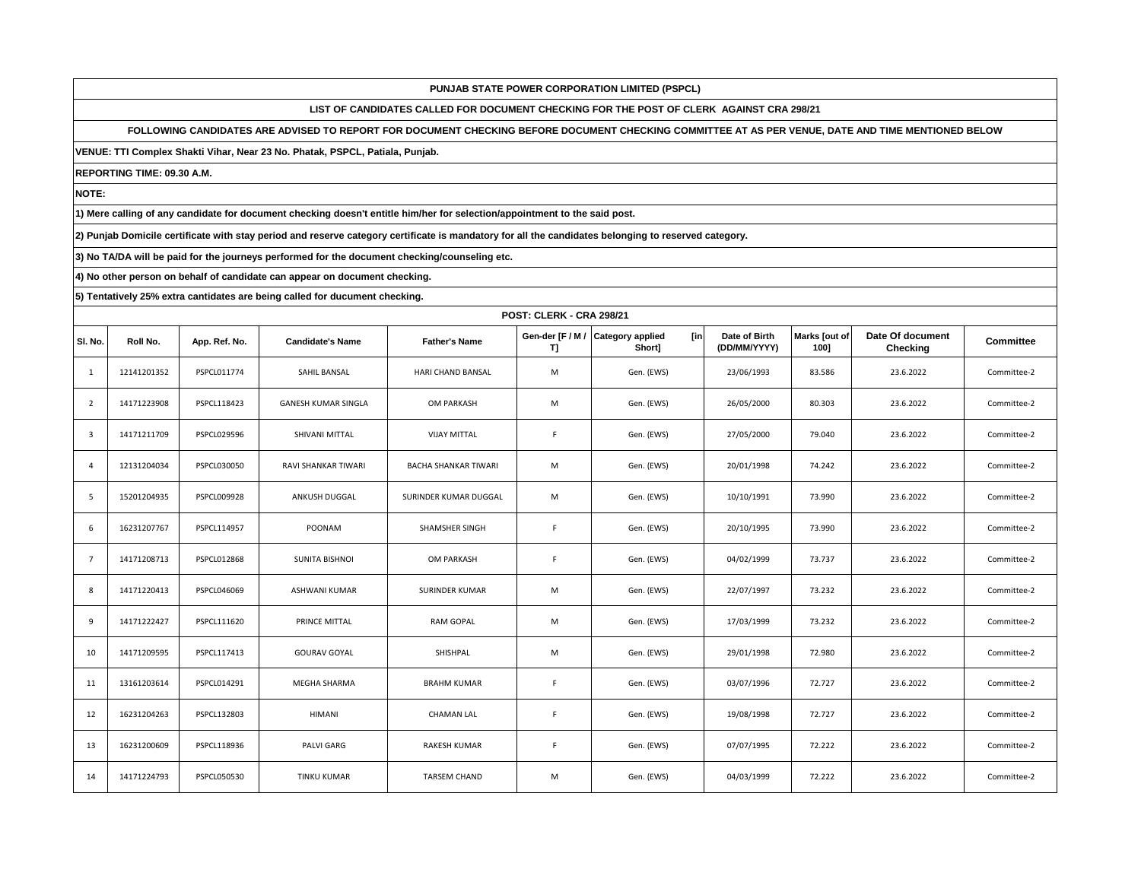**LIST OF CANDIDATES CALLED FOR DOCUMENT CHECKING FOR THE POST OF CLERK AGAINST CRA 298/21**

**FOLLOWING CANDIDATES ARE ADVISED TO REPORT FOR DOCUMENT CHECKING BEFORE DOCUMENT CHECKING COMMITTEE AT AS PER VENUE, DATE AND TIME MENTIONED BELOW** 

**VENUE: TTI Complex Shakti Vihar, Near 23 No. Phatak, PSPCL, Patiala, Punjab.**

**REPORTING TIME: 09.30 A.M.**

**NOTE:**

**1) Mere calling of any candidate for document checking doesn't entitle him/her for selection/appointment to the said post.**

**2) Punjab Domicile certificate with stay period and reserve category certificate is mandatory for all the candidates belonging to reserved category.**

**3) No TA/DA will be paid for the journeys performed for the document checking/counseling etc.**

**4) No other person on behalf of candidate can appear on document checking.**

|                |             | POST: CLERK - CRA 298/21 |                            |                             |                        |                                           |                               |                       |                              |             |  |  |  |
|----------------|-------------|--------------------------|----------------------------|-----------------------------|------------------------|-------------------------------------------|-------------------------------|-----------------------|------------------------------|-------------|--|--|--|
| SI. No.        | Roll No.    | App. Ref. No.            | <b>Candidate's Name</b>    | <b>Father's Name</b>        | Gen-der [F / M /<br>T] | <b>Category applied</b><br>[in]<br>Short] | Date of Birth<br>(DD/MM/YYYY) | Marks [out of<br>100] | Date Of document<br>Checking | Committee   |  |  |  |
| $\mathbf{1}$   | 12141201352 | PSPCL011774              | SAHIL BANSAL               | <b>HARI CHAND BANSAL</b>    | M                      | Gen. (EWS)                                | 23/06/1993                    | 83.586                | 23.6.2022                    | Committee-2 |  |  |  |
| $\overline{2}$ | 14171223908 | PSPCL118423              | <b>GANESH KUMAR SINGLA</b> | OM PARKASH                  | M                      | Gen. (EWS)                                | 26/05/2000                    | 80.303                | 23.6.2022                    | Committee-2 |  |  |  |
| 3              | 14171211709 | PSPCL029596              | SHIVANI MITTAL             | <b>VIJAY MITTAL</b>         | F                      | Gen. (EWS)                                | 27/05/2000                    | 79.040                | 23.6.2022                    | Committee-2 |  |  |  |
| $\overline{4}$ | 12131204034 | PSPCL030050              | RAVI SHANKAR TIWARI        | <b>BACHA SHANKAR TIWARI</b> | M                      | Gen. (EWS)                                | 20/01/1998                    | 74.242                | 23.6.2022                    | Committee-2 |  |  |  |
| 5              | 15201204935 | PSPCL009928              | ANKUSH DUGGAL              | SURINDER KUMAR DUGGAL       | M                      | Gen. (EWS)                                | 10/10/1991                    | 73.990                | 23.6.2022                    | Committee-2 |  |  |  |
| 6              | 16231207767 | PSPCL114957              | POONAM                     | SHAMSHER SINGH              | $\mathsf F$            | Gen. (EWS)                                | 20/10/1995                    | 73.990                | 23.6.2022                    | Committee-2 |  |  |  |
| $\overline{7}$ | 14171208713 | PSPCL012868              | SUNITA BISHNOI             | OM PARKASH                  | F                      | Gen. (EWS)                                | 04/02/1999                    | 73.737                | 23.6.2022                    | Committee-2 |  |  |  |
| 8              | 14171220413 | PSPCL046069              | <b>ASHWANI KUMAR</b>       | <b>SURINDER KUMAR</b>       | M                      | Gen. (EWS)                                | 22/07/1997                    | 73.232                | 23.6.2022                    | Committee-2 |  |  |  |
| 9              | 14171222427 | PSPCL111620              | PRINCE MITTAL              | <b>RAM GOPAL</b>            | M                      | Gen. (EWS)                                | 17/03/1999                    | 73.232                | 23.6.2022                    | Committee-2 |  |  |  |
| 10             | 14171209595 | PSPCL117413              | <b>GOURAV GOYAL</b>        | SHISHPAL                    | M                      | Gen. (EWS)                                | 29/01/1998                    | 72.980                | 23.6.2022                    | Committee-2 |  |  |  |
| 11             | 13161203614 | PSPCL014291              | MEGHA SHARMA               | <b>BRAHM KUMAR</b>          | F                      | Gen. (EWS)                                | 03/07/1996                    | 72.727                | 23.6.2022                    | Committee-2 |  |  |  |
| 12             | 16231204263 | PSPCL132803              | HIMANI                     | CHAMAN LAL                  | F                      | Gen. (EWS)                                | 19/08/1998                    | 72.727                | 23.6.2022                    | Committee-2 |  |  |  |
| 13             | 16231200609 | PSPCL118936              | <b>PALVI GARG</b>          | <b>RAKESH KUMAR</b>         | $\mathsf F$            | Gen. (EWS)                                | 07/07/1995                    | 72.222                | 23.6.2022                    | Committee-2 |  |  |  |
| 14             | 14171224793 | PSPCL050530              | <b>TINKU KUMAR</b>         | <b>TARSEM CHAND</b>         | M                      | Gen. (EWS)                                | 04/03/1999                    | 72.222                | 23.6.2022                    | Committee-2 |  |  |  |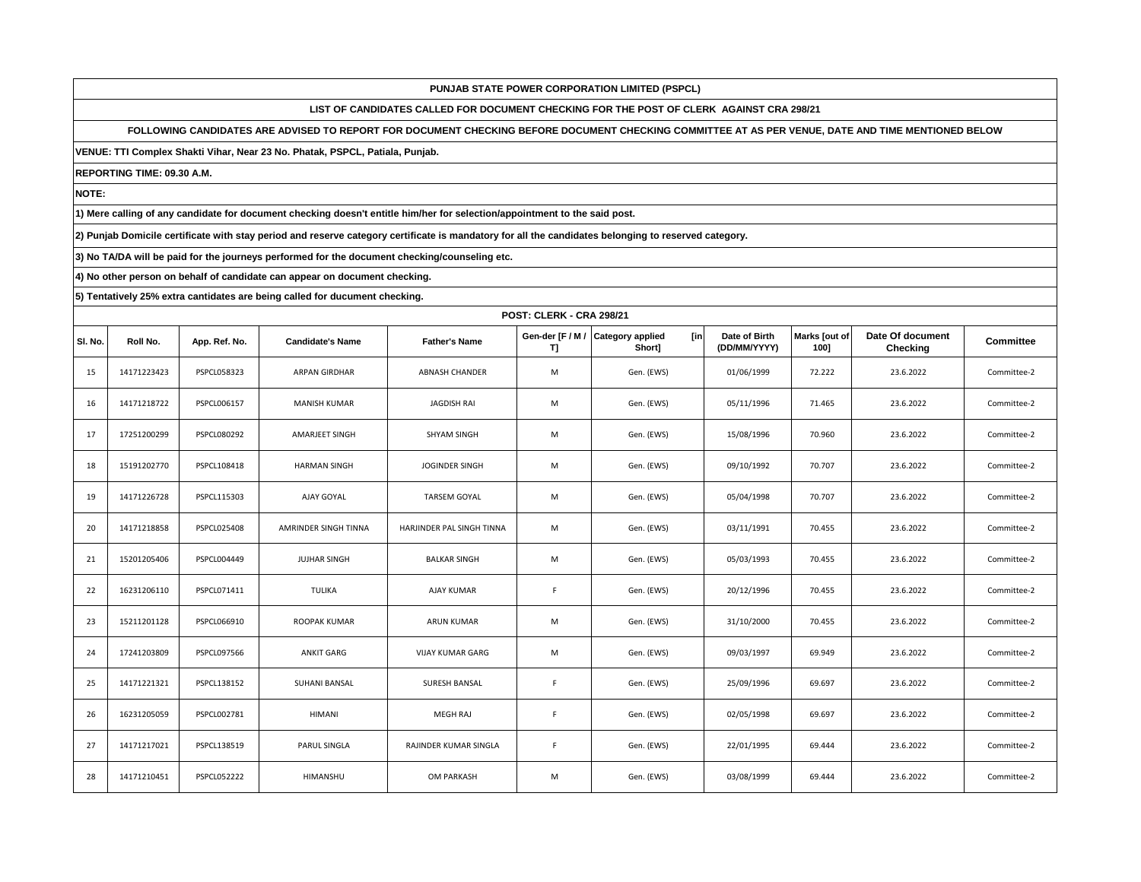**LIST OF CANDIDATES CALLED FOR DOCUMENT CHECKING FOR THE POST OF CLERK AGAINST CRA 298/21**

**FOLLOWING CANDIDATES ARE ADVISED TO REPORT FOR DOCUMENT CHECKING BEFORE DOCUMENT CHECKING COMMITTEE AT AS PER VENUE, DATE AND TIME MENTIONED BELOW** 

**VENUE: TTI Complex Shakti Vihar, Near 23 No. Phatak, PSPCL, Patiala, Punjab.**

**REPORTING TIME: 09.30 A.M.**

**NOTE:**

**1) Mere calling of any candidate for document checking doesn't entitle him/her for selection/appointment to the said post.**

**2) Punjab Domicile certificate with stay period and reserve category certificate is mandatory for all the candidates belonging to reserved category.**

**3) No TA/DA will be paid for the journeys performed for the document checking/counseling etc.**

**4) No other person on behalf of candidate can appear on document checking.**

|         |             | POST: CLERK - CRA 298/21 |                         |                           |                        |                                          |                               |                       |                              |                  |  |  |
|---------|-------------|--------------------------|-------------------------|---------------------------|------------------------|------------------------------------------|-------------------------------|-----------------------|------------------------------|------------------|--|--|
| SI. No. | Roll No.    | App. Ref. No.            | <b>Candidate's Name</b> | <b>Father's Name</b>      | Gen-der [F / M /<br>T] | <b>Category applied</b><br>[in<br>Short] | Date of Birth<br>(DD/MM/YYYY) | Marks [out of<br>1001 | Date Of document<br>Checking | <b>Committee</b> |  |  |
| 15      | 14171223423 | PSPCL058323              | <b>ARPAN GIRDHAR</b>    | <b>ABNASH CHANDER</b>     | M                      | Gen. (EWS)                               | 01/06/1999                    | 72.222                | 23.6.2022                    | Committee-2      |  |  |
| 16      | 14171218722 | PSPCL006157              | <b>MANISH KUMAR</b>     | JAGDISH RAI               | M                      | Gen. (EWS)                               | 05/11/1996                    | 71.465                | 23.6.2022                    | Committee-2      |  |  |
| 17      | 17251200299 | PSPCL080292              | AMARJEET SINGH          | <b>SHYAM SINGH</b>        | M                      | Gen. (EWS)                               | 15/08/1996                    | 70.960                | 23.6.2022                    | Committee-2      |  |  |
| 18      | 15191202770 | PSPCL108418              | <b>HARMAN SINGH</b>     | <b>JOGINDER SINGH</b>     | M                      | Gen. (EWS)                               | 09/10/1992                    | 70.707                | 23.6.2022                    | Committee-2      |  |  |
| 19      | 14171226728 | PSPCL115303              | AJAY GOYAL              | <b>TARSEM GOYAL</b>       | M                      | Gen. (EWS)                               | 05/04/1998                    | 70.707                | 23.6.2022                    | Committee-2      |  |  |
| 20      | 14171218858 | PSPCL025408              | AMRINDER SINGH TINNA    | HARJINDER PAL SINGH TINNA | M                      | Gen. (EWS)                               | 03/11/1991                    | 70.455                | 23.6.2022                    | Committee-2      |  |  |
| 21      | 15201205406 | PSPCL004449              | <b>JUJHAR SINGH</b>     | <b>BALKAR SINGH</b>       | M                      | Gen. (EWS)                               | 05/03/1993                    | 70.455                | 23.6.2022                    | Committee-2      |  |  |
| 22      | 16231206110 | PSPCL071411              | <b>TULIKA</b>           | AJAY KUMAR                | F                      | Gen. (EWS)                               | 20/12/1996                    | 70.455                | 23.6.2022                    | Committee-2      |  |  |
| 23      | 15211201128 | PSPCL066910              | ROOPAK KUMAR            | <b>ARUN KUMAR</b>         | M                      | Gen. (EWS)                               | 31/10/2000                    | 70.455                | 23.6.2022                    | Committee-2      |  |  |
| 24      | 17241203809 | PSPCL097566              | <b>ANKIT GARG</b>       | <b>VIJAY KUMAR GARG</b>   | M                      | Gen. (EWS)                               | 09/03/1997                    | 69.949                | 23.6.2022                    | Committee-2      |  |  |
| 25      | 14171221321 | PSPCL138152              | SUHANI BANSAL           | SURESH BANSAL             | $\mathsf F$            | Gen. (EWS)                               | 25/09/1996                    | 69.697                | 23.6.2022                    | Committee-2      |  |  |
| 26      | 16231205059 | PSPCL002781              | <b>HIMANI</b>           | <b>MEGH RAJ</b>           | F                      | Gen. (EWS)                               | 02/05/1998                    | 69.697                | 23.6.2022                    | Committee-2      |  |  |
| 27      | 14171217021 | PSPCL138519              | PARUL SINGLA            | RAJINDER KUMAR SINGLA     | $\mathsf F$            | Gen. (EWS)                               | 22/01/1995                    | 69.444                | 23.6.2022                    | Committee-2      |  |  |
| 28      | 14171210451 | <b>PSPCL052222</b>       | HIMANSHU                | OM PARKASH                | M                      | Gen. (EWS)                               | 03/08/1999                    | 69.444                | 23.6.2022                    | Committee-2      |  |  |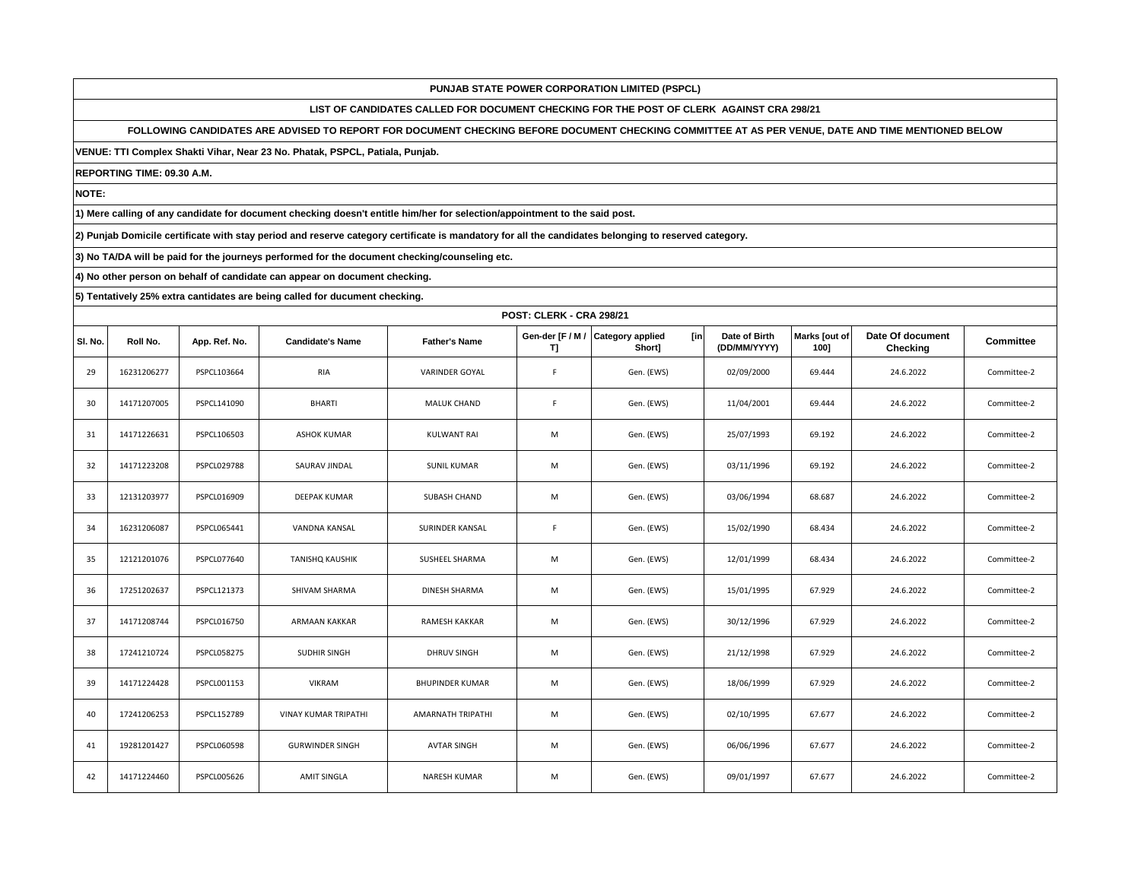**LIST OF CANDIDATES CALLED FOR DOCUMENT CHECKING FOR THE POST OF CLERK AGAINST CRA 298/21**

**FOLLOWING CANDIDATES ARE ADVISED TO REPORT FOR DOCUMENT CHECKING BEFORE DOCUMENT CHECKING COMMITTEE AT AS PER VENUE, DATE AND TIME MENTIONED BELOW** 

**VENUE: TTI Complex Shakti Vihar, Near 23 No. Phatak, PSPCL, Patiala, Punjab.**

**REPORTING TIME: 09.30 A.M.**

**NOTE:**

**1) Mere calling of any candidate for document checking doesn't entitle him/her for selection/appointment to the said post.**

**2) Punjab Domicile certificate with stay period and reserve category certificate is mandatory for all the candidates belonging to reserved category.**

**3) No TA/DA will be paid for the journeys performed for the document checking/counseling etc.**

**4) No other person on behalf of candidate can appear on document checking.**

|         | POST: CLERK - CRA 298/21 |                    |                             |                        |                        |                                          |                               |                       |                              |                  |  |
|---------|--------------------------|--------------------|-----------------------------|------------------------|------------------------|------------------------------------------|-------------------------------|-----------------------|------------------------------|------------------|--|
| SI. No. | Roll No.                 | App. Ref. No.      | <b>Candidate's Name</b>     | <b>Father's Name</b>   | Gen-der [F / M /<br>T] | <b>Category applied</b><br>[in<br>Short] | Date of Birth<br>(DD/MM/YYYY) | Marks [out of<br>1001 | Date Of document<br>Checking | <b>Committee</b> |  |
| 29      | 16231206277              | PSPCL103664        | RIA                         | VARINDER GOYAL         | F                      | Gen. (EWS)                               | 02/09/2000                    | 69.444                | 24.6.2022                    | Committee-2      |  |
| 30      | 14171207005              | PSPCL141090        | <b>BHARTI</b>               | <b>MALUK CHAND</b>     | F                      | Gen. (EWS)                               | 11/04/2001                    | 69.444                | 24.6.2022                    | Committee-2      |  |
| 31      | 14171226631              | PSPCL106503        | ASHOK KUMAR                 | <b>KULWANT RAI</b>     | M                      | Gen. (EWS)                               | 25/07/1993                    | 69.192                | 24.6.2022                    | Committee-2      |  |
| 32      | 14171223208              | <b>PSPCL029788</b> | SAURAV JINDAL               | <b>SUNIL KUMAR</b>     | M                      | Gen. (EWS)                               | 03/11/1996                    | 69.192                | 24.6.2022                    | Committee-2      |  |
| 33      | 12131203977              | PSPCL016909        | DEEPAK KUMAR                | SUBASH CHAND           | M                      | Gen. (EWS)                               | 03/06/1994                    | 68.687                | 24.6.2022                    | Committee-2      |  |
| 34      | 16231206087              | PSPCL065441        | VANDNA KANSAL               | SURINDER KANSAL        | $\mathsf F$            | Gen. (EWS)                               | 15/02/1990                    | 68.434                | 24.6.2022                    | Committee-2      |  |
| 35      | 12121201076              | PSPCL077640        | <b>TANISHQ KAUSHIK</b>      | SUSHEEL SHARMA         | M                      | Gen. (EWS)                               | 12/01/1999                    | 68.434                | 24.6.2022                    | Committee-2      |  |
| 36      | 17251202637              | PSPCL121373        | SHIVAM SHARMA               | <b>DINESH SHARMA</b>   | M                      | Gen. (EWS)                               | 15/01/1995                    | 67.929                | 24.6.2022                    | Committee-2      |  |
| 37      | 14171208744              | PSPCL016750        | ARMAAN KAKKAR               | RAMESH KAKKAR          | M                      | Gen. (EWS)                               | 30/12/1996                    | 67.929                | 24.6.2022                    | Committee-2      |  |
| 38      | 17241210724              | PSPCL058275        | SUDHIR SINGH                | <b>DHRUV SINGH</b>     | M                      | Gen. (EWS)                               | 21/12/1998                    | 67.929                | 24.6.2022                    | Committee-2      |  |
| 39      | 14171224428              | PSPCL001153        | VIKRAM                      | <b>BHUPINDER KUMAR</b> | M                      | Gen. (EWS)                               | 18/06/1999                    | 67.929                | 24.6.2022                    | Committee-2      |  |
| 40      | 17241206253              | PSPCL152789        | <b>VINAY KUMAR TRIPATHI</b> | AMARNATH TRIPATHI      | M                      | Gen. (EWS)                               | 02/10/1995                    | 67.677                | 24.6.2022                    | Committee-2      |  |
| 41      | 19281201427              | <b>PSPCL060598</b> | <b>GURWINDER SINGH</b>      | AVTAR SINGH            | M                      | Gen. (EWS)                               | 06/06/1996                    | 67.677                | 24.6.2022                    | Committee-2      |  |
| 42      | 14171224460              | PSPCL005626        | <b>AMIT SINGLA</b>          | <b>NARESH KUMAR</b>    | M                      | Gen. (EWS)                               | 09/01/1997                    | 67.677                | 24.6.2022                    | Committee-2      |  |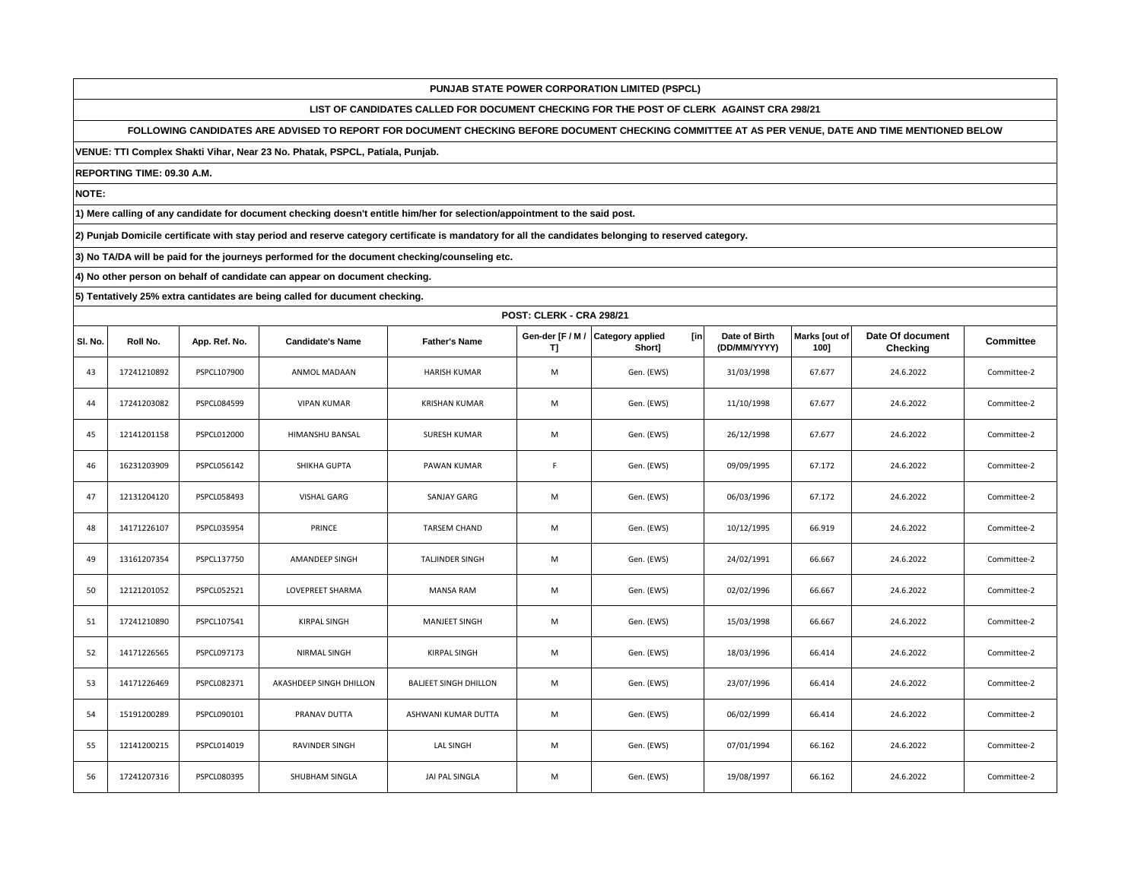**LIST OF CANDIDATES CALLED FOR DOCUMENT CHECKING FOR THE POST OF CLERK AGAINST CRA 298/21**

**FOLLOWING CANDIDATES ARE ADVISED TO REPORT FOR DOCUMENT CHECKING BEFORE DOCUMENT CHECKING COMMITTEE AT AS PER VENUE, DATE AND TIME MENTIONED BELOW** 

**VENUE: TTI Complex Shakti Vihar, Near 23 No. Phatak, PSPCL, Patiala, Punjab.**

**REPORTING TIME: 09.30 A.M.**

**NOTE:**

**1) Mere calling of any candidate for document checking doesn't entitle him/her for selection/appointment to the said post.**

**2) Punjab Domicile certificate with stay period and reserve category certificate is mandatory for all the candidates belonging to reserved category.**

**3) No TA/DA will be paid for the journeys performed for the document checking/counseling etc.**

**4) No other person on behalf of candidate can appear on document checking.**

|         | POST: CLERK - CRA 298/21 |               |                         |                              |                        |                                          |                               |                       |                              |                  |  |
|---------|--------------------------|---------------|-------------------------|------------------------------|------------------------|------------------------------------------|-------------------------------|-----------------------|------------------------------|------------------|--|
| SI. No. | Roll No.                 | App. Ref. No. | <b>Candidate's Name</b> | <b>Father's Name</b>         | Gen-der [F / M /<br>T] | <b>Category applied</b><br>[in<br>Short] | Date of Birth<br>(DD/MM/YYYY) | Marks [out of<br>1001 | Date Of document<br>Checking | <b>Committee</b> |  |
| 43      | 17241210892              | PSPCL107900   | ANMOL MADAAN            | <b>HARISH KUMAR</b>          | M                      | Gen. (EWS)                               | 31/03/1998                    | 67.677                | 24.6.2022                    | Committee-2      |  |
| 44      | 17241203082              | PSPCL084599   | <b>VIPAN KUMAR</b>      | KRISHAN KUMAR                | M                      | Gen. (EWS)                               | 11/10/1998                    | 67.677                | 24.6.2022                    | Committee-2      |  |
| 45      | 12141201158              | PSPCL012000   | <b>HIMANSHU BANSAL</b>  | <b>SURESH KUMAR</b>          | M                      | Gen. (EWS)                               | 26/12/1998                    | 67.677                | 24.6.2022                    | Committee-2      |  |
| 46      | 16231203909              | PSPCL056142   | SHIKHA GUPTA            | <b>PAWAN KUMAR</b>           | $\mathsf F$            | Gen. (EWS)                               | 09/09/1995                    | 67.172                | 24.6.2022                    | Committee-2      |  |
| 47      | 12131204120              | PSPCL058493   | VISHAL GARG             | SANJAY GARG                  | M                      | Gen. (EWS)                               | 06/03/1996                    | 67.172                | 24.6.2022                    | Committee-2      |  |
| 48      | 14171226107              | PSPCL035954   | PRINCE                  | TARSEM CHAND                 | M                      | Gen. (EWS)                               | 10/12/1995                    | 66.919                | 24.6.2022                    | Committee-2      |  |
| 49      | 13161207354              | PSPCL137750   | AMANDEEP SINGH          | <b>TALJINDER SINGH</b>       | M                      | Gen. (EWS)                               | 24/02/1991                    | 66.667                | 24.6.2022                    | Committee-2      |  |
| 50      | 12121201052              | PSPCL052521   | <b>LOVEPREET SHARMA</b> | <b>MANSA RAM</b>             | M                      | Gen. (EWS)                               | 02/02/1996                    | 66.667                | 24.6.2022                    | Committee-2      |  |
| 51      | 17241210890              | PSPCL107541   | KIRPAL SINGH            | <b>MANJEET SINGH</b>         | M                      | Gen. (EWS)                               | 15/03/1998                    | 66.667                | 24.6.2022                    | Committee-2      |  |
| 52      | 14171226565              | PSPCL097173   | NIRMAL SINGH            | KIRPAL SINGH                 | M                      | Gen. (EWS)                               | 18/03/1996                    | 66.414                | 24.6.2022                    | Committee-2      |  |
| 53      | 14171226469              | PSPCL082371   | AKASHDEEP SINGH DHILLON | <b>BALJEET SINGH DHILLON</b> | M                      | Gen. (EWS)                               | 23/07/1996                    | 66.414                | 24.6.2022                    | Committee-2      |  |
| 54      | 15191200289              | PSPCL090101   | PRANAV DUTTA            | ASHWANI KUMAR DUTTA          | M                      | Gen. (EWS)                               | 06/02/1999                    | 66.414                | 24.6.2022                    | Committee-2      |  |
| 55      | 12141200215              | PSPCL014019   | RAVINDER SINGH          | LAL SINGH                    | M                      | Gen. (EWS)                               | 07/01/1994                    | 66.162                | 24.6.2022                    | Committee-2      |  |
| 56      | 17241207316              | PSPCL080395   | SHUBHAM SINGLA          | JAI PAL SINGLA               | M                      | Gen. (EWS)                               | 19/08/1997                    | 66.162                | 24.6.2022                    | Committee-2      |  |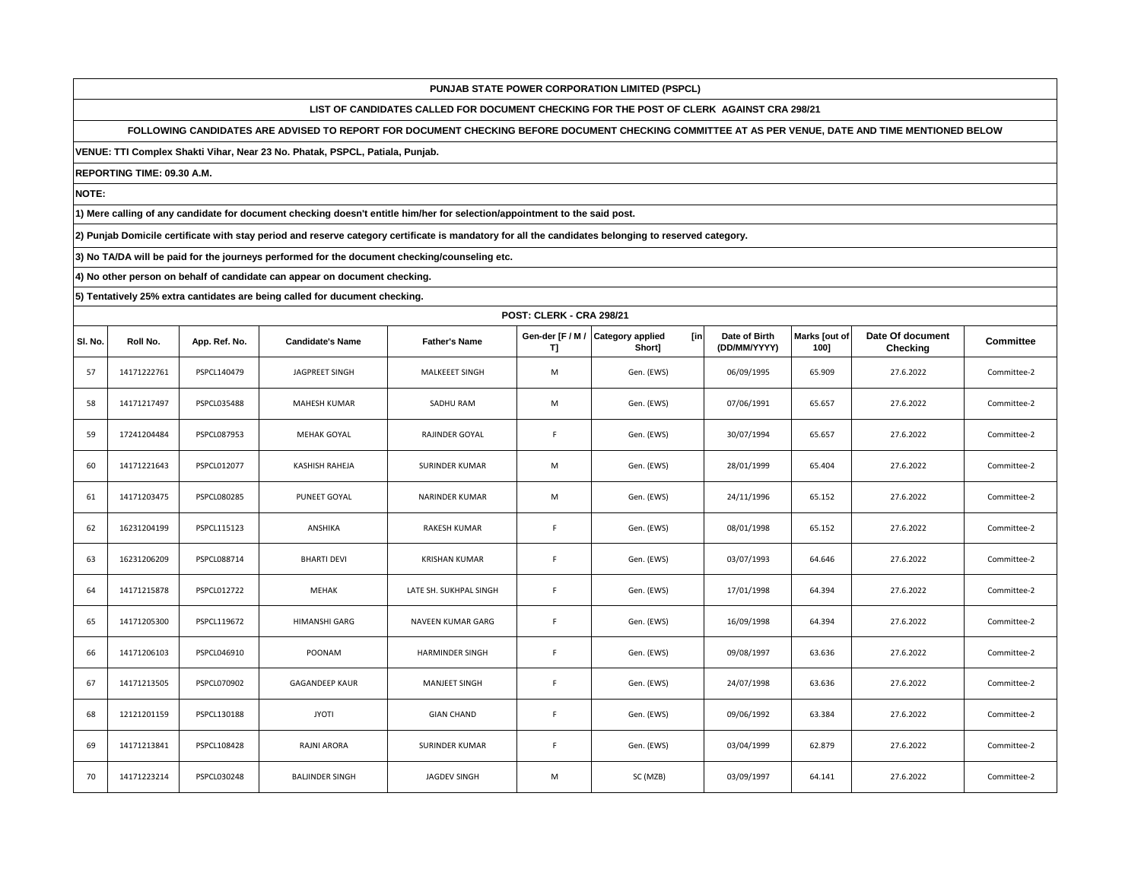**LIST OF CANDIDATES CALLED FOR DOCUMENT CHECKING FOR THE POST OF CLERK AGAINST CRA 298/21**

**FOLLOWING CANDIDATES ARE ADVISED TO REPORT FOR DOCUMENT CHECKING BEFORE DOCUMENT CHECKING COMMITTEE AT AS PER VENUE, DATE AND TIME MENTIONED BELOW** 

**VENUE: TTI Complex Shakti Vihar, Near 23 No. Phatak, PSPCL, Patiala, Punjab.**

**REPORTING TIME: 09.30 A.M.**

**NOTE:**

**1) Mere calling of any candidate for document checking doesn't entitle him/her for selection/appointment to the said post.**

**2) Punjab Domicile certificate with stay period and reserve category certificate is mandatory for all the candidates belonging to reserved category.**

**3) No TA/DA will be paid for the journeys performed for the document checking/counseling etc.**

**4) No other person on behalf of candidate can appear on document checking.**

|         | POST: CLERK - CRA 298/21 |                    |                         |                        |                        |                                          |                               |                       |                              |                  |  |
|---------|--------------------------|--------------------|-------------------------|------------------------|------------------------|------------------------------------------|-------------------------------|-----------------------|------------------------------|------------------|--|
| SI. No. | Roll No.                 | App. Ref. No.      | <b>Candidate's Name</b> | <b>Father's Name</b>   | Gen-der [F / M /<br>T) | <b>Category applied</b><br>[in<br>Short] | Date of Birth<br>(DD/MM/YYYY) | Marks [out of<br>1001 | Date Of document<br>Checking | <b>Committee</b> |  |
| 57      | 14171222761              | PSPCL140479        | JAGPREET SINGH          | MALKEEET SINGH         | M                      | Gen. (EWS)                               | 06/09/1995                    | 65.909                | 27.6.2022                    | Committee-2      |  |
| 58      | 14171217497              | PSPCL035488        | MAHESH KUMAR            | SADHU RAM              | M                      | Gen. (EWS)                               | 07/06/1991                    | 65.657                | 27.6.2022                    | Committee-2      |  |
| 59      | 17241204484              | PSPCL087953        | <b>MEHAK GOYAL</b>      | <b>RAJINDER GOYAL</b>  | F                      | Gen. (EWS)                               | 30/07/1994                    | 65.657                | 27.6.2022                    | Committee-2      |  |
| 60      | 14171221643              | PSPCL012077        | KASHISH RAHEJA          | <b>SURINDER KUMAR</b>  | M                      | Gen. (EWS)                               | 28/01/1999                    | 65.404                | 27.6.2022                    | Committee-2      |  |
| 61      | 14171203475              | PSPCL080285        | PUNEET GOYAL            | <b>NARINDER KUMAR</b>  | M                      | Gen. (EWS)                               | 24/11/1996                    | 65.152                | 27.6.2022                    | Committee-2      |  |
| 62      | 16231204199              | PSPCL115123        | ANSHIKA                 | <b>RAKESH KUMAR</b>    | F                      | Gen. (EWS)                               | 08/01/1998                    | 65.152                | 27.6.2022                    | Committee-2      |  |
| 63      | 16231206209              | PSPCL088714        | <b>BHARTI DEVI</b>      | <b>KRISHAN KUMAR</b>   | F                      | Gen. (EWS)                               | 03/07/1993                    | 64.646                | 27.6.2022                    | Committee-2      |  |
| 64      | 14171215878              | <b>PSPCL012722</b> | MEHAK                   | LATE SH. SUKHPAL SINGH | F                      | Gen. (EWS)                               | 17/01/1998                    | 64.394                | 27.6.2022                    | Committee-2      |  |
| 65      | 14171205300              | PSPCL119672        | <b>HIMANSHI GARG</b>    | NAVEEN KUMAR GARG      | F                      | Gen. (EWS)                               | 16/09/1998                    | 64.394                | 27.6.2022                    | Committee-2      |  |
| 66      | 14171206103              | PSPCL046910        | POONAM                  | <b>HARMINDER SINGH</b> | $\mathsf F$            | Gen. (EWS)                               | 09/08/1997                    | 63.636                | 27.6.2022                    | Committee-2      |  |
| 67      | 14171213505              | PSPCL070902        | <b>GAGANDEEP KAUR</b>   | MANJEET SINGH          | $\mathsf F$            | Gen. (EWS)                               | 24/07/1998                    | 63.636                | 27.6.2022                    | Committee-2      |  |
| 68      | 12121201159              | PSPCL130188        | <b>JYOTI</b>            | <b>GIAN CHAND</b>      | F                      | Gen. (EWS)                               | 09/06/1992                    | 63.384                | 27.6.2022                    | Committee-2      |  |
| 69      | 14171213841              | PSPCL108428        | RAJNI ARORA             | <b>SURINDER KUMAR</b>  | F                      | Gen. (EWS)                               | 03/04/1999                    | 62.879                | 27.6.2022                    | Committee-2      |  |
| 70      | 14171223214              | PSPCL030248        | <b>BALJINDER SINGH</b>  | <b>JAGDEV SINGH</b>    | M                      | SC (MZB)                                 | 03/09/1997                    | 64.141                | 27.6.2022                    | Committee-2      |  |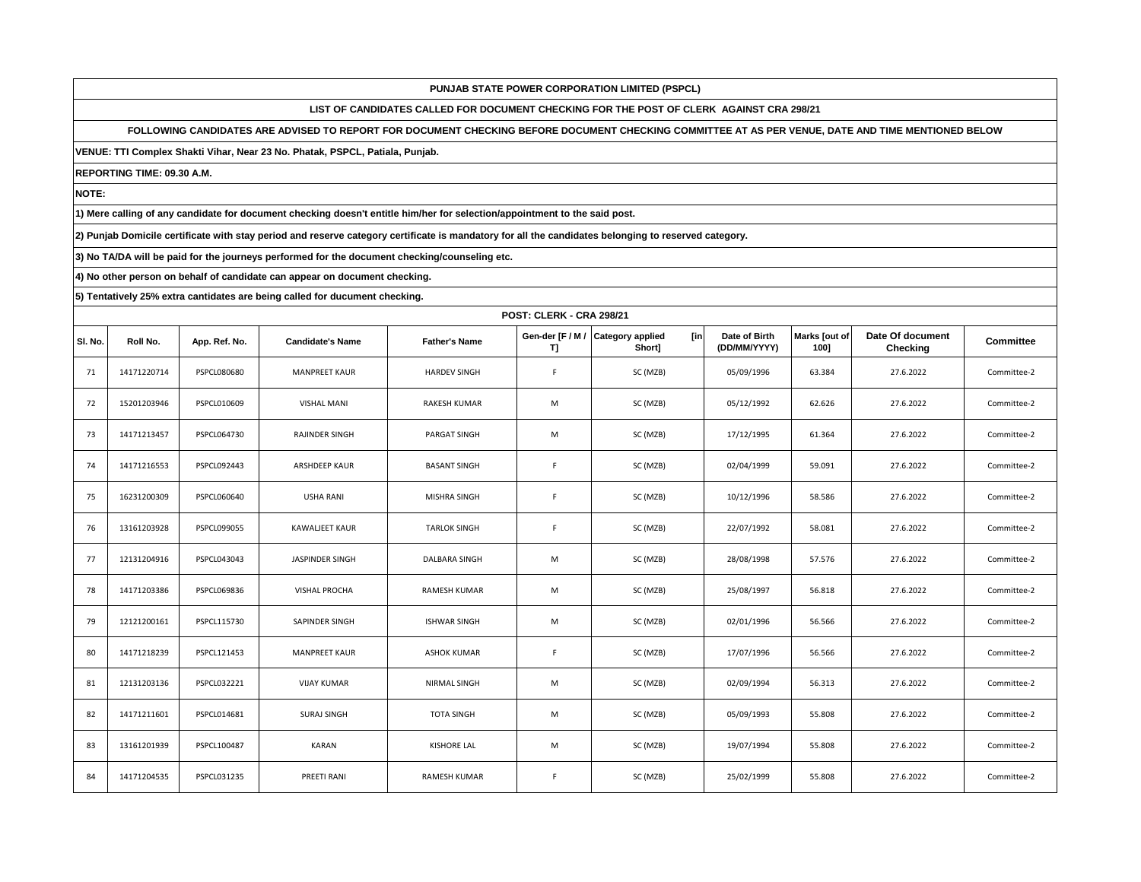**LIST OF CANDIDATES CALLED FOR DOCUMENT CHECKING FOR THE POST OF CLERK AGAINST CRA 298/21**

**FOLLOWING CANDIDATES ARE ADVISED TO REPORT FOR DOCUMENT CHECKING BEFORE DOCUMENT CHECKING COMMITTEE AT AS PER VENUE, DATE AND TIME MENTIONED BELOW** 

**VENUE: TTI Complex Shakti Vihar, Near 23 No. Phatak, PSPCL, Patiala, Punjab.**

**REPORTING TIME: 09.30 A.M.**

**NOTE:**

**1) Mere calling of any candidate for document checking doesn't entitle him/her for selection/appointment to the said post.**

**2) Punjab Domicile certificate with stay period and reserve category certificate is mandatory for all the candidates belonging to reserved category.**

**3) No TA/DA will be paid for the journeys performed for the document checking/counseling etc.**

**4) No other person on behalf of candidate can appear on document checking.**

|         | <b>POST: CLERK - CRA 298/21</b> |               |                         |                      |                        |                                          |                               |                       |                              |             |  |  |
|---------|---------------------------------|---------------|-------------------------|----------------------|------------------------|------------------------------------------|-------------------------------|-----------------------|------------------------------|-------------|--|--|
| SI. No. | Roll No.                        | App. Ref. No. | <b>Candidate's Name</b> | <b>Father's Name</b> | Gen-der [F / M /<br>T] | <b>Category applied</b><br>[in<br>Short] | Date of Birth<br>(DD/MM/YYYY) | Marks [out of<br>1001 | Date Of document<br>Checking | Committee   |  |  |
| 71      | 14171220714                     | PSPCL080680   | <b>MANPREET KAUR</b>    | <b>HARDEV SINGH</b>  | F                      | SC (MZB)                                 | 05/09/1996                    | 63.384                | 27.6.2022                    | Committee-2 |  |  |
| 72      | 15201203946                     | PSPCL010609   | <b>VISHAL MANI</b>      | <b>RAKESH KUMAR</b>  | M                      | SC (MZB)                                 | 05/12/1992                    | 62.626                | 27.6.2022                    | Committee-2 |  |  |
| 73      | 14171213457                     | PSPCL064730   | RAJINDER SINGH          | PARGAT SINGH         | M                      | SC (MZB)                                 | 17/12/1995                    | 61.364                | 27.6.2022                    | Committee-2 |  |  |
| 74      | 14171216553                     | PSPCL092443   | <b>ARSHDEEP KAUR</b>    | <b>BASANT SINGH</b>  | F                      | SC (MZB)                                 | 02/04/1999                    | 59.091                | 27.6.2022                    | Committee-2 |  |  |
| 75      | 16231200309                     | PSPCL060640   | <b>USHA RANI</b>        | MISHRA SINGH         | F.                     | SC (MZB)                                 | 10/12/1996                    | 58.586                | 27.6.2022                    | Committee-2 |  |  |
| 76      | 13161203928                     | PSPCL099055   | KAWALJEET KAUR          | <b>TARLOK SINGH</b>  | $\mathsf F$            | SC (MZB)                                 | 22/07/1992                    | 58.081                | 27.6.2022                    | Committee-2 |  |  |
| 77      | 12131204916                     | PSPCL043043   | JASPINDER SINGH         | DALBARA SINGH        | M                      | SC (MZB)                                 | 28/08/1998                    | 57.576                | 27.6.2022                    | Committee-2 |  |  |
| 78      | 14171203386                     | PSPCL069836   | <b>VISHAL PROCHA</b>    | <b>RAMESH KUMAR</b>  | M                      | SC (MZB)                                 | 25/08/1997                    | 56.818                | 27.6.2022                    | Committee-2 |  |  |
| 79      | 12121200161                     | PSPCL115730   | SAPINDER SINGH          | <b>ISHWAR SINGH</b>  | M                      | SC (MZB)                                 | 02/01/1996                    | 56.566                | 27.6.2022                    | Committee-2 |  |  |
| 80      | 14171218239                     | PSPCL121453   | <b>MANPREET KAUR</b>    | <b>ASHOK KUMAR</b>   | F                      | SC (MZB)                                 | 17/07/1996                    | 56.566                | 27.6.2022                    | Committee-2 |  |  |
| 81      | 12131203136                     | PSPCL032221   | <b>VIJAY KUMAR</b>      | <b>NIRMAL SINGH</b>  | M                      | SC (MZB)                                 | 02/09/1994                    | 56.313                | 27.6.2022                    | Committee-2 |  |  |
| 82      | 14171211601                     | PSPCL014681   | <b>SURAJ SINGH</b>      | <b>TOTA SINGH</b>    | M                      | SC (MZB)                                 | 05/09/1993                    | 55.808                | 27.6.2022                    | Committee-2 |  |  |
| 83      | 13161201939                     | PSPCL100487   | <b>KARAN</b>            | <b>KISHORE LAL</b>   | M                      | SC (MZB)                                 | 19/07/1994                    | 55.808                | 27.6.2022                    | Committee-2 |  |  |
| 84      | 14171204535                     | PSPCL031235   | PREETI RANI             | <b>RAMESH KUMAR</b>  | F                      | SC (MZB)                                 | 25/02/1999                    | 55.808                | 27.6.2022                    | Committee-2 |  |  |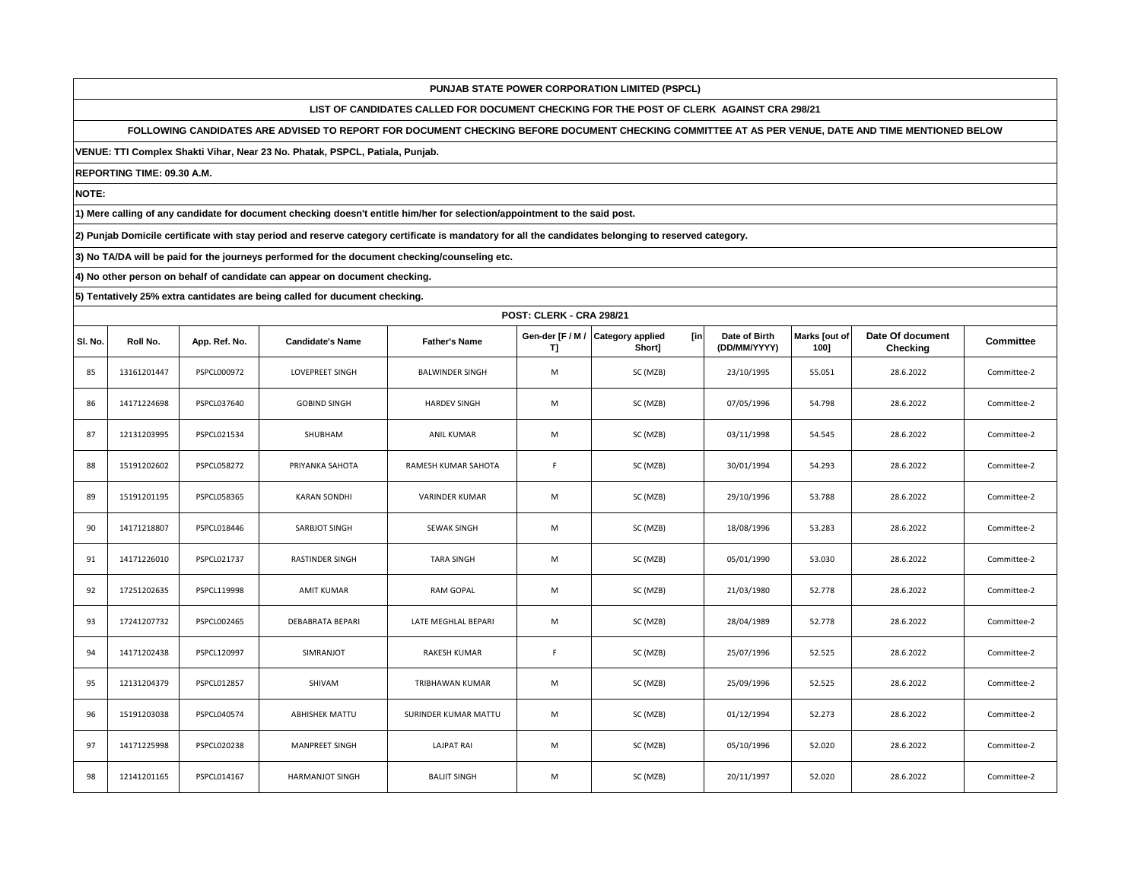**LIST OF CANDIDATES CALLED FOR DOCUMENT CHECKING FOR THE POST OF CLERK AGAINST CRA 298/21**

**FOLLOWING CANDIDATES ARE ADVISED TO REPORT FOR DOCUMENT CHECKING BEFORE DOCUMENT CHECKING COMMITTEE AT AS PER VENUE, DATE AND TIME MENTIONED BELOW** 

**VENUE: TTI Complex Shakti Vihar, Near 23 No. Phatak, PSPCL, Patiala, Punjab.**

**REPORTING TIME: 09.30 A.M.**

**NOTE:**

**1) Mere calling of any candidate for document checking doesn't entitle him/her for selection/appointment to the said post.**

**2) Punjab Domicile certificate with stay period and reserve category certificate is mandatory for all the candidates belonging to reserved category.**

**3) No TA/DA will be paid for the journeys performed for the document checking/counseling etc.**

**4) No other person on behalf of candidate can appear on document checking.**

|         | POST: CLERK - CRA 298/21 |                    |                         |                        |                        |                                          |                               |                       |                              |                  |
|---------|--------------------------|--------------------|-------------------------|------------------------|------------------------|------------------------------------------|-------------------------------|-----------------------|------------------------------|------------------|
| SI. No. | Roll No.                 | App. Ref. No.      | <b>Candidate's Name</b> | <b>Father's Name</b>   | Gen-der [F / M /<br>T] | <b>Category applied</b><br>[in<br>Short] | Date of Birth<br>(DD/MM/YYYY) | Marks [out of<br>1001 | Date Of document<br>Checking | <b>Committee</b> |
| 85      | 13161201447              | PSPCL000972        | <b>LOVEPREET SINGH</b>  | <b>BALWINDER SINGH</b> | M                      | SC (MZB)                                 | 23/10/1995                    | 55.051                | 28.6.2022                    | Committee-2      |
| 86      | 14171224698              | PSPCL037640        | <b>GOBIND SINGH</b>     | <b>HARDEV SINGH</b>    | M                      | SC (MZB)                                 | 07/05/1996                    | 54.798                | 28.6.2022                    | Committee-2      |
| 87      | 12131203995              | PSPCL021534        | SHUBHAM                 | <b>ANIL KUMAR</b>      | M                      | SC (MZB)                                 | 03/11/1998                    | 54.545                | 28.6.2022                    | Committee-2      |
| 88      | 15191202602              | PSPCL058272        | PRIYANKA SAHOTA         | RAMESH KUMAR SAHOTA    | $\mathsf F$            | SC (MZB)                                 | 30/01/1994                    | 54.293                | 28.6.2022                    | Committee-2      |
| 89      | 15191201195              | PSPCL058365        | <b>KARAN SONDHI</b>     | <b>VARINDER KUMAR</b>  | M                      | SC (MZB)                                 | 29/10/1996                    | 53.788                | 28.6.2022                    | Committee-2      |
| 90      | 14171218807              | PSPCL018446        | SARBJOT SINGH           | SEWAK SINGH            | M                      | SC (MZB)                                 | 18/08/1996                    | 53.283                | 28.6.2022                    | Committee-2      |
| 91      | 14171226010              | PSPCL021737        | <b>RASTINDER SINGH</b>  | <b>TARA SINGH</b>      | M                      | SC (MZB)                                 | 05/01/1990                    | 53.030                | 28.6.2022                    | Committee-2      |
| 92      | 17251202635              | PSPCL119998        | AMIT KUMAR              | <b>RAM GOPAL</b>       | M                      | SC (MZB)                                 | 21/03/1980                    | 52.778                | 28.6.2022                    | Committee-2      |
| 93      | 17241207732              | PSPCL002465        | DEBABRATA BEPARI        | LATE MEGHLAL BEPARI    | M                      | SC (MZB)                                 | 28/04/1989                    | 52.778                | 28.6.2022                    | Committee-2      |
| 94      | 14171202438              | PSPCL120997        | SIMRANJOT               | <b>RAKESH KUMAR</b>    | F                      | SC (MZB)                                 | 25/07/1996                    | 52.525                | 28.6.2022                    | Committee-2      |
| 95      | 12131204379              | PSPCL012857        | SHIVAM                  | TRIBHAWAN KUMAR        | M                      | SC (MZB)                                 | 25/09/1996                    | 52.525                | 28.6.2022                    | Committee-2      |
| 96      | 15191203038              | PSPCL040574        | ABHISHEK MATTU          | SURINDER KUMAR MATTU   | M                      | SC (MZB)                                 | 01/12/1994                    | 52.273                | 28.6.2022                    | Committee-2      |
| 97      | 14171225998              | <b>PSPCL020238</b> | <b>MANPREET SINGH</b>   | LAJPAT RAI             | M                      | SC (MZB)                                 | 05/10/1996                    | 52.020                | 28.6.2022                    | Committee-2      |
| 98      | 12141201165              | PSPCL014167        | <b>HARMANJOT SINGH</b>  | <b>BALIT SINGH</b>     | M                      | SC (MZB)                                 | 20/11/1997                    | 52.020                | 28.6.2022                    | Committee-2      |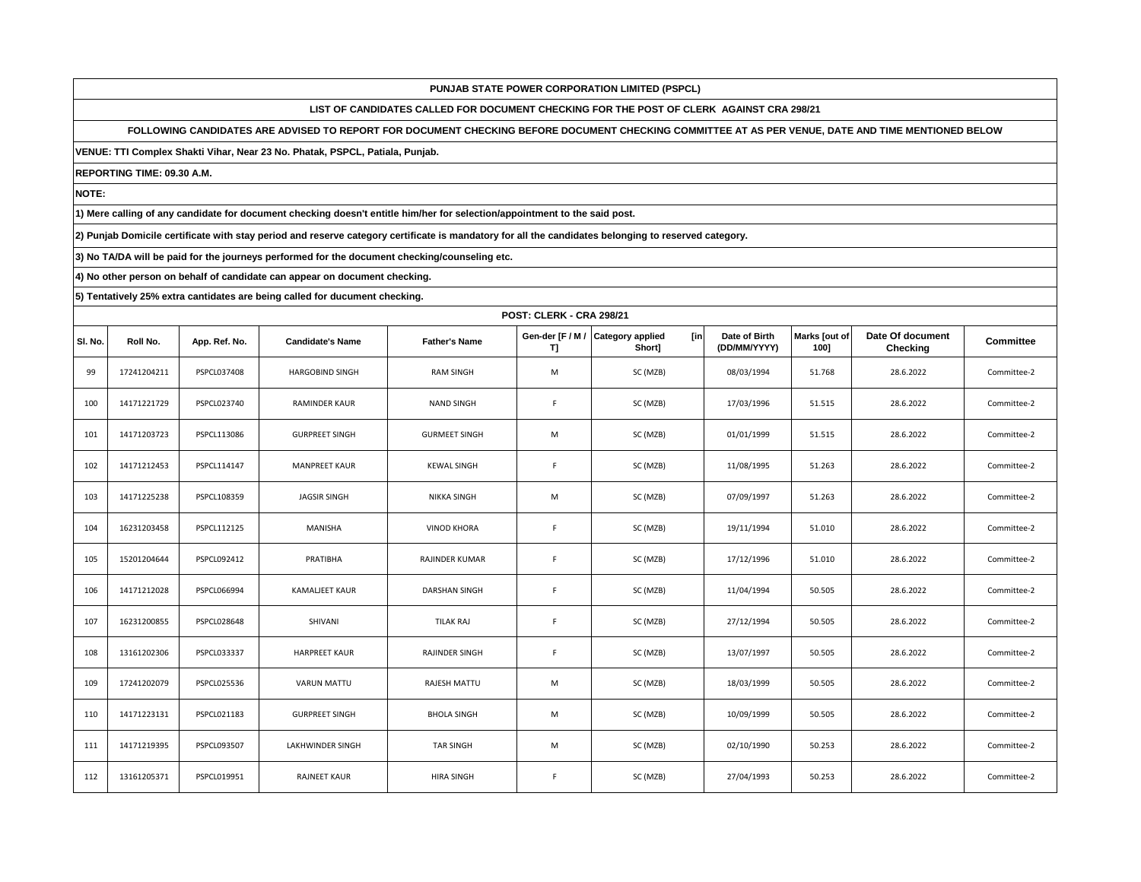**LIST OF CANDIDATES CALLED FOR DOCUMENT CHECKING FOR THE POST OF CLERK AGAINST CRA 298/21**

**FOLLOWING CANDIDATES ARE ADVISED TO REPORT FOR DOCUMENT CHECKING BEFORE DOCUMENT CHECKING COMMITTEE AT AS PER VENUE, DATE AND TIME MENTIONED BELOW** 

**VENUE: TTI Complex Shakti Vihar, Near 23 No. Phatak, PSPCL, Patiala, Punjab.**

**REPORTING TIME: 09.30 A.M.**

**NOTE:**

**1) Mere calling of any candidate for document checking doesn't entitle him/her for selection/appointment to the said post.**

**2) Punjab Domicile certificate with stay period and reserve category certificate is mandatory for all the candidates belonging to reserved category.**

**3) No TA/DA will be paid for the journeys performed for the document checking/counseling etc.**

**4) No other person on behalf of candidate can appear on document checking.**

|         | <b>POST: CLERK - CRA 298/21</b> |               |                         |                       |                        |                                           |                               |                       |                              |                  |
|---------|---------------------------------|---------------|-------------------------|-----------------------|------------------------|-------------------------------------------|-------------------------------|-----------------------|------------------------------|------------------|
| SI. No. | Roll No.                        | App. Ref. No. | <b>Candidate's Name</b> | <b>Father's Name</b>  | Gen-der [F / M /<br>T] | [in]<br><b>Category applied</b><br>Short] | Date of Birth<br>(DD/MM/YYYY) | Marks [out of<br>100] | Date Of document<br>Checking | <b>Committee</b> |
| 99      | 17241204211                     | PSPCL037408   | HARGOBIND SINGH         | <b>RAM SINGH</b>      | M                      | SC (MZB)                                  | 08/03/1994                    | 51.768                | 28.6.2022                    | Committee-2      |
| 100     | 14171221729                     | PSPCL023740   | RAMINDER KAUR           | <b>NAND SINGH</b>     | F                      | SC (MZB)                                  | 17/03/1996                    | 51.515                | 28.6.2022                    | Committee-2      |
| 101     | 14171203723                     | PSPCL113086   | <b>GURPREET SINGH</b>   | <b>GURMEET SINGH</b>  | M                      | SC (MZB)                                  | 01/01/1999                    | 51.515                | 28.6.2022                    | Committee-2      |
| 102     | 14171212453                     | PSPCL114147   | <b>MANPREET KAUR</b>    | <b>KEWAL SINGH</b>    | $\mathsf F$            | SC (MZB)                                  | 11/08/1995                    | 51.263                | 28.6.2022                    | Committee-2      |
| 103     | 14171225238                     | PSPCL108359   | <b>JAGSIR SINGH</b>     | <b>NIKKA SINGH</b>    | M                      | SC (MZB)                                  | 07/09/1997                    | 51.263                | 28.6.2022                    | Committee-2      |
| 104     | 16231203458                     | PSPCL112125   | MANISHA                 | <b>VINOD KHORA</b>    | $\mathsf F$            | SC (MZB)                                  | 19/11/1994                    | 51.010                | 28.6.2022                    | Committee-2      |
| 105     | 15201204644                     | PSPCL092412   | PRATIBHA                | RAJINDER KUMAR        | $\mathsf F$            | SC (MZB)                                  | 17/12/1996                    | 51.010                | 28.6.2022                    | Committee-2      |
| 106     | 14171212028                     | PSPCL066994   | KAMALJEET KAUR          | <b>DARSHAN SINGH</b>  | F                      | SC (MZB)                                  | 11/04/1994                    | 50.505                | 28.6.2022                    | Committee-2      |
| 107     | 16231200855                     | PSPCL028648   | SHIVANI                 | <b>TILAK RAJ</b>      | F                      | SC (MZB)                                  | 27/12/1994                    | 50.505                | 28.6.2022                    | Committee-2      |
| 108     | 13161202306                     | PSPCL033337   | <b>HARPREET KAUR</b>    | <b>RAJINDER SINGH</b> | $\mathsf F$            | SC (MZB)                                  | 13/07/1997                    | 50.505                | 28.6.2022                    | Committee-2      |
| 109     | 17241202079                     | PSPCL025536   | <b>VARUN MATTU</b>      | RAJESH MATTU          | M                      | SC (MZB)                                  | 18/03/1999                    | 50.505                | 28.6.2022                    | Committee-2      |
| 110     | 14171223131                     | PSPCL021183   | <b>GURPREET SINGH</b>   | <b>BHOLA SINGH</b>    | M                      | SC (MZB)                                  | 10/09/1999                    | 50.505                | 28.6.2022                    | Committee-2      |
| 111     | 14171219395                     | PSPCL093507   | LAKHWINDER SINGH        | <b>TAR SINGH</b>      | M                      | SC (MZB)                                  | 02/10/1990                    | 50.253                | 28.6.2022                    | Committee-2      |
| 112     | 13161205371                     | PSPCL019951   | <b>RAJNEET KAUR</b>     | <b>HIRA SINGH</b>     | F                      | SC (MZB)                                  | 27/04/1993                    | 50.253                | 28.6.2022                    | Committee-2      |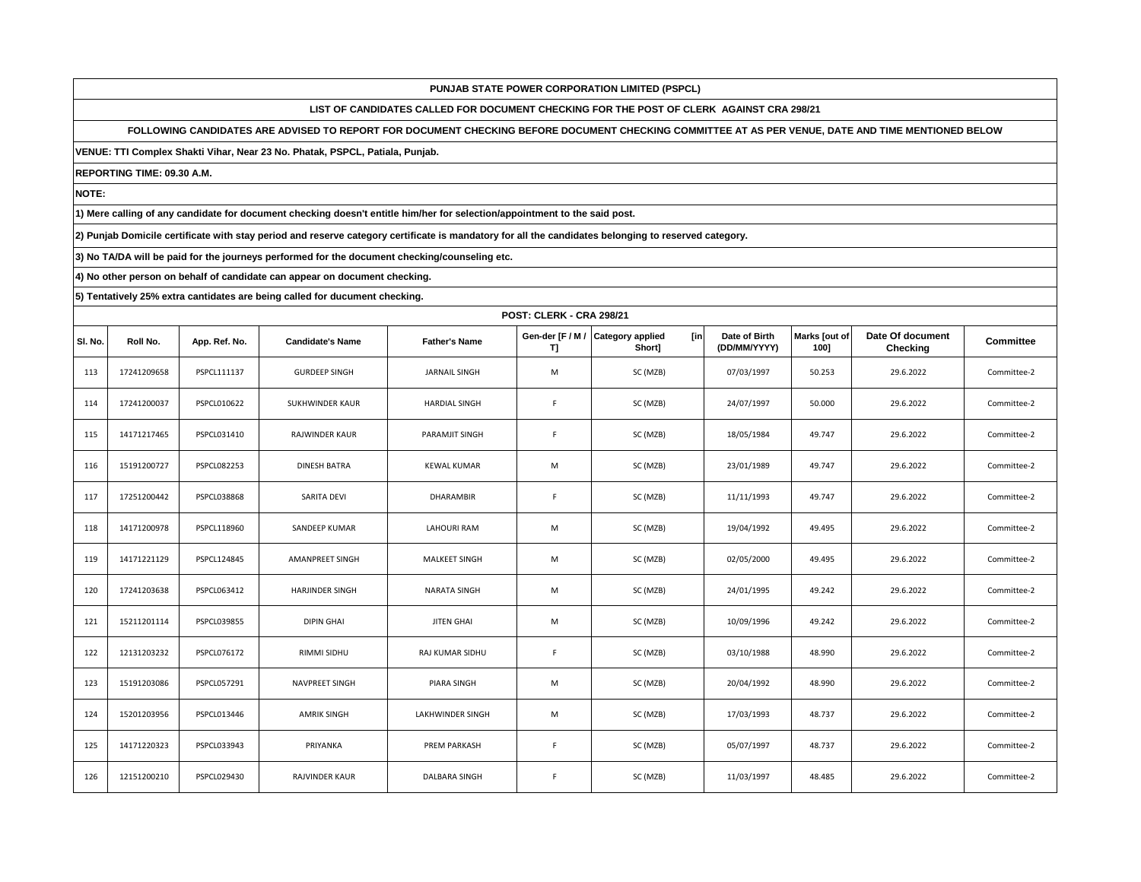**LIST OF CANDIDATES CALLED FOR DOCUMENT CHECKING FOR THE POST OF CLERK AGAINST CRA 298/21**

**FOLLOWING CANDIDATES ARE ADVISED TO REPORT FOR DOCUMENT CHECKING BEFORE DOCUMENT CHECKING COMMITTEE AT AS PER VENUE, DATE AND TIME MENTIONED BELOW** 

**VENUE: TTI Complex Shakti Vihar, Near 23 No. Phatak, PSPCL, Patiala, Punjab.**

**REPORTING TIME: 09.30 A.M.**

**NOTE:**

**1) Mere calling of any candidate for document checking doesn't entitle him/her for selection/appointment to the said post.**

**2) Punjab Domicile certificate with stay period and reserve category certificate is mandatory for all the candidates belonging to reserved category.**

**3) No TA/DA will be paid for the journeys performed for the document checking/counseling etc.**

**4) No other person on behalf of candidate can appear on document checking.**

|         | <b>POST: CLERK - CRA 298/21</b> |                    |                         |                      |                        |                                           |                               |                       |                              |             |
|---------|---------------------------------|--------------------|-------------------------|----------------------|------------------------|-------------------------------------------|-------------------------------|-----------------------|------------------------------|-------------|
| SI. No. | Roll No.                        | App. Ref. No.      | <b>Candidate's Name</b> | <b>Father's Name</b> | Gen-der [F / M /<br>T] | [in]<br><b>Category applied</b><br>Shortl | Date of Birth<br>(DD/MM/YYYY) | Marks [out of<br>1001 | Date Of document<br>Checking | Committee   |
| 113     | 17241209658                     | PSPCL111137        | <b>GURDEEP SINGH</b>    | <b>JARNAIL SINGH</b> | M                      | SC (MZB)                                  | 07/03/1997                    | 50.253                | 29.6.2022                    | Committee-2 |
| 114     | 17241200037                     | PSPCL010622        | SUKHWINDER KAUR         | <b>HARDIAL SINGH</b> | $\mathsf F$            | SC (MZB)                                  | 24/07/1997                    | 50.000                | 29.6.2022                    | Committee-2 |
| 115     | 14171217465                     | PSPCL031410        | <b>RAJWINDER KAUR</b>   | PARAMJIT SINGH       | F.                     | SC (MZB)                                  | 18/05/1984                    | 49.747                | 29.6.2022                    | Committee-2 |
| 116     | 15191200727                     | PSPCL082253        | <b>DINESH BATRA</b>     | <b>KEWAL KUMAR</b>   | M                      | SC (MZB)                                  | 23/01/1989                    | 49.747                | 29.6.2022                    | Committee-2 |
| 117     | 17251200442                     | <b>PSPCL038868</b> | SARITA DEVI             | DHARAMBIR            | $\mathsf F$            | SC (MZB)                                  | 11/11/1993                    | 49.747                | 29.6.2022                    | Committee-2 |
| 118     | 14171200978                     | PSPCL118960        | SANDEEP KUMAR           | <b>LAHOURI RAM</b>   | M                      | SC (MZB)                                  | 19/04/1992                    | 49.495                | 29.6.2022                    | Committee-2 |
| 119     | 14171221129                     | PSPCL124845        | AMANPREET SINGH         | <b>MALKEET SINGH</b> | M                      | SC (MZB)                                  | 02/05/2000                    | 49.495                | 29.6.2022                    | Committee-2 |
| 120     | 17241203638                     | PSPCL063412        | <b>HARJINDER SINGH</b>  | <b>NARATA SINGH</b>  | M                      | SC (MZB)                                  | 24/01/1995                    | 49.242                | 29.6.2022                    | Committee-2 |
| 121     | 15211201114                     | PSPCL039855        | <b>DIPIN GHAI</b>       | <b>JITEN GHAI</b>    | M                      | SC (MZB)                                  | 10/09/1996                    | 49.242                | 29.6.2022                    | Committee-2 |
| 122     | 12131203232                     | PSPCL076172        | RIMMI SIDHU             | RAJ KUMAR SIDHU      | F                      | SC (MZB)                                  | 03/10/1988                    | 48.990                | 29.6.2022                    | Committee-2 |
| 123     | 15191203086                     | PSPCL057291        | NAVPREET SINGH          | PIARA SINGH          | M                      | SC (MZB)                                  | 20/04/1992                    | 48.990                | 29.6.2022                    | Committee-2 |
| 124     | 15201203956                     | PSPCL013446        | <b>AMRIK SINGH</b>      | LAKHWINDER SINGH     | M                      | SC (MZB)                                  | 17/03/1993                    | 48.737                | 29.6.2022                    | Committee-2 |
| 125     | 14171220323                     | PSPCL033943        | PRIYANKA                | <b>PREM PARKASH</b>  | F                      | SC (MZB)                                  | 05/07/1997                    | 48.737                | 29.6.2022                    | Committee-2 |
| 126     | 12151200210                     | PSPCL029430        | <b>RAJVINDER KAUR</b>   | DALBARA SINGH        | F                      | SC (MZB)                                  | 11/03/1997                    | 48.485                | 29.6.2022                    | Committee-2 |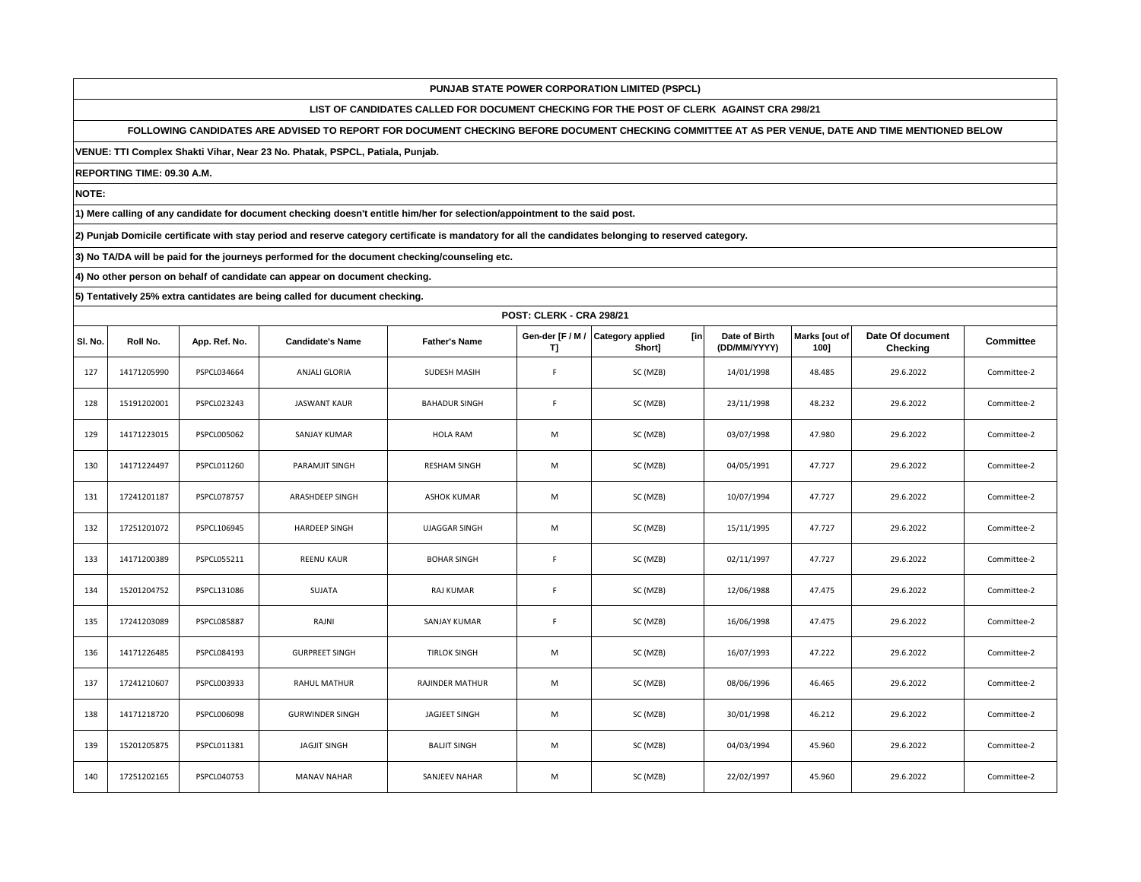**LIST OF CANDIDATES CALLED FOR DOCUMENT CHECKING FOR THE POST OF CLERK AGAINST CRA 298/21**

**FOLLOWING CANDIDATES ARE ADVISED TO REPORT FOR DOCUMENT CHECKING BEFORE DOCUMENT CHECKING COMMITTEE AT AS PER VENUE, DATE AND TIME MENTIONED BELOW** 

**VENUE: TTI Complex Shakti Vihar, Near 23 No. Phatak, PSPCL, Patiala, Punjab.**

**REPORTING TIME: 09.30 A.M.**

**NOTE:**

**1) Mere calling of any candidate for document checking doesn't entitle him/her for selection/appointment to the said post.**

**2) Punjab Domicile certificate with stay period and reserve category certificate is mandatory for all the candidates belonging to reserved category.**

**3) No TA/DA will be paid for the journeys performed for the document checking/counseling etc.**

**4) No other person on behalf of candidate can appear on document checking.**

|         | POST: CLERK - CRA 298/21 |                    |                         |                      |                        |                                          |                               |                       |                              |                  |
|---------|--------------------------|--------------------|-------------------------|----------------------|------------------------|------------------------------------------|-------------------------------|-----------------------|------------------------------|------------------|
| SI. No. | Roll No.                 | App. Ref. No.      | <b>Candidate's Name</b> | <b>Father's Name</b> | Gen-der [F / M /<br>T) | <b>Category applied</b><br>[in<br>Short] | Date of Birth<br>(DD/MM/YYYY) | Marks [out of<br>1001 | Date Of document<br>Checking | <b>Committee</b> |
| 127     | 14171205990              | PSPCL034664        | <b>ANJALI GLORIA</b>    | SUDESH MASIH         | F                      | SC (MZB)                                 | 14/01/1998                    | 48.485                | 29.6.2022                    | Committee-2      |
| 128     | 15191202001              | PSPCL023243        | JASWANT KAUR            | <b>BAHADUR SINGH</b> | F                      | SC (MZB)                                 | 23/11/1998                    | 48.232                | 29.6.2022                    | Committee-2      |
| 129     | 14171223015              | PSPCL005062        | SANJAY KUMAR            | <b>HOLA RAM</b>      | M                      | SC (MZB)                                 | 03/07/1998                    | 47.980                | 29.6.2022                    | Committee-2      |
| 130     | 14171224497              | PSPCL011260        | PARAMJIT SINGH          | <b>RESHAM SINGH</b>  | M                      | SC (MZB)                                 | 04/05/1991                    | 47.727                | 29.6.2022                    | Committee-2      |
| 131     | 17241201187              | PSPCL078757        | ARASHDEEP SINGH         | <b>ASHOK KUMAR</b>   | M                      | SC (MZB)                                 | 10/07/1994                    | 47.727                | 29.6.2022                    | Committee-2      |
| 132     | 17251201072              | PSPCL106945        | <b>HARDEEP SINGH</b>    | <b>UJAGGAR SINGH</b> | M                      | SC (MZB)                                 | 15/11/1995                    | 47.727                | 29.6.2022                    | Committee-2      |
| 133     | 14171200389              | PSPCL055211        | <b>REENU KAUR</b>       | <b>BOHAR SINGH</b>   | F                      | SC (MZB)                                 | 02/11/1997                    | 47.727                | 29.6.2022                    | Committee-2      |
| 134     | 15201204752              | PSPCL131086        | SUJATA                  | RAJ KUMAR            | F                      | SC (MZB)                                 | 12/06/1988                    | 47.475                | 29.6.2022                    | Committee-2      |
| 135     | 17241203089              | <b>PSPCL085887</b> | RAJNI                   | SANJAY KUMAR         | F                      | SC (MZB)                                 | 16/06/1998                    | 47.475                | 29.6.2022                    | Committee-2      |
| 136     | 14171226485              | PSPCL084193        | <b>GURPREET SINGH</b>   | <b>TIRLOK SINGH</b>  | M                      | SC (MZB)                                 | 16/07/1993                    | 47.222                | 29.6.2022                    | Committee-2      |
| 137     | 17241210607              | PSPCL003933        | <b>RAHUL MATHUR</b>     | RAJINDER MATHUR      | M                      | SC (MZB)                                 | 08/06/1996                    | 46.465                | 29.6.2022                    | Committee-2      |
| 138     | 14171218720              | PSPCL006098        | <b>GURWINDER SINGH</b>  | JAGJEET SINGH        | M                      | SC (MZB)                                 | 30/01/1998                    | 46.212                | 29.6.2022                    | Committee-2      |
| 139     | 15201205875              | PSPCL011381        | <b>JAGJIT SINGH</b>     | <b>BALJIT SINGH</b>  | M                      | SC (MZB)                                 | 04/03/1994                    | 45.960                | 29.6.2022                    | Committee-2      |
| 140     | 17251202165              | PSPCL040753        | <b>MANAV NAHAR</b>      | SANJEEV NAHAR        | M                      | SC (MZB)                                 | 22/02/1997                    | 45.960                | 29.6.2022                    | Committee-2      |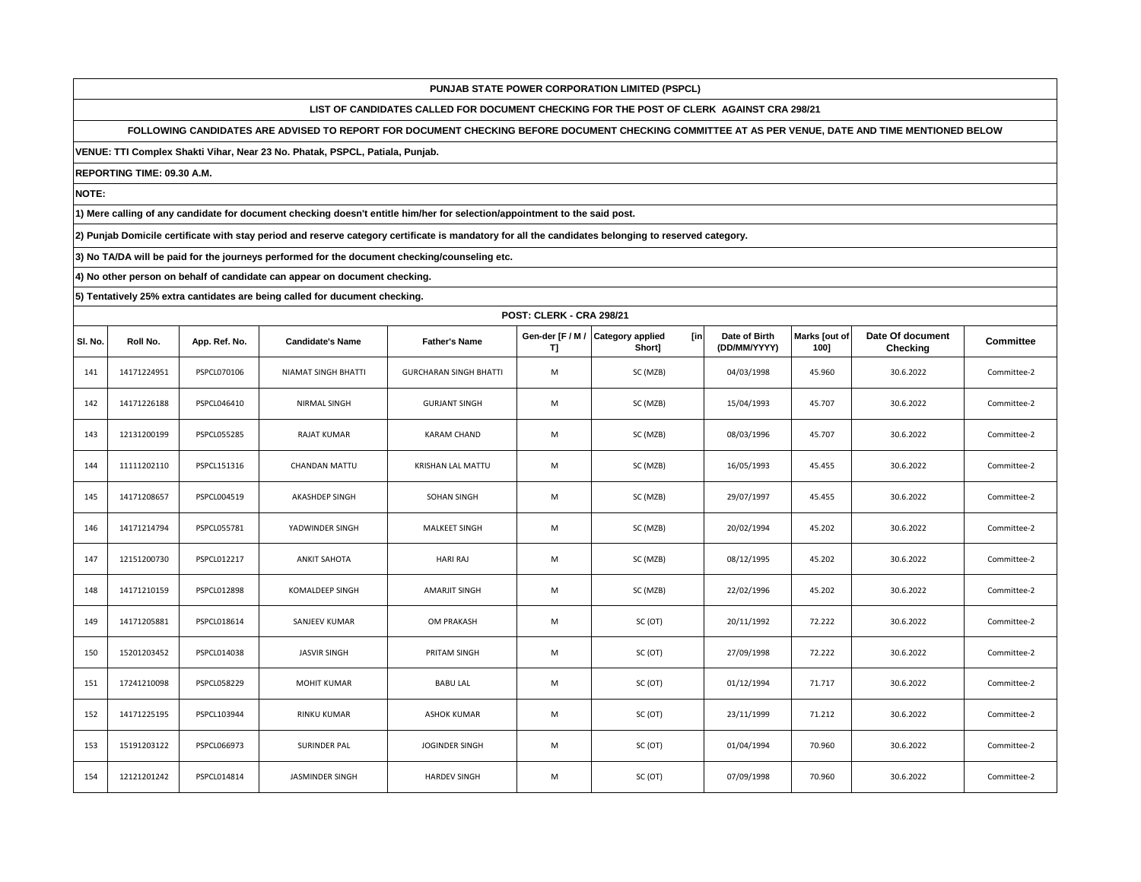**LIST OF CANDIDATES CALLED FOR DOCUMENT CHECKING FOR THE POST OF CLERK AGAINST CRA 298/21**

**FOLLOWING CANDIDATES ARE ADVISED TO REPORT FOR DOCUMENT CHECKING BEFORE DOCUMENT CHECKING COMMITTEE AT AS PER VENUE, DATE AND TIME MENTIONED BELOW** 

**VENUE: TTI Complex Shakti Vihar, Near 23 No. Phatak, PSPCL, Patiala, Punjab.**

**REPORTING TIME: 09.30 A.M.**

**NOTE:**

**1) Mere calling of any candidate for document checking doesn't entitle him/her for selection/appointment to the said post.**

**2) Punjab Domicile certificate with stay period and reserve category certificate is mandatory for all the candidates belonging to reserved category.**

**3) No TA/DA will be paid for the journeys performed for the document checking/counseling etc.**

**4) No other person on behalf of candidate can appear on document checking.**

|         | <b>POST: CLERK - CRA 298/21</b> |                    |                            |                               |    |                                                     |                               |                       |                              |                  |  |
|---------|---------------------------------|--------------------|----------------------------|-------------------------------|----|-----------------------------------------------------|-------------------------------|-----------------------|------------------------------|------------------|--|
| SI. No. | Roll No.                        | App. Ref. No.      | <b>Candidate's Name</b>    | <b>Father's Name</b>          | T] | [in]<br>Gen-der [F / M / Category applied<br>Short] | Date of Birth<br>(DD/MM/YYYY) | Marks [out of<br>100] | Date Of document<br>Checking | <b>Committee</b> |  |
| 141     | 14171224951                     | PSPCL070106        | <b>NIAMAT SINGH BHATTI</b> | <b>GURCHARAN SINGH BHATTI</b> | M  | SC (MZB)                                            | 04/03/1998                    | 45.960                | 30.6.2022                    | Committee-2      |  |
| 142     | 14171226188                     | PSPCL046410        | NIRMAL SINGH               | <b>GURJANT SINGH</b>          | M  | SC (MZB)                                            | 15/04/1993                    | 45.707                | 30.6.2022                    | Committee-2      |  |
| 143     | 12131200199                     | <b>PSPCL055285</b> | <b>RAJAT KUMAR</b>         | <b>KARAM CHAND</b>            | M  | SC (MZB)                                            | 08/03/1996                    | 45.707                | 30.6.2022                    | Committee-2      |  |
| 144     | 11111202110                     | PSPCL151316        | <b>CHANDAN MATTU</b>       | KRISHAN LAL MATTU             | M  | SC (MZB)                                            | 16/05/1993                    | 45.455                | 30.6.2022                    | Committee-2      |  |
| 145     | 14171208657                     | PSPCL004519        | AKASHDEP SINGH             | SOHAN SINGH                   | M  | SC (MZB)                                            | 29/07/1997                    | 45.455                | 30.6.2022                    | Committee-2      |  |
| 146     | 14171214794                     | PSPCL055781        | YADWINDER SINGH            | <b>MALKEET SINGH</b>          | M  | SC (MZB)                                            | 20/02/1994                    | 45.202                | 30.6.2022                    | Committee-2      |  |
| 147     | 12151200730                     | PSPCL012217        | <b>ANKIT SAHOTA</b>        | <b>HARI RAJ</b>               | M  | SC (MZB)                                            | 08/12/1995                    | 45.202                | 30.6.2022                    | Committee-2      |  |
| 148     | 14171210159                     | <b>PSPCL012898</b> | KOMALDEEP SINGH            | <b>AMARJIT SINGH</b>          | M  | SC (MZB)                                            | 22/02/1996                    | 45.202                | 30.6.2022                    | Committee-2      |  |
| 149     | 14171205881                     | PSPCL018614        | SANJEEV KUMAR              | OM PRAKASH                    | M  | SC (OT)                                             | 20/11/1992                    | 72.222                | 30.6.2022                    | Committee-2      |  |
| 150     | 15201203452                     | PSPCL014038        | <b>JASVIR SINGH</b>        | PRITAM SINGH                  | M  | SC (OT)                                             | 27/09/1998                    | 72.222                | 30.6.2022                    | Committee-2      |  |
| 151     | 17241210098                     | PSPCL058229        | MOHIT KUMAR                | <b>BABU LAL</b>               | M  | SC (OT)                                             | 01/12/1994                    | 71.717                | 30.6.2022                    | Committee-2      |  |
| 152     | 14171225195                     | PSPCL103944        | RINKU KUMAR                | <b>ASHOK KUMAR</b>            | M  | SC (OT)                                             | 23/11/1999                    | 71.212                | 30.6.2022                    | Committee-2      |  |
| 153     | 15191203122                     | PSPCL066973        | SURINDER PAL               | JOGINDER SINGH                | M  | SC (OT)                                             | 01/04/1994                    | 70.960                | 30.6.2022                    | Committee-2      |  |
| 154     | 12121201242                     | PSPCL014814        | <b>JASMINDER SINGH</b>     | <b>HARDEV SINGH</b>           | M  | SC (OT)                                             | 07/09/1998                    | 70.960                | 30.6.2022                    | Committee-2      |  |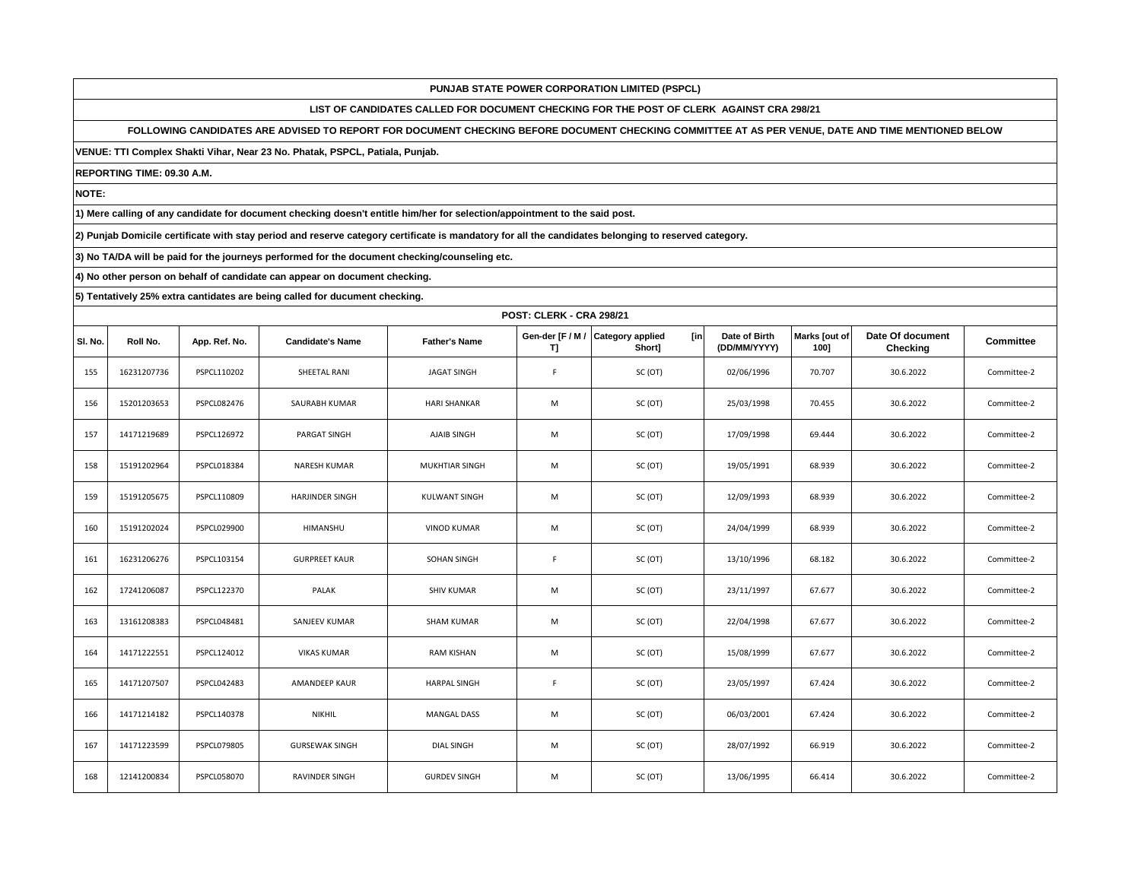**LIST OF CANDIDATES CALLED FOR DOCUMENT CHECKING FOR THE POST OF CLERK AGAINST CRA 298/21**

**FOLLOWING CANDIDATES ARE ADVISED TO REPORT FOR DOCUMENT CHECKING BEFORE DOCUMENT CHECKING COMMITTEE AT AS PER VENUE, DATE AND TIME MENTIONED BELOW** 

**VENUE: TTI Complex Shakti Vihar, Near 23 No. Phatak, PSPCL, Patiala, Punjab.**

**REPORTING TIME: 09.30 A.M.**

**NOTE:**

**1) Mere calling of any candidate for document checking doesn't entitle him/her for selection/appointment to the said post.**

**2) Punjab Domicile certificate with stay period and reserve category certificate is mandatory for all the candidates belonging to reserved category.**

**3) No TA/DA will be paid for the journeys performed for the document checking/counseling etc.**

**4) No other person on behalf of candidate can appear on document checking.**

|         |             | <b>POST: CLERK - CRA 298/21</b> |                         |                       |             |                                                    |                               |                       |                              |             |  |  |  |
|---------|-------------|---------------------------------|-------------------------|-----------------------|-------------|----------------------------------------------------|-------------------------------|-----------------------|------------------------------|-------------|--|--|--|
| SI. No. | Roll No.    | App. Ref. No.                   | <b>Candidate's Name</b> | <b>Father's Name</b>  | T           | Gen-der [F / M / Category applied<br>[in<br>Short] | Date of Birth<br>(DD/MM/YYYY) | Marks Jout of<br>1001 | Date Of document<br>Checking | Committee   |  |  |  |
| 155     | 16231207736 | PSPCL110202                     | SHEETAL RANI            | <b>JAGAT SINGH</b>    | F           | SC (OT)                                            | 02/06/1996                    | 70.707                | 30.6.2022                    | Committee-2 |  |  |  |
| 156     | 15201203653 | PSPCL082476                     | SAURABH KUMAR           | <b>HARI SHANKAR</b>   | M           | SC (OT)                                            | 25/03/1998                    | 70.455                | 30.6.2022                    | Committee-2 |  |  |  |
| 157     | 14171219689 | PSPCL126972                     | PARGAT SINGH            | AJAIB SINGH           | M           | SC (OT)                                            | 17/09/1998                    | 69.444                | 30.6.2022                    | Committee-2 |  |  |  |
| 158     | 15191202964 | PSPCL018384                     | <b>NARESH KUMAR</b>     | <b>MUKHTIAR SINGH</b> | M           | SC (OT)                                            | 19/05/1991                    | 68.939                | 30.6.2022                    | Committee-2 |  |  |  |
| 159     | 15191205675 | PSPCL110809                     | <b>HARJINDER SINGH</b>  | KULWANT SINGH         | M           | SC (OT)                                            | 12/09/1993                    | 68.939                | 30.6.2022                    | Committee-2 |  |  |  |
| 160     | 15191202024 | PSPCL029900                     | HIMANSHU                | <b>VINOD KUMAR</b>    | M           | SC (OT)                                            | 24/04/1999                    | 68.939                | 30.6.2022                    | Committee-2 |  |  |  |
| 161     | 16231206276 | PSPCL103154                     | <b>GURPREET KAUR</b>    | SOHAN SINGH           | $\mathsf F$ | SC (OT)                                            | 13/10/1996                    | 68.182                | 30.6.2022                    | Committee-2 |  |  |  |
| 162     | 17241206087 | PSPCL122370                     | PALAK                   | <b>SHIV KUMAR</b>     | M           | SC (OT)                                            | 23/11/1997                    | 67.677                | 30.6.2022                    | Committee-2 |  |  |  |
| 163     | 13161208383 | PSPCL048481                     | SANJEEV KUMAR           | <b>SHAM KUMAR</b>     | M           | SC (OT)                                            | 22/04/1998                    | 67.677                | 30.6.2022                    | Committee-2 |  |  |  |
| 164     | 14171222551 | PSPCL124012                     | <b>VIKAS KUMAR</b>      | RAM KISHAN            | M           | SC (OT)                                            | 15/08/1999                    | 67.677                | 30.6.2022                    | Committee-2 |  |  |  |
| 165     | 14171207507 | PSPCL042483                     | AMANDEEP KAUR           | <b>HARPAL SINGH</b>   | $\mathsf F$ | SC (OT)                                            | 23/05/1997                    | 67.424                | 30.6.2022                    | Committee-2 |  |  |  |
| 166     | 14171214182 | PSPCL140378                     | <b>NIKHIL</b>           | <b>MANGAL DASS</b>    | M           | SC (OT)                                            | 06/03/2001                    | 67.424                | 30.6.2022                    | Committee-2 |  |  |  |
| 167     | 14171223599 | <b>PSPCL079805</b>              | <b>GURSEWAK SINGH</b>   | <b>DIAL SINGH</b>     | M           | SC (OT)                                            | 28/07/1992                    | 66.919                | 30.6.2022                    | Committee-2 |  |  |  |
| 168     | 12141200834 | PSPCL058070                     | <b>RAVINDER SINGH</b>   | <b>GURDEV SINGH</b>   | M           | SC (OT)                                            | 13/06/1995                    | 66.414                | 30.6.2022                    | Committee-2 |  |  |  |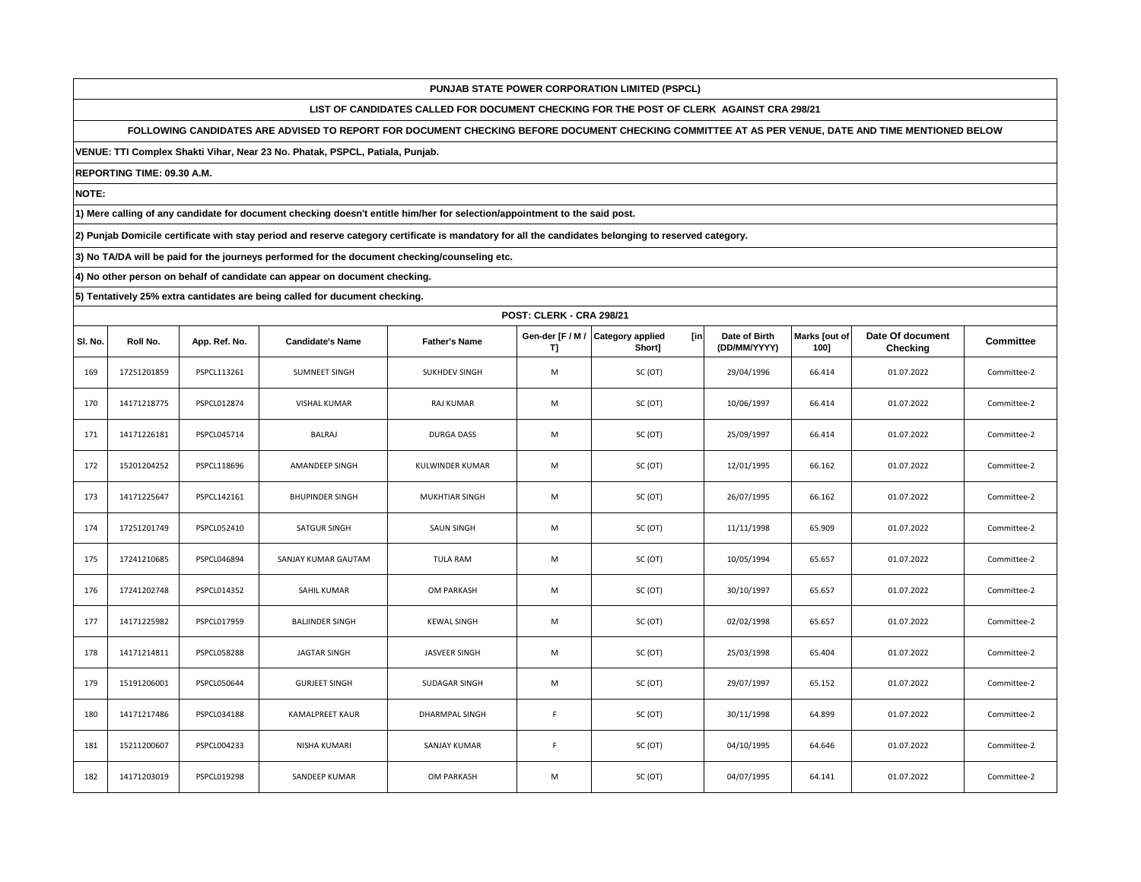**LIST OF CANDIDATES CALLED FOR DOCUMENT CHECKING FOR THE POST OF CLERK AGAINST CRA 298/21**

**FOLLOWING CANDIDATES ARE ADVISED TO REPORT FOR DOCUMENT CHECKING BEFORE DOCUMENT CHECKING COMMITTEE AT AS PER VENUE, DATE AND TIME MENTIONED BELOW** 

**VENUE: TTI Complex Shakti Vihar, Near 23 No. Phatak, PSPCL, Patiala, Punjab.**

**REPORTING TIME: 09.30 A.M.**

**NOTE:**

**1) Mere calling of any candidate for document checking doesn't entitle him/her for selection/appointment to the said post.**

**2) Punjab Domicile certificate with stay period and reserve category certificate is mandatory for all the candidates belonging to reserved category.**

**3) No TA/DA will be paid for the journeys performed for the document checking/counseling etc.**

**4) No other person on behalf of candidate can appear on document checking.**

|         |             | <b>POST: CLERK - CRA 298/21</b> |                         |                        |             |                                                     |                               |                       |                              |             |  |  |  |
|---------|-------------|---------------------------------|-------------------------|------------------------|-------------|-----------------------------------------------------|-------------------------------|-----------------------|------------------------------|-------------|--|--|--|
| SI. No. | Roll No.    | App. Ref. No.                   | <b>Candidate's Name</b> | <b>Father's Name</b>   | T]          | [in]<br>Gen-der [F / M / Category applied<br>Short] | Date of Birth<br>(DD/MM/YYYY) | Marks [out of<br>100] | Date Of document<br>Checking | Committee   |  |  |  |
| 169     | 17251201859 | PSPCL113261                     | <b>SUMNEET SINGH</b>    | SUKHDEV SINGH          | M           | SC (OT)                                             | 29/04/1996                    | 66.414                | 01.07.2022                   | Committee-2 |  |  |  |
| 170     | 14171218775 | PSPCL012874                     | VISHAL KUMAR            | RAJ KUMAR              | M           | SC (OT)                                             | 10/06/1997                    | 66.414                | 01.07.2022                   | Committee-2 |  |  |  |
| 171     | 14171226181 | PSPCL045714                     | BALRAJ                  | <b>DURGA DASS</b>      | M           | SC (OT)                                             | 25/09/1997                    | 66.414                | 01.07.2022                   | Committee-2 |  |  |  |
| 172     | 15201204252 | PSPCL118696                     | AMANDEEP SINGH          | <b>KULWINDER KUMAR</b> | M           | SC (OT)                                             | 12/01/1995                    | 66.162                | 01.07.2022                   | Committee-2 |  |  |  |
| 173     | 14171225647 | PSPCL142161                     | <b>BHUPINDER SINGH</b>  | <b>MUKHTIAR SINGH</b>  | M           | SC (OT)                                             | 26/07/1995                    | 66.162                | 01.07.2022                   | Committee-2 |  |  |  |
| 174     | 17251201749 | PSPCL052410                     | <b>SATGUR SINGH</b>     | <b>SAUN SINGH</b>      | M           | SC(OT)                                              | 11/11/1998                    | 65.909                | 01.07.2022                   | Committee-2 |  |  |  |
| 175     | 17241210685 | PSPCL046894                     | SANJAY KUMAR GAUTAM     | <b>TULA RAM</b>        | M           | SC (OT)                                             | 10/05/1994                    | 65.657                | 01.07.2022                   | Committee-2 |  |  |  |
| 176     | 17241202748 | PSPCL014352                     | SAHIL KUMAR             | OM PARKASH             | M           | SC (OT)                                             | 30/10/1997                    | 65.657                | 01.07.2022                   | Committee-2 |  |  |  |
| 177     | 14171225982 | PSPCL017959                     | <b>BALJINDER SINGH</b>  | <b>KEWAL SINGH</b>     | M           | SC (OT)                                             | 02/02/1998                    | 65.657                | 01.07.2022                   | Committee-2 |  |  |  |
| 178     | 14171214811 | <b>PSPCL058288</b>              | <b>JAGTAR SINGH</b>     | JASVEER SINGH          | M           | SC (OT)                                             | 25/03/1998                    | 65.404                | 01.07.2022                   | Committee-2 |  |  |  |
| 179     | 15191206001 | PSPCL050644                     | <b>GURJEET SINGH</b>    | SUDAGAR SINGH          | M           | SC (OT)                                             | 29/07/1997                    | 65.152                | 01.07.2022                   | Committee-2 |  |  |  |
| 180     | 14171217486 | PSPCL034188                     | <b>KAMALPREET KAUR</b>  | DHARMPAL SINGH         | $\mathsf F$ | SC (OT)                                             | 30/11/1998                    | 64.899                | 01.07.2022                   | Committee-2 |  |  |  |
| 181     | 15211200607 | PSPCL004233                     | NISHA KUMARI            | SANJAY KUMAR           | F           | SC (OT)                                             | 04/10/1995                    | 64.646                | 01.07.2022                   | Committee-2 |  |  |  |
| 182     | 14171203019 | PSPCL019298                     | SANDEEP KUMAR           | OM PARKASH             | M           | SC (OT)                                             | 04/07/1995                    | 64.141                | 01.07.2022                   | Committee-2 |  |  |  |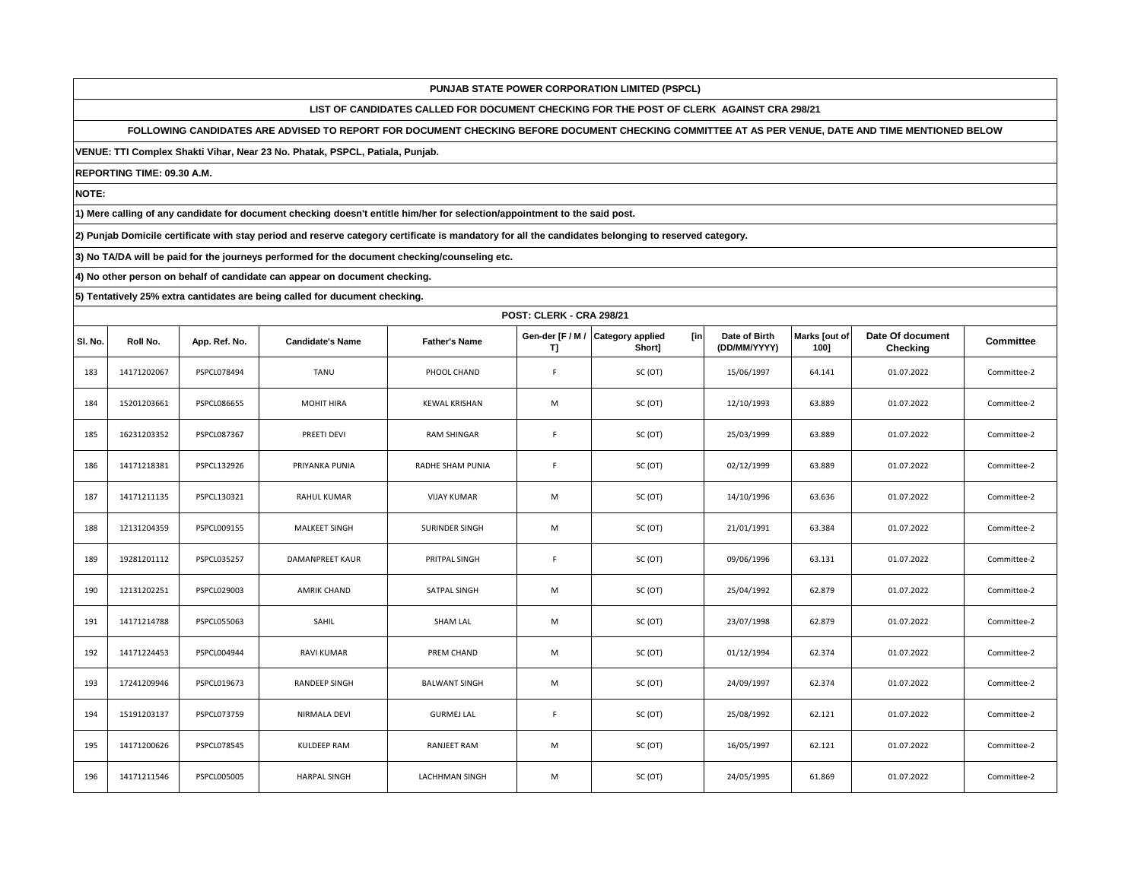**LIST OF CANDIDATES CALLED FOR DOCUMENT CHECKING FOR THE POST OF CLERK AGAINST CRA 298/21**

**FOLLOWING CANDIDATES ARE ADVISED TO REPORT FOR DOCUMENT CHECKING BEFORE DOCUMENT CHECKING COMMITTEE AT AS PER VENUE, DATE AND TIME MENTIONED BELOW** 

**VENUE: TTI Complex Shakti Vihar, Near 23 No. Phatak, PSPCL, Patiala, Punjab.**

**REPORTING TIME: 09.30 A.M.**

**NOTE:**

**1) Mere calling of any candidate for document checking doesn't entitle him/her for selection/appointment to the said post.**

**2) Punjab Domicile certificate with stay period and reserve category certificate is mandatory for all the candidates belonging to reserved category.**

**3) No TA/DA will be paid for the journeys performed for the document checking/counseling etc.**

**4) No other person on behalf of candidate can appear on document checking.**

|         |             | <b>POST: CLERK - CRA 298/21</b> |                         |                       |             |                                                    |                               |                       |                              |                  |  |  |
|---------|-------------|---------------------------------|-------------------------|-----------------------|-------------|----------------------------------------------------|-------------------------------|-----------------------|------------------------------|------------------|--|--|
| SI. No. | Roll No.    | App. Ref. No.                   | <b>Candidate's Name</b> | <b>Father's Name</b>  | T]          | [in<br>Gen-der [F / M / Category applied<br>Short] | Date of Birth<br>(DD/MM/YYYY) | Marks [out of<br>1001 | Date Of document<br>Checking | <b>Committee</b> |  |  |
| 183     | 14171202067 | PSPCL078494                     | TANU                    | PHOOL CHAND           | F           | SC (OT)                                            | 15/06/1997                    | 64.141                | 01.07.2022                   | Committee-2      |  |  |
| 184     | 15201203661 | PSPCL086655                     | MOHIT HIRA              | <b>KEWAL KRISHAN</b>  | M           | SC (OT)                                            | 12/10/1993                    | 63.889                | 01.07.2022                   | Committee-2      |  |  |
| 185     | 16231203352 | <b>PSPCL087367</b>              | PREETI DEVI             | <b>RAM SHINGAR</b>    | F           | SC(OT)                                             | 25/03/1999                    | 63.889                | 01.07.2022                   | Committee-2      |  |  |
| 186     | 14171218381 | PSPCL132926                     | PRIYANKA PUNIA          | RADHE SHAM PUNIA      | $\mathsf F$ | SC (OT)                                            | 02/12/1999                    | 63.889                | 01.07.2022                   | Committee-2      |  |  |
| 187     | 14171211135 | PSPCL130321                     | <b>RAHUL KUMAR</b>      | <b>VIJAY KUMAR</b>    | M           | SC (OT)                                            | 14/10/1996                    | 63.636                | 01.07.2022                   | Committee-2      |  |  |
| 188     | 12131204359 | PSPCL009155                     | MALKEET SINGH           | SURINDER SINGH        | M           | SC (OT)                                            | 21/01/1991                    | 63.384                | 01.07.2022                   | Committee-2      |  |  |
| 189     | 19281201112 | <b>PSPCL035257</b>              | <b>DAMANPREET KAUR</b>  | PRITPAL SINGH         | F.          | SC (OT)                                            | 09/06/1996                    | 63.131                | 01.07.2022                   | Committee-2      |  |  |
| 190     | 12131202251 | PSPCL029003                     | <b>AMRIK CHAND</b>      | SATPAL SINGH          | M           | SC (OT)                                            | 25/04/1992                    | 62.879                | 01.07.2022                   | Committee-2      |  |  |
| 191     | 14171214788 | PSPCL055063                     | SAHIL                   | <b>SHAM LAL</b>       | M           | SC (OT)                                            | 23/07/1998                    | 62.879                | 01.07.2022                   | Committee-2      |  |  |
| 192     | 14171224453 | PSPCL004944                     | <b>RAVI KUMAR</b>       | PREM CHAND            | M           | SC (OT)                                            | 01/12/1994                    | 62.374                | 01.07.2022                   | Committee-2      |  |  |
| 193     | 17241209946 | PSPCL019673                     | RANDEEP SINGH           | <b>BALWANT SINGH</b>  | M           | SC (OT)                                            | 24/09/1997                    | 62.374                | 01.07.2022                   | Committee-2      |  |  |
| 194     | 15191203137 | PSPCL073759                     | NIRMALA DEVI            | <b>GURMEJ LAL</b>     | F           | SC(OT)                                             | 25/08/1992                    | 62.121                | 01.07.2022                   | Committee-2      |  |  |
| 195     | 14171200626 | PSPCL078545                     | KULDEEP RAM             | <b>RANJEET RAM</b>    | M           | SC (OT)                                            | 16/05/1997                    | 62.121                | 01.07.2022                   | Committee-2      |  |  |
| 196     | 14171211546 | PSPCL005005                     | <b>HARPAL SINGH</b>     | <b>LACHHMAN SINGH</b> | M           | SC (OT)                                            | 24/05/1995                    | 61.869                | 01.07.2022                   | Committee-2      |  |  |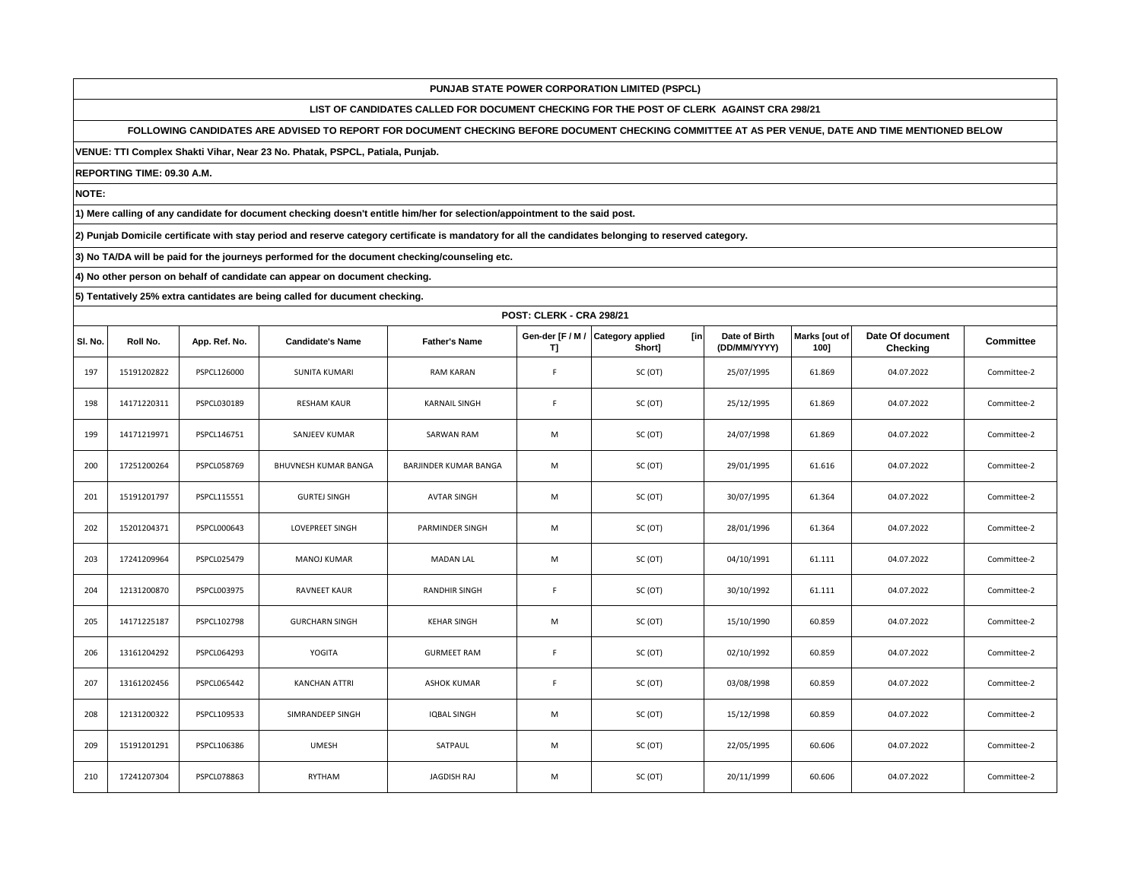**LIST OF CANDIDATES CALLED FOR DOCUMENT CHECKING FOR THE POST OF CLERK AGAINST CRA 298/21**

**FOLLOWING CANDIDATES ARE ADVISED TO REPORT FOR DOCUMENT CHECKING BEFORE DOCUMENT CHECKING COMMITTEE AT AS PER VENUE, DATE AND TIME MENTIONED BELOW** 

**VENUE: TTI Complex Shakti Vihar, Near 23 No. Phatak, PSPCL, Patiala, Punjab.**

**REPORTING TIME: 09.30 A.M.**

**NOTE:**

**1) Mere calling of any candidate for document checking doesn't entitle him/her for selection/appointment to the said post.**

**2) Punjab Domicile certificate with stay period and reserve category certificate is mandatory for all the candidates belonging to reserved category.**

**3) No TA/DA will be paid for the journeys performed for the document checking/counseling etc.**

**4) No other person on behalf of candidate can appear on document checking.**

|         | <b>POST: CLERK - CRA 298/21</b> |               |                         |                       |             |                                                    |                               |                       |                              |                  |  |  |  |
|---------|---------------------------------|---------------|-------------------------|-----------------------|-------------|----------------------------------------------------|-------------------------------|-----------------------|------------------------------|------------------|--|--|--|
| SI. No. | Roll No.                        | App. Ref. No. | <b>Candidate's Name</b> | <b>Father's Name</b>  | T]          | Gen-der [F / M / Category applied<br>[in<br>Short] | Date of Birth<br>(DD/MM/YYYY) | Marks [out of<br>1001 | Date Of document<br>Checking | <b>Committee</b> |  |  |  |
| 197     | 15191202822                     | PSPCL126000   | <b>SUNITA KUMARI</b>    | <b>RAM KARAN</b>      | F           | SC (OT)                                            | 25/07/1995                    | 61.869                | 04.07.2022                   | Committee-2      |  |  |  |
| 198     | 14171220311                     | PSPCL030189   | <b>RESHAM KAUR</b>      | <b>KARNAIL SINGH</b>  | F           | SC (OT)                                            | 25/12/1995                    | 61.869                | 04.07.2022                   | Committee-2      |  |  |  |
| 199     | 14171219971                     | PSPCL146751   | SANJEEV KUMAR           | <b>SARWAN RAM</b>     | M           | SC (OT)                                            | 24/07/1998                    | 61.869                | 04.07.2022                   | Committee-2      |  |  |  |
| 200     | 17251200264                     | PSPCL058769   | BHUVNESH KUMAR BANGA    | BARJINDER KUMAR BANGA | M           | SC (OT)                                            | 29/01/1995                    | 61.616                | 04.07.2022                   | Committee-2      |  |  |  |
| 201     | 15191201797                     | PSPCL115551   | <b>GURTEJ SINGH</b>     | <b>AVTAR SINGH</b>    | M           | SC (OT)                                            | 30/07/1995                    | 61.364                | 04.07.2022                   | Committee-2      |  |  |  |
| 202     | 15201204371                     | PSPCL000643   | <b>LOVEPREET SINGH</b>  | PARMINDER SINGH       | M           | SC (OT)                                            | 28/01/1996                    | 61.364                | 04.07.2022                   | Committee-2      |  |  |  |
| 203     | 17241209964                     | PSPCL025479   | <b>MANOJ KUMAR</b>      | <b>MADAN LAL</b>      | M           | SC (OT)                                            | 04/10/1991                    | 61.111                | 04.07.2022                   | Committee-2      |  |  |  |
| 204     | 12131200870                     | PSPCL003975   | <b>RAVNEET KAUR</b>     | <b>RANDHIR SINGH</b>  | F           | SC (OT)                                            | 30/10/1992                    | 61.111                | 04.07.2022                   | Committee-2      |  |  |  |
| 205     | 14171225187                     | PSPCL102798   | <b>GURCHARN SINGH</b>   | <b>KEHAR SINGH</b>    | M           | SC (OT)                                            | 15/10/1990                    | 60.859                | 04.07.2022                   | Committee-2      |  |  |  |
| 206     | 13161204292                     | PSPCL064293   | YOGITA                  | <b>GURMEET RAM</b>    | $\mathsf F$ | SC (OT)                                            | 02/10/1992                    | 60.859                | 04.07.2022                   | Committee-2      |  |  |  |
| 207     | 13161202456                     | PSPCL065442   | <b>KANCHAN ATTRI</b>    | <b>ASHOK KUMAR</b>    | $\mathsf F$ | SC (OT)                                            | 03/08/1998                    | 60.859                | 04.07.2022                   | Committee-2      |  |  |  |
| 208     | 12131200322                     | PSPCL109533   | SIMRANDEEP SINGH        | <b>IQBAL SINGH</b>    | M           | SC (OT)                                            | 15/12/1998                    | 60.859                | 04.07.2022                   | Committee-2      |  |  |  |
| 209     | 15191201291                     | PSPCL106386   | <b>UMESH</b>            | SATPAUL               | M           | SC (OT)                                            | 22/05/1995                    | 60.606                | 04.07.2022                   | Committee-2      |  |  |  |
| 210     | 17241207304                     | PSPCL078863   | RYTHAM                  | JAGDISH RAJ           | M           | SC (OT)                                            | 20/11/1999                    | 60.606                | 04.07.2022                   | Committee-2      |  |  |  |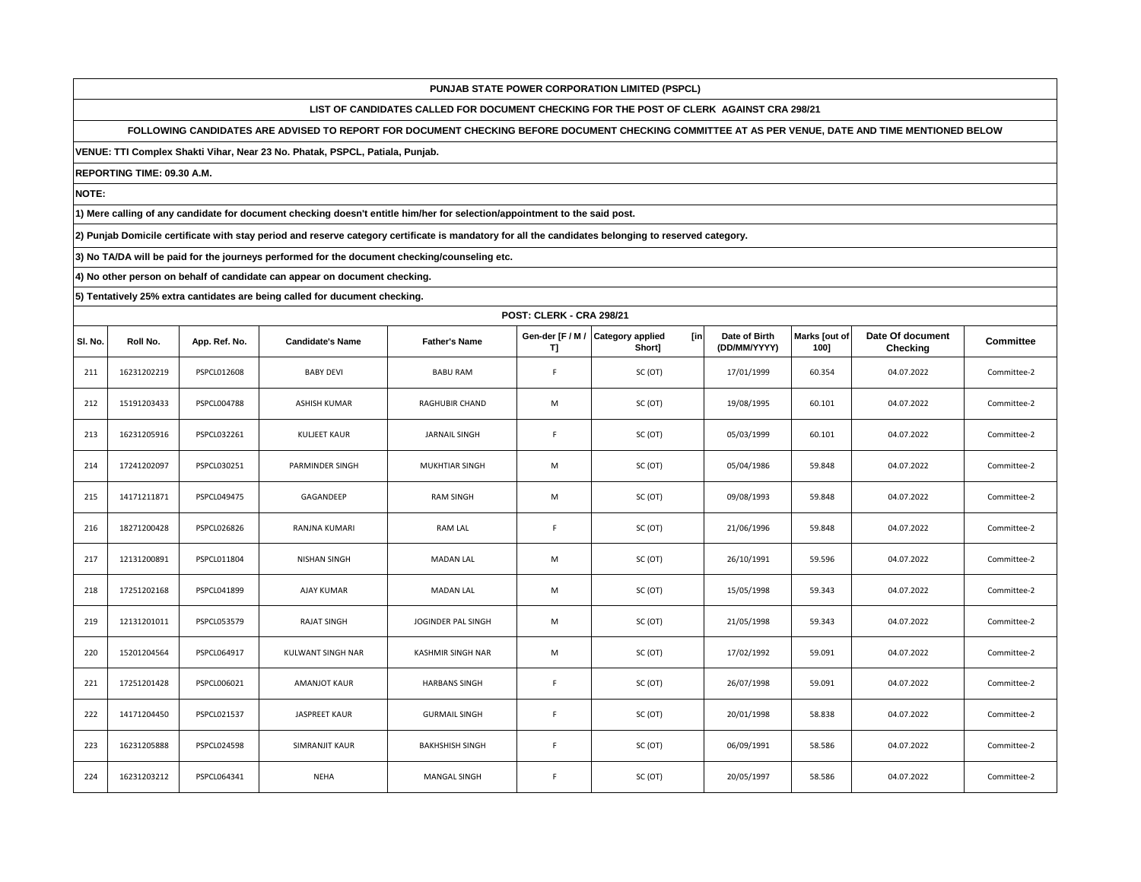**LIST OF CANDIDATES CALLED FOR DOCUMENT CHECKING FOR THE POST OF CLERK AGAINST CRA 298/21**

**FOLLOWING CANDIDATES ARE ADVISED TO REPORT FOR DOCUMENT CHECKING BEFORE DOCUMENT CHECKING COMMITTEE AT AS PER VENUE, DATE AND TIME MENTIONED BELOW** 

**VENUE: TTI Complex Shakti Vihar, Near 23 No. Phatak, PSPCL, Patiala, Punjab.**

**REPORTING TIME: 09.30 A.M.**

**NOTE:**

**1) Mere calling of any candidate for document checking doesn't entitle him/her for selection/appointment to the said post.**

**2) Punjab Domicile certificate with stay period and reserve category certificate is mandatory for all the candidates belonging to reserved category.**

**3) No TA/DA will be paid for the journeys performed for the document checking/counseling etc.**

**4) No other person on behalf of candidate can appear on document checking.**

|         |             | <b>POST: CLERK - CRA 298/21</b> |                         |                        |                        |                                          |                               |                       |                              |                  |  |  |  |
|---------|-------------|---------------------------------|-------------------------|------------------------|------------------------|------------------------------------------|-------------------------------|-----------------------|------------------------------|------------------|--|--|--|
| SI. No. | Roll No.    | App. Ref. No.                   | <b>Candidate's Name</b> | <b>Father's Name</b>   | Gen-der [F / M /<br>T] | <b>Category applied</b><br>[in<br>Short] | Date of Birth<br>(DD/MM/YYYY) | Marks [out of<br>1001 | Date Of document<br>Checking | <b>Committee</b> |  |  |  |
| 211     | 16231202219 | PSPCL012608                     | <b>BABY DEVI</b>        | <b>BABU RAM</b>        | F                      | SC (OT)                                  | 17/01/1999                    | 60.354                | 04.07.2022                   | Committee-2      |  |  |  |
| 212     | 15191203433 | <b>PSPCL004788</b>              | ASHISH KUMAR            | RAGHUBIR CHAND         | M                      | SC (OT)                                  | 19/08/1995                    | 60.101                | 04.07.2022                   | Committee-2      |  |  |  |
| 213     | 16231205916 | PSPCL032261                     | KULJEET KAUR            | <b>JARNAIL SINGH</b>   | F                      | SC (OT)                                  | 05/03/1999                    | 60.101                | 04.07.2022                   | Committee-2      |  |  |  |
| 214     | 17241202097 | PSPCL030251                     | PARMINDER SINGH         | <b>MUKHTIAR SINGH</b>  | M                      | SC (OT)                                  | 05/04/1986                    | 59.848                | 04.07.2022                   | Committee-2      |  |  |  |
| 215     | 14171211871 | PSPCL049475                     | GAGANDEEP               | <b>RAM SINGH</b>       | M                      | SC (OT)                                  | 09/08/1993                    | 59.848                | 04.07.2022                   | Committee-2      |  |  |  |
| 216     | 18271200428 | PSPCL026826                     | RANJNA KUMARI           | RAM LAL                | $\mathsf F$            | SC (OT)                                  | 21/06/1996                    | 59.848                | 04.07.2022                   | Committee-2      |  |  |  |
| 217     | 12131200891 | PSPCL011804                     | <b>NISHAN SINGH</b>     | <b>MADAN LAL</b>       | M                      | SC (OT)                                  | 26/10/1991                    | 59.596                | 04.07.2022                   | Committee-2      |  |  |  |
| 218     | 17251202168 | PSPCL041899                     | <b>AJAY KUMAR</b>       | <b>MADAN LAL</b>       | M                      | SC (OT)                                  | 15/05/1998                    | 59.343                | 04.07.2022                   | Committee-2      |  |  |  |
| 219     | 12131201011 | PSPCL053579                     | <b>RAJAT SINGH</b>      | JOGINDER PAL SINGH     | M                      | SC (OT)                                  | 21/05/1998                    | 59.343                | 04.07.2022                   | Committee-2      |  |  |  |
| 220     | 15201204564 | PSPCL064917                     | KULWANT SINGH NAR       | KASHMIR SINGH NAR      | M                      | SC (OT)                                  | 17/02/1992                    | 59.091                | 04.07.2022                   | Committee-2      |  |  |  |
| 221     | 17251201428 | PSPCL006021                     | <b>AMANJOT KAUR</b>     | <b>HARBANS SINGH</b>   | F                      | SC (OT)                                  | 26/07/1998                    | 59.091                | 04.07.2022                   | Committee-2      |  |  |  |
| 222     | 14171204450 | PSPCL021537                     | <b>JASPREET KAUR</b>    | <b>GURMAIL SINGH</b>   | F                      | SC (OT)                                  | 20/01/1998                    | 58.838                | 04.07.2022                   | Committee-2      |  |  |  |
| 223     | 16231205888 | PSPCL024598                     | SIMRANJIT KAUR          | <b>BAKHSHISH SINGH</b> | $\mathsf F$            | SC (OT)                                  | 06/09/1991                    | 58.586                | 04.07.2022                   | Committee-2      |  |  |  |
| 224     | 16231203212 | PSPCL064341                     | <b>NEHA</b>             | <b>MANGAL SINGH</b>    | F                      | SC (OT)                                  | 20/05/1997                    | 58.586                | 04.07.2022                   | Committee-2      |  |  |  |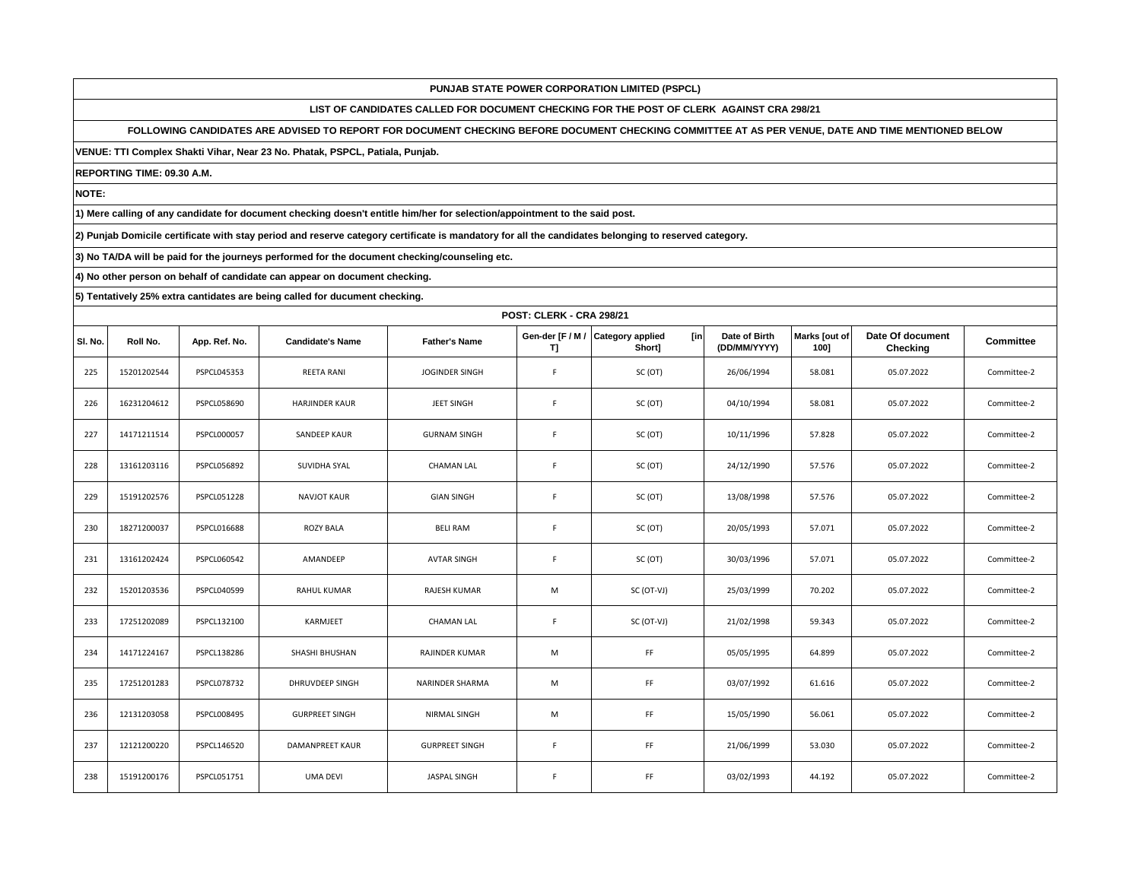**LIST OF CANDIDATES CALLED FOR DOCUMENT CHECKING FOR THE POST OF CLERK AGAINST CRA 298/21**

**FOLLOWING CANDIDATES ARE ADVISED TO REPORT FOR DOCUMENT CHECKING BEFORE DOCUMENT CHECKING COMMITTEE AT AS PER VENUE, DATE AND TIME MENTIONED BELOW** 

**VENUE: TTI Complex Shakti Vihar, Near 23 No. Phatak, PSPCL, Patiala, Punjab.**

**REPORTING TIME: 09.30 A.M.**

**NOTE:**

**1) Mere calling of any candidate for document checking doesn't entitle him/her for selection/appointment to the said post.**

**2) Punjab Domicile certificate with stay period and reserve category certificate is mandatory for all the candidates belonging to reserved category.**

**3) No TA/DA will be paid for the journeys performed for the document checking/counseling etc.**

**4) No other person on behalf of candidate can appear on document checking.**

|         | <b>POST: CLERK - CRA 298/21</b> |               |                         |                       |                        |                                          |                               |                       |                              |             |  |  |  |
|---------|---------------------------------|---------------|-------------------------|-----------------------|------------------------|------------------------------------------|-------------------------------|-----------------------|------------------------------|-------------|--|--|--|
| SI. No. | Roll No.                        | App. Ref. No. | <b>Candidate's Name</b> | <b>Father's Name</b>  | Gen-der [F / M /<br>T] | <b>Category applied</b><br>[in<br>Short] | Date of Birth<br>(DD/MM/YYYY) | Marks [out of<br>1001 | Date Of document<br>Checking | Committee   |  |  |  |
| 225     | 15201202544                     | PSPCL045353   | REETA RANI              | JOGINDER SINGH        | $\mathsf F$            | SC (OT)                                  | 26/06/1994                    | 58.081                | 05.07.2022                   | Committee-2 |  |  |  |
| 226     | 16231204612                     | PSPCL058690   | HARJINDER KAUR          | JEET SINGH            | F                      | SC (OT)                                  | 04/10/1994                    | 58.081                | 05.07.2022                   | Committee-2 |  |  |  |
| 227     | 14171211514                     | PSPCL000057   | SANDEEP KAUR            | <b>GURNAM SINGH</b>   | F                      | SC (OT)                                  | 10/11/1996                    | 57.828                | 05.07.2022                   | Committee-2 |  |  |  |
| 228     | 13161203116                     | PSPCL056892   | SUVIDHA SYAL            | <b>CHAMAN LAL</b>     | $\mathsf F$            | SC (OT)                                  | 24/12/1990                    | 57.576                | 05.07.2022                   | Committee-2 |  |  |  |
| 229     | 15191202576                     | PSPCL051228   | <b>NAVJOT KAUR</b>      | <b>GIAN SINGH</b>     | F                      | SC (OT)                                  | 13/08/1998                    | 57.576                | 05.07.2022                   | Committee-2 |  |  |  |
| 230     | 18271200037                     | PSPCL016688   | ROZY BALA               | <b>BELI RAM</b>       | $\mathsf F$            | SC (OT)                                  | 20/05/1993                    | 57.071                | 05.07.2022                   | Committee-2 |  |  |  |
| 231     | 13161202424                     | PSPCL060542   | AMANDEEP                | <b>AVTAR SINGH</b>    | F                      | SC (OT)                                  | 30/03/1996                    | 57.071                | 05.07.2022                   | Committee-2 |  |  |  |
| 232     | 15201203536                     | PSPCL040599   | RAHUL KUMAR             | RAJESH KUMAR          | M                      | SC (OT-VJ)                               | 25/03/1999                    | 70.202                | 05.07.2022                   | Committee-2 |  |  |  |
| 233     | 17251202089                     | PSPCL132100   | KARMJEET                | <b>CHAMAN LAL</b>     | F                      | SC (OT-VJ)                               | 21/02/1998                    | 59.343                | 05.07.2022                   | Committee-2 |  |  |  |
| 234     | 14171224167                     | PSPCL138286   | SHASHI BHUSHAN          | RAJINDER KUMAR        | M                      | FF                                       | 05/05/1995                    | 64.899                | 05.07.2022                   | Committee-2 |  |  |  |
| 235     | 17251201283                     | PSPCL078732   | DHRUVDEEP SINGH         | NARINDER SHARMA       | M                      | FF                                       | 03/07/1992                    | 61.616                | 05.07.2022                   | Committee-2 |  |  |  |
| 236     | 12131203058                     | PSPCL008495   | <b>GURPREET SINGH</b>   | NIRMAL SINGH          | M                      | FF                                       | 15/05/1990                    | 56.061                | 05.07.2022                   | Committee-2 |  |  |  |
| 237     | 12121200220                     | PSPCL146520   | DAMANPREET KAUR         | <b>GURPREET SINGH</b> | F                      | FF                                       | 21/06/1999                    | 53.030                | 05.07.2022                   | Committee-2 |  |  |  |
| 238     | 15191200176                     | PSPCL051751   | <b>UMA DEVI</b>         | JASPAL SINGH          | F                      | FF                                       | 03/02/1993                    | 44.192                | 05.07.2022                   | Committee-2 |  |  |  |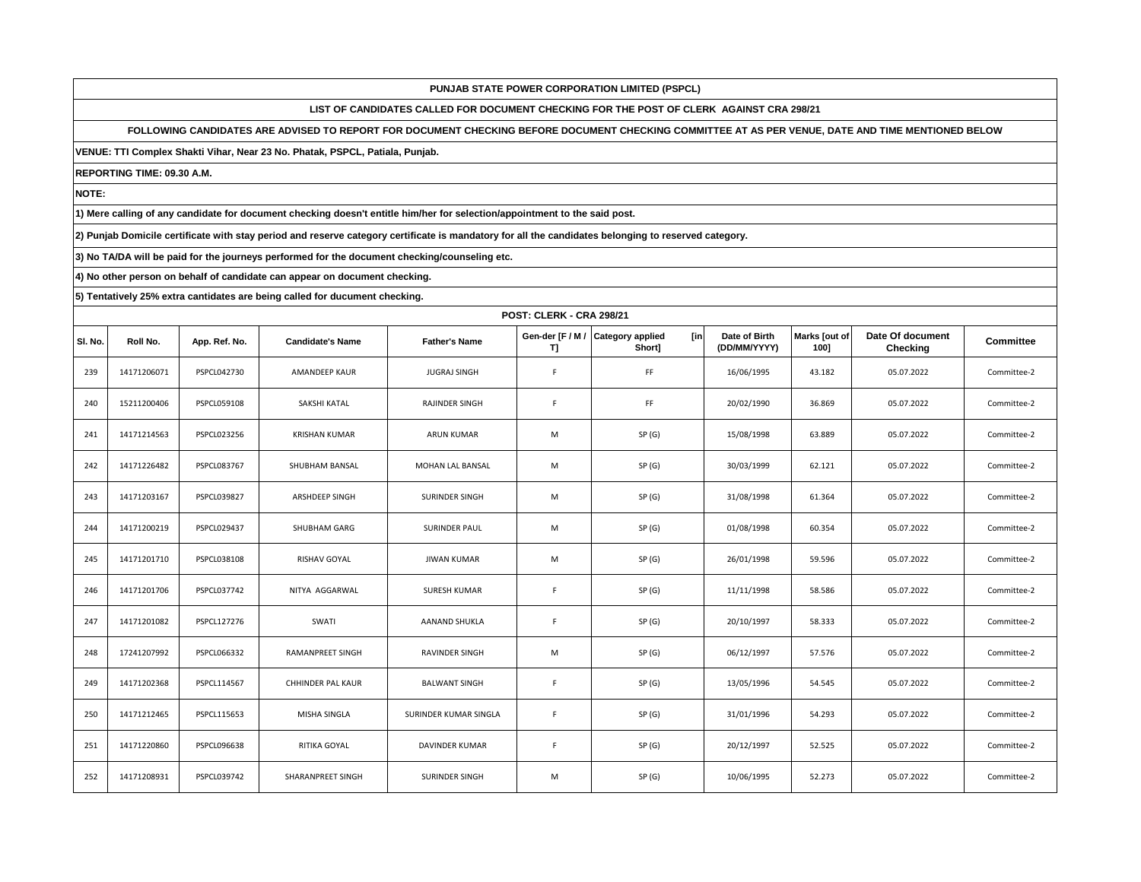**LIST OF CANDIDATES CALLED FOR DOCUMENT CHECKING FOR THE POST OF CLERK AGAINST CRA 298/21**

**FOLLOWING CANDIDATES ARE ADVISED TO REPORT FOR DOCUMENT CHECKING BEFORE DOCUMENT CHECKING COMMITTEE AT AS PER VENUE, DATE AND TIME MENTIONED BELOW** 

**VENUE: TTI Complex Shakti Vihar, Near 23 No. Phatak, PSPCL, Patiala, Punjab.**

**REPORTING TIME: 09.30 A.M.**

**NOTE:**

**1) Mere calling of any candidate for document checking doesn't entitle him/her for selection/appointment to the said post.**

**2) Punjab Domicile certificate with stay period and reserve category certificate is mandatory for all the candidates belonging to reserved category.**

**3) No TA/DA will be paid for the journeys performed for the document checking/counseling etc.**

**4) No other person on behalf of candidate can appear on document checking.**

|         |             | <b>POST: CLERK - CRA 298/21</b> |                         |                       |             |                                                     |                               |                       |                              |                  |  |  |  |
|---------|-------------|---------------------------------|-------------------------|-----------------------|-------------|-----------------------------------------------------|-------------------------------|-----------------------|------------------------------|------------------|--|--|--|
| SI. No. | Roll No.    | App. Ref. No.                   | <b>Candidate's Name</b> | <b>Father's Name</b>  | T)          | [in]<br>Gen-der [F / M / Category applied<br>Short] | Date of Birth<br>(DD/MM/YYYY) | Marks [out of<br>1001 | Date Of document<br>Checking | <b>Committee</b> |  |  |  |
| 239     | 14171206071 | PSPCL042730                     | <b>AMANDEEP KAUR</b>    | <b>JUGRAJ SINGH</b>   | $\mathsf F$ | FF                                                  | 16/06/1995                    | 43.182                | 05.07.2022                   | Committee-2      |  |  |  |
| 240     | 15211200406 | PSPCL059108                     | SAKSHI KATAL            | RAJINDER SINGH        | F           | FF                                                  | 20/02/1990                    | 36.869                | 05.07.2022                   | Committee-2      |  |  |  |
| 241     | 14171214563 | PSPCL023256                     | <b>KRISHAN KUMAR</b>    | <b>ARUN KUMAR</b>     | M           | SP(G)                                               | 15/08/1998                    | 63.889                | 05.07.2022                   | Committee-2      |  |  |  |
| 242     | 14171226482 | PSPCL083767                     | SHUBHAM BANSAL          | MOHAN LAL BANSAL      | M           | SP(G)                                               | 30/03/1999                    | 62.121                | 05.07.2022                   | Committee-2      |  |  |  |
| 243     | 14171203167 | PSPCL039827                     | ARSHDEEP SINGH          | SURINDER SINGH        | M           | SP(G)                                               | 31/08/1998                    | 61.364                | 05.07.2022                   | Committee-2      |  |  |  |
| 244     | 14171200219 | PSPCL029437                     | SHUBHAM GARG            | SURINDER PAUL         | M           | SP(G)                                               | 01/08/1998                    | 60.354                | 05.07.2022                   | Committee-2      |  |  |  |
| 245     | 14171201710 | PSPCL038108                     | <b>RISHAV GOYAL</b>     | <b>JIWAN KUMAR</b>    | M           | SP(G)                                               | 26/01/1998                    | 59.596                | 05.07.2022                   | Committee-2      |  |  |  |
| 246     | 14171201706 | PSPCL037742                     | NITYA AGGARWAL          | <b>SURESH KUMAR</b>   | $\mathsf F$ | SP(G)                                               | 11/11/1998                    | 58.586                | 05.07.2022                   | Committee-2      |  |  |  |
| 247     | 14171201082 | PSPCL127276                     | SWATI                   | AANAND SHUKLA         | F           | SP(G)                                               | 20/10/1997                    | 58.333                | 05.07.2022                   | Committee-2      |  |  |  |
| 248     | 17241207992 | PSPCL066332                     | <b>RAMANPREET SINGH</b> | RAVINDER SINGH        | M           | SP(G)                                               | 06/12/1997                    | 57.576                | 05.07.2022                   | Committee-2      |  |  |  |
| 249     | 14171202368 | PSPCL114567                     | CHHINDER PAL KAUR       | <b>BALWANT SINGH</b>  | $\mathsf F$ | SP(G)                                               | 13/05/1996                    | 54.545                | 05.07.2022                   | Committee-2      |  |  |  |
| 250     | 14171212465 | PSPCL115653                     | MISHA SINGLA            | SURINDER KUMAR SINGLA | $\mathsf F$ | SP(G)                                               | 31/01/1996                    | 54.293                | 05.07.2022                   | Committee-2      |  |  |  |
| 251     | 14171220860 | PSPCL096638                     | RITIKA GOYAL            | DAVINDER KUMAR        | F           | SP(G)                                               | 20/12/1997                    | 52.525                | 05.07.2022                   | Committee-2      |  |  |  |
| 252     | 14171208931 | PSPCL039742                     | SHARANPREET SINGH       | SURINDER SINGH        | M           | SP(G)                                               | 10/06/1995                    | 52.273                | 05.07.2022                   | Committee-2      |  |  |  |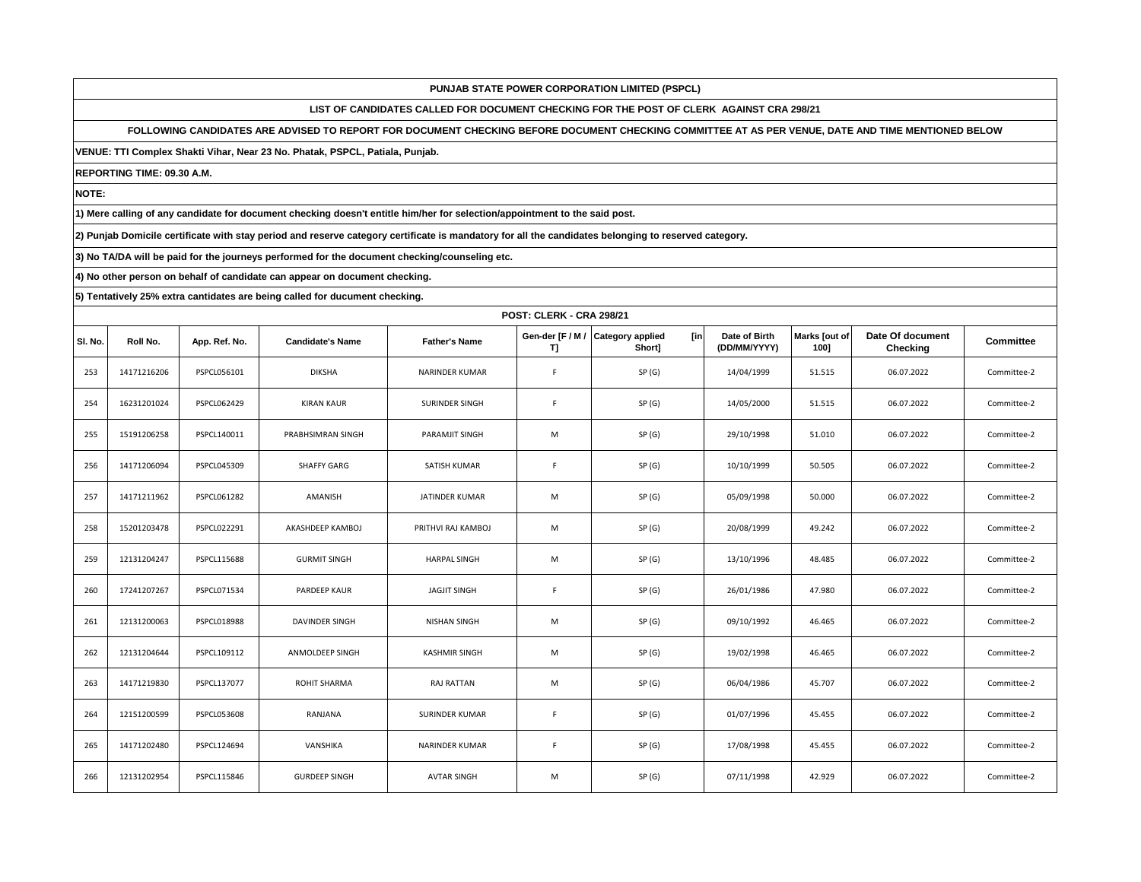**LIST OF CANDIDATES CALLED FOR DOCUMENT CHECKING FOR THE POST OF CLERK AGAINST CRA 298/21**

**FOLLOWING CANDIDATES ARE ADVISED TO REPORT FOR DOCUMENT CHECKING BEFORE DOCUMENT CHECKING COMMITTEE AT AS PER VENUE, DATE AND TIME MENTIONED BELOW** 

**VENUE: TTI Complex Shakti Vihar, Near 23 No. Phatak, PSPCL, Patiala, Punjab.**

**REPORTING TIME: 09.30 A.M.**

**NOTE:**

**1) Mere calling of any candidate for document checking doesn't entitle him/her for selection/appointment to the said post.**

**2) Punjab Domicile certificate with stay period and reserve category certificate is mandatory for all the candidates belonging to reserved category.**

**3) No TA/DA will be paid for the journeys performed for the document checking/counseling etc.**

**4) No other person on behalf of candidate can appear on document checking.**

|         |             | <b>POST: CLERK - CRA 298/21</b> |                         |                       |             |                                                     |                               |                       |                              |             |  |  |  |
|---------|-------------|---------------------------------|-------------------------|-----------------------|-------------|-----------------------------------------------------|-------------------------------|-----------------------|------------------------------|-------------|--|--|--|
| SI. No. | Roll No.    | App. Ref. No.                   | <b>Candidate's Name</b> | <b>Father's Name</b>  | T]          | [in]<br>Gen-der [F / M / Category applied<br>Short] | Date of Birth<br>(DD/MM/YYYY) | Marks [out of<br>100] | Date Of document<br>Checking | Committee   |  |  |  |
| 253     | 14171216206 | PSPCL056101                     | <b>DIKSHA</b>           | NARINDER KUMAR        | F           | SP(G)                                               | 14/04/1999                    | 51.515                | 06.07.2022                   | Committee-2 |  |  |  |
| 254     | 16231201024 | PSPCL062429                     | <b>KIRAN KAUR</b>       | SURINDER SINGH        | F           | SP(G)                                               | 14/05/2000                    | 51.515                | 06.07.2022                   | Committee-2 |  |  |  |
| 255     | 15191206258 | PSPCL140011                     | PRABHSIMRAN SINGH       | <b>PARAMJIT SINGH</b> | M           | SP(G)                                               | 29/10/1998                    | 51.010                | 06.07.2022                   | Committee-2 |  |  |  |
| 256     | 14171206094 | PSPCL045309                     | SHAFFY GARG             | SATISH KUMAR          | F           | SP(G)                                               | 10/10/1999                    | 50.505                | 06.07.2022                   | Committee-2 |  |  |  |
| 257     | 14171211962 | PSPCL061282                     | AMANISH                 | JATINDER KUMAR        | M           | SP(G)                                               | 05/09/1998                    | 50.000                | 06.07.2022                   | Committee-2 |  |  |  |
| 258     | 15201203478 | PSPCL022291                     | AKASHDEEP KAMBOJ        | PRITHVI RAJ KAMBOJ    | M           | SP(G)                                               | 20/08/1999                    | 49.242                | 06.07.2022                   | Committee-2 |  |  |  |
| 259     | 12131204247 | PSPCL115688                     | <b>GURMIT SINGH</b>     | <b>HARPAL SINGH</b>   | M           | SP(G)                                               | 13/10/1996                    | 48.485                | 06.07.2022                   | Committee-2 |  |  |  |
| 260     | 17241207267 | PSPCL071534                     | PARDEEP KAUR            | <b>JAGJIT SINGH</b>   | F           | SP(G)                                               | 26/01/1986                    | 47.980                | 06.07.2022                   | Committee-2 |  |  |  |
| 261     | 12131200063 | PSPCL018988                     | DAVINDER SINGH          | <b>NISHAN SINGH</b>   | M           | SP(G)                                               | 09/10/1992                    | 46.465                | 06.07.2022                   | Committee-2 |  |  |  |
| 262     | 12131204644 | PSPCL109112                     | ANMOLDEEP SINGH         | <b>KASHMIR SINGH</b>  | M           | SP(G)                                               | 19/02/1998                    | 46.465                | 06.07.2022                   | Committee-2 |  |  |  |
| 263     | 14171219830 | PSPCL137077                     | ROHIT SHARMA            | RAJ RATTAN            | M           | SP(G)                                               | 06/04/1986                    | 45.707                | 06.07.2022                   | Committee-2 |  |  |  |
| 264     | 12151200599 | PSPCL053608                     | RANJANA                 | SURINDER KUMAR        | $\mathsf F$ | SP(G)                                               | 01/07/1996                    | 45.455                | 06.07.2022                   | Committee-2 |  |  |  |
| 265     | 14171202480 | PSPCL124694                     | VANSHIKA                | NARINDER KUMAR        | F           | SP(G)                                               | 17/08/1998                    | 45.455                | 06.07.2022                   | Committee-2 |  |  |  |
| 266     | 12131202954 | PSPCL115846                     | <b>GURDEEP SINGH</b>    | <b>AVTAR SINGH</b>    | M           | SP(G)                                               | 07/11/1998                    | 42.929                | 06.07.2022                   | Committee-2 |  |  |  |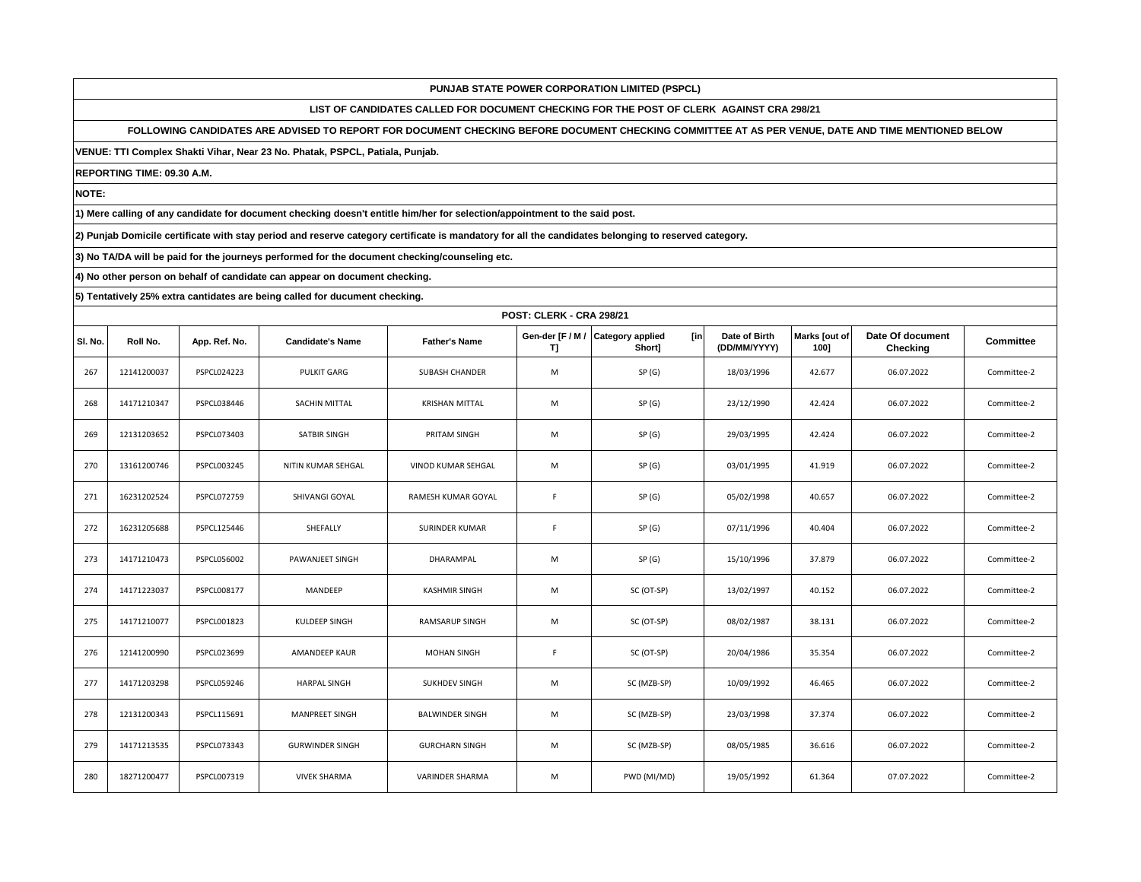**LIST OF CANDIDATES CALLED FOR DOCUMENT CHECKING FOR THE POST OF CLERK AGAINST CRA 298/21**

**FOLLOWING CANDIDATES ARE ADVISED TO REPORT FOR DOCUMENT CHECKING BEFORE DOCUMENT CHECKING COMMITTEE AT AS PER VENUE, DATE AND TIME MENTIONED BELOW** 

**VENUE: TTI Complex Shakti Vihar, Near 23 No. Phatak, PSPCL, Patiala, Punjab.**

**REPORTING TIME: 09.30 A.M.**

**NOTE:**

**1) Mere calling of any candidate for document checking doesn't entitle him/her for selection/appointment to the said post.**

**2) Punjab Domicile certificate with stay period and reserve category certificate is mandatory for all the candidates belonging to reserved category.**

**3) No TA/DA will be paid for the journeys performed for the document checking/counseling etc.**

**4) No other person on behalf of candidate can appear on document checking.**

|         |             | <b>POST: CLERK - CRA 298/21</b> |                         |                        |                        |                                           |                               |                       |                              |             |  |  |  |
|---------|-------------|---------------------------------|-------------------------|------------------------|------------------------|-------------------------------------------|-------------------------------|-----------------------|------------------------------|-------------|--|--|--|
| SI. No. | Roll No.    | App. Ref. No.                   | <b>Candidate's Name</b> | <b>Father's Name</b>   | Gen-der [F / M /<br>T] | [in]<br><b>Category applied</b><br>Short] | Date of Birth<br>(DD/MM/YYYY) | Marks [out of<br>100] | Date Of document<br>Checking | Committee   |  |  |  |
| 267     | 12141200037 | PSPCL024223                     | <b>PULKIT GARG</b>      | <b>SUBASH CHANDER</b>  | M                      | SP(G)                                     | 18/03/1996                    | 42.677                | 06.07.2022                   | Committee-2 |  |  |  |
| 268     | 14171210347 | PSPCL038446                     | SACHIN MITTAL           | <b>KRISHAN MITTAL</b>  | M                      | SP(G)                                     | 23/12/1990                    | 42.424                | 06.07.2022                   | Committee-2 |  |  |  |
| 269     | 12131203652 | PSPCL073403                     | SATBIR SINGH            | PRITAM SINGH           | M                      | SP(G)                                     | 29/03/1995                    | 42.424                | 06.07.2022                   | Committee-2 |  |  |  |
| 270     | 13161200746 | PSPCL003245                     | NITIN KUMAR SEHGAL      | VINOD KUMAR SEHGAL     | M                      | SP(G)                                     | 03/01/1995                    | 41.919                | 06.07.2022                   | Committee-2 |  |  |  |
| 271     | 16231202524 | <b>PSPCL072759</b>              | SHIVANGI GOYAL          | RAMESH KUMAR GOYAL     | F                      | SP(G)                                     | 05/02/1998                    | 40.657                | 06.07.2022                   | Committee-2 |  |  |  |
| 272     | 16231205688 | PSPCL125446                     | SHEFALLY                | SURINDER KUMAR         | $\mathsf F$            | SP(G)                                     | 07/11/1996                    | 40.404                | 06.07.2022                   | Committee-2 |  |  |  |
| 273     | 14171210473 | PSPCL056002                     | PAWANJEET SINGH         | DHARAMPAL              | M                      | SP(G)                                     | 15/10/1996                    | 37.879                | 06.07.2022                   | Committee-2 |  |  |  |
| 274     | 14171223037 | PSPCL008177                     | MANDEEP                 | <b>KASHMIR SINGH</b>   | M                      | SC (OT-SP)                                | 13/02/1997                    | 40.152                | 06.07.2022                   | Committee-2 |  |  |  |
| 275     | 14171210077 | PSPCL001823                     | KULDEEP SINGH           | <b>RAMSARUP SINGH</b>  | M                      | SC (OT-SP)                                | 08/02/1987                    | 38.131                | 06.07.2022                   | Committee-2 |  |  |  |
| 276     | 12141200990 | PSPCL023699                     | AMANDEEP KAUR           | <b>MOHAN SINGH</b>     | $\mathsf F$            | SC (OT-SP)                                | 20/04/1986                    | 35.354                | 06.07.2022                   | Committee-2 |  |  |  |
| 277     | 14171203298 | PSPCL059246                     | <b>HARPAL SINGH</b>     | SUKHDEV SINGH          | M                      | SC (MZB-SP)                               | 10/09/1992                    | 46.465                | 06.07.2022                   | Committee-2 |  |  |  |
| 278     | 12131200343 | PSPCL115691                     | <b>MANPREET SINGH</b>   | <b>BALWINDER SINGH</b> | M                      | SC (MZB-SP)                               | 23/03/1998                    | 37.374                | 06.07.2022                   | Committee-2 |  |  |  |
| 279     | 14171213535 | PSPCL073343                     | <b>GURWINDER SINGH</b>  | <b>GURCHARN SINGH</b>  | M                      | SC (MZB-SP)                               | 08/05/1985                    | 36.616                | 06.07.2022                   | Committee-2 |  |  |  |
| 280     | 18271200477 | PSPCL007319                     | <b>VIVEK SHARMA</b>     | VARINDER SHARMA        | M                      | PWD (MI/MD)                               | 19/05/1992                    | 61.364                | 07.07.2022                   | Committee-2 |  |  |  |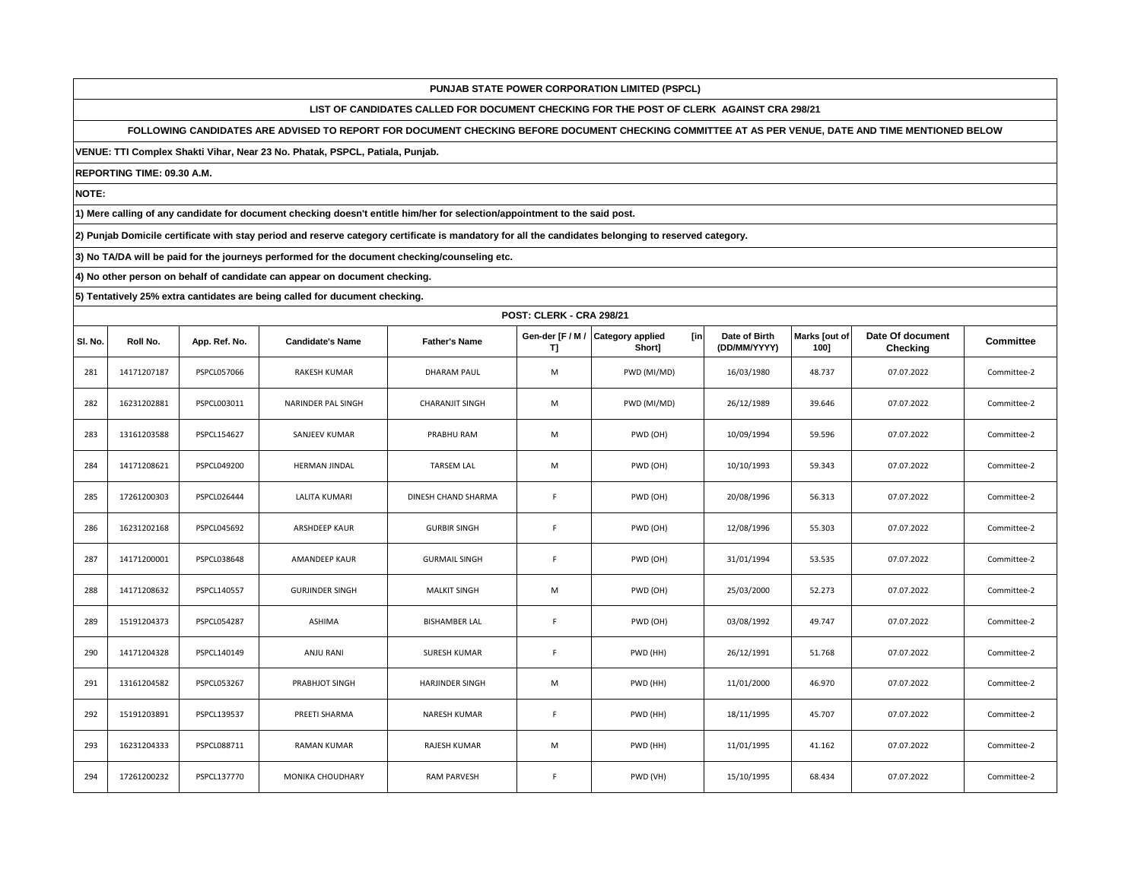**LIST OF CANDIDATES CALLED FOR DOCUMENT CHECKING FOR THE POST OF CLERK AGAINST CRA 298/21**

**FOLLOWING CANDIDATES ARE ADVISED TO REPORT FOR DOCUMENT CHECKING BEFORE DOCUMENT CHECKING COMMITTEE AT AS PER VENUE, DATE AND TIME MENTIONED BELOW** 

**VENUE: TTI Complex Shakti Vihar, Near 23 No. Phatak, PSPCL, Patiala, Punjab.**

**REPORTING TIME: 09.30 A.M.**

**NOTE:**

**1) Mere calling of any candidate for document checking doesn't entitle him/her for selection/appointment to the said post.**

**2) Punjab Domicile certificate with stay period and reserve category certificate is mandatory for all the candidates belonging to reserved category.**

**3) No TA/DA will be paid for the journeys performed for the document checking/counseling etc.**

**4) No other person on behalf of candidate can appear on document checking.**

|         | <b>POST: CLERK - CRA 298/21</b> |               |                         |                        |                        |                                          |                               |                       |                              |             |  |  |  |
|---------|---------------------------------|---------------|-------------------------|------------------------|------------------------|------------------------------------------|-------------------------------|-----------------------|------------------------------|-------------|--|--|--|
| SI. No. | Roll No.                        | App. Ref. No. | <b>Candidate's Name</b> | <b>Father's Name</b>   | Gen-der [F / M /<br>T] | <b>Category applied</b><br>[in<br>Shortl | Date of Birth<br>(DD/MM/YYYY) | Marks Jout of<br>100] | Date Of document<br>Checking | Committee   |  |  |  |
| 281     | 14171207187                     | PSPCL057066   | <b>RAKESH KUMAR</b>     | <b>DHARAM PAUL</b>     | M                      | PWD (MI/MD)                              | 16/03/1980                    | 48.737                | 07.07.2022                   | Committee-2 |  |  |  |
| 282     | 16231202881                     | PSPCL003011   | NARINDER PAL SINGH      | <b>CHARANJIT SINGH</b> | M                      | PWD (MI/MD)                              | 26/12/1989                    | 39.646                | 07.07.2022                   | Committee-2 |  |  |  |
| 283     | 13161203588                     | PSPCL154627   | SANJEEV KUMAR           | PRABHU RAM             | M                      | PWD (OH)                                 | 10/09/1994                    | 59.596                | 07.07.2022                   | Committee-2 |  |  |  |
| 284     | 14171208621                     | PSPCL049200   | <b>HERMAN JINDAL</b>    | <b>TARSEM LAL</b>      | M                      | PWD (OH)                                 | 10/10/1993                    | 59.343                | 07.07.2022                   | Committee-2 |  |  |  |
| 285     | 17261200303                     | PSPCL026444   | LALITA KUMARI           | DINESH CHAND SHARMA    | $\mathsf F$            | PWD (OH)                                 | 20/08/1996                    | 56.313                | 07.07.2022                   | Committee-2 |  |  |  |
| 286     | 16231202168                     | PSPCL045692   | ARSHDEEP KAUR           | <b>GURBIR SINGH</b>    | $\mathsf F$            | PWD (OH)                                 | 12/08/1996                    | 55.303                | 07.07.2022                   | Committee-2 |  |  |  |
| 287     | 14171200001                     | PSPCL038648   | <b>AMANDEEP KAUR</b>    | <b>GURMAIL SINGH</b>   | F                      | PWD (OH)                                 | 31/01/1994                    | 53.535                | 07.07.2022                   | Committee-2 |  |  |  |
| 288     | 14171208632                     | PSPCL140557   | <b>GURJINDER SINGH</b>  | <b>MALKIT SINGH</b>    | M                      | PWD (OH)                                 | 25/03/2000                    | 52.273                | 07.07.2022                   | Committee-2 |  |  |  |
| 289     | 15191204373                     | PSPCL054287   | ASHIMA                  | <b>BISHAMBER LAL</b>   | F                      | PWD (OH)                                 | 03/08/1992                    | 49.747                | 07.07.2022                   | Committee-2 |  |  |  |
| 290     | 14171204328                     | PSPCL140149   | ANJU RANI               | SURESH KUMAR           | F                      | PWD (HH)                                 | 26/12/1991                    | 51.768                | 07.07.2022                   | Committee-2 |  |  |  |
| 291     | 13161204582                     | PSPCL053267   | PRABHJOT SINGH          | <b>HARJINDER SINGH</b> | M                      | PWD (HH)                                 | 11/01/2000                    | 46.970                | 07.07.2022                   | Committee-2 |  |  |  |
| 292     | 15191203891                     | PSPCL139537   | PREETI SHARMA           | NARESH KUMAR           | $\mathsf F$            | PWD (HH)                                 | 18/11/1995                    | 45.707                | 07.07.2022                   | Committee-2 |  |  |  |
| 293     | 16231204333                     | PSPCL088711   | <b>RAMAN KUMAR</b>      | RAJESH KUMAR           | M                      | PWD (HH)                                 | 11/01/1995                    | 41.162                | 07.07.2022                   | Committee-2 |  |  |  |
| 294     | 17261200232                     | PSPCL137770   | <b>MONIKA CHOUDHARY</b> | <b>RAM PARVESH</b>     | F                      | PWD (VH)                                 | 15/10/1995                    | 68.434                | 07.07.2022                   | Committee-2 |  |  |  |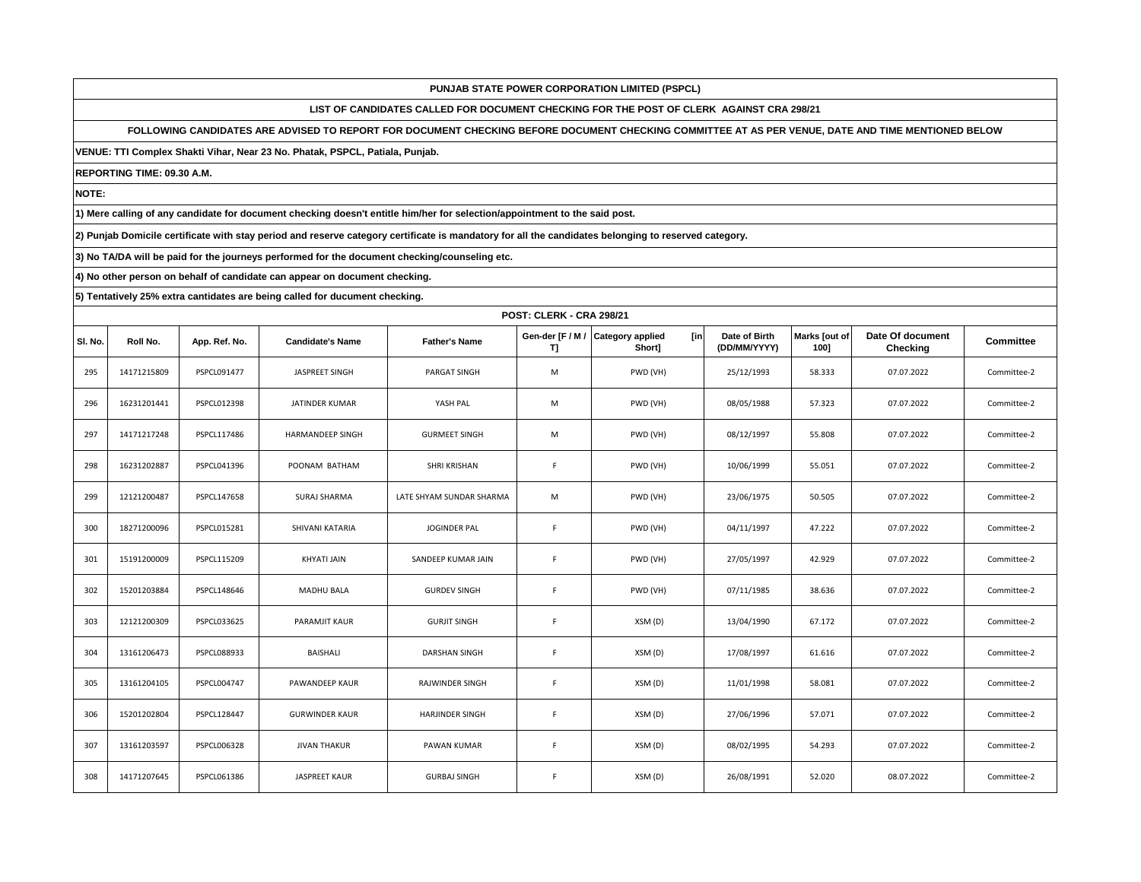**LIST OF CANDIDATES CALLED FOR DOCUMENT CHECKING FOR THE POST OF CLERK AGAINST CRA 298/21**

**FOLLOWING CANDIDATES ARE ADVISED TO REPORT FOR DOCUMENT CHECKING BEFORE DOCUMENT CHECKING COMMITTEE AT AS PER VENUE, DATE AND TIME MENTIONED BELOW** 

**VENUE: TTI Complex Shakti Vihar, Near 23 No. Phatak, PSPCL, Patiala, Punjab.**

**REPORTING TIME: 09.30 A.M.**

**NOTE:**

**1) Mere calling of any candidate for document checking doesn't entitle him/her for selection/appointment to the said post.**

**2) Punjab Domicile certificate with stay period and reserve category certificate is mandatory for all the candidates belonging to reserved category.**

**3) No TA/DA will be paid for the journeys performed for the document checking/counseling etc.**

**4) No other person on behalf of candidate can appear on document checking.**

|         | <b>POST: CLERK - CRA 298/21</b> |               |                         |                          |             |                                                     |                               |                       |                              |                  |  |  |
|---------|---------------------------------|---------------|-------------------------|--------------------------|-------------|-----------------------------------------------------|-------------------------------|-----------------------|------------------------------|------------------|--|--|
| SI. No. | Roll No.                        | App. Ref. No. | <b>Candidate's Name</b> | <b>Father's Name</b>     | T]          | Gen-der [F / M / Category applied<br>[in]<br>Short] | Date of Birth<br>(DD/MM/YYYY) | Marks [out of<br>1001 | Date Of document<br>Checking | <b>Committee</b> |  |  |
| 295     | 14171215809                     | PSPCL091477   | JASPREET SINGH          | PARGAT SINGH             | M           | PWD (VH)                                            | 25/12/1993                    | 58.333                | 07.07.2022                   | Committee-2      |  |  |
| 296     | 16231201441                     | PSPCL012398   | JATINDER KUMAR          | YASH PAL                 | M           | PWD (VH)                                            | 08/05/1988                    | 57.323                | 07.07.2022                   | Committee-2      |  |  |
| 297     | 14171217248                     | PSPCL117486   | HARMANDEEP SINGH        | <b>GURMEET SINGH</b>     | M           | PWD (VH)                                            | 08/12/1997                    | 55.808                | 07.07.2022                   | Committee-2      |  |  |
| 298     | 16231202887                     | PSPCL041396   | POONAM BATHAM           | SHRI KRISHAN             | F           | PWD (VH)                                            | 10/06/1999                    | 55.051                | 07.07.2022                   | Committee-2      |  |  |
| 299     | 12121200487                     | PSPCL147658   | SURAJ SHARMA            | LATE SHYAM SUNDAR SHARMA | M           | PWD (VH)                                            | 23/06/1975                    | 50.505                | 07.07.2022                   | Committee-2      |  |  |
| 300     | 18271200096                     | PSPCL015281   | SHIVANI KATARIA         | JOGINDER PAL             | F.          | PWD (VH)                                            | 04/11/1997                    | 47.222                | 07.07.2022                   | Committee-2      |  |  |
| 301     | 15191200009                     | PSPCL115209   | KHYATI JAIN             | SANDEEP KUMAR JAIN       | F           | PWD (VH)                                            | 27/05/1997                    | 42.929                | 07.07.2022                   | Committee-2      |  |  |
| 302     | 15201203884                     | PSPCL148646   | <b>MADHU BALA</b>       | <b>GURDEV SINGH</b>      | F           | PWD (VH)                                            | 07/11/1985                    | 38.636                | 07.07.2022                   | Committee-2      |  |  |
| 303     | 12121200309                     | PSPCL033625   | PARAMJIT KAUR           | <b>GURJIT SINGH</b>      | F           | XSM (D)                                             | 13/04/1990                    | 67.172                | 07.07.2022                   | Committee-2      |  |  |
| 304     | 13161206473                     | PSPCL088933   | <b>BAISHALI</b>         | DARSHAN SINGH            | F           | XSM (D)                                             | 17/08/1997                    | 61.616                | 07.07.2022                   | Committee-2      |  |  |
| 305     | 13161204105                     | PSPCL004747   | PAWANDEEP KAUR          | <b>RAJWINDER SINGH</b>   | $\mathsf F$ | XSM (D)                                             | 11/01/1998                    | 58.081                | 07.07.2022                   | Committee-2      |  |  |
| 306     | 15201202804                     | PSPCL128447   | <b>GURWINDER KAUR</b>   | <b>HARJINDER SINGH</b>   | F.          | XSM (D)                                             | 27/06/1996                    | 57.071                | 07.07.2022                   | Committee-2      |  |  |
| 307     | 13161203597                     | PSPCL006328   | <b>JIVAN THAKUR</b>     | PAWAN KUMAR              | F           | XSM (D)                                             | 08/02/1995                    | 54.293                | 07.07.2022                   | Committee-2      |  |  |
| 308     | 14171207645                     | PSPCL061386   | JASPREET KAUR           | <b>GURBAJ SINGH</b>      | F           | XSM (D)                                             | 26/08/1991                    | 52.020                | 08.07.2022                   | Committee-2      |  |  |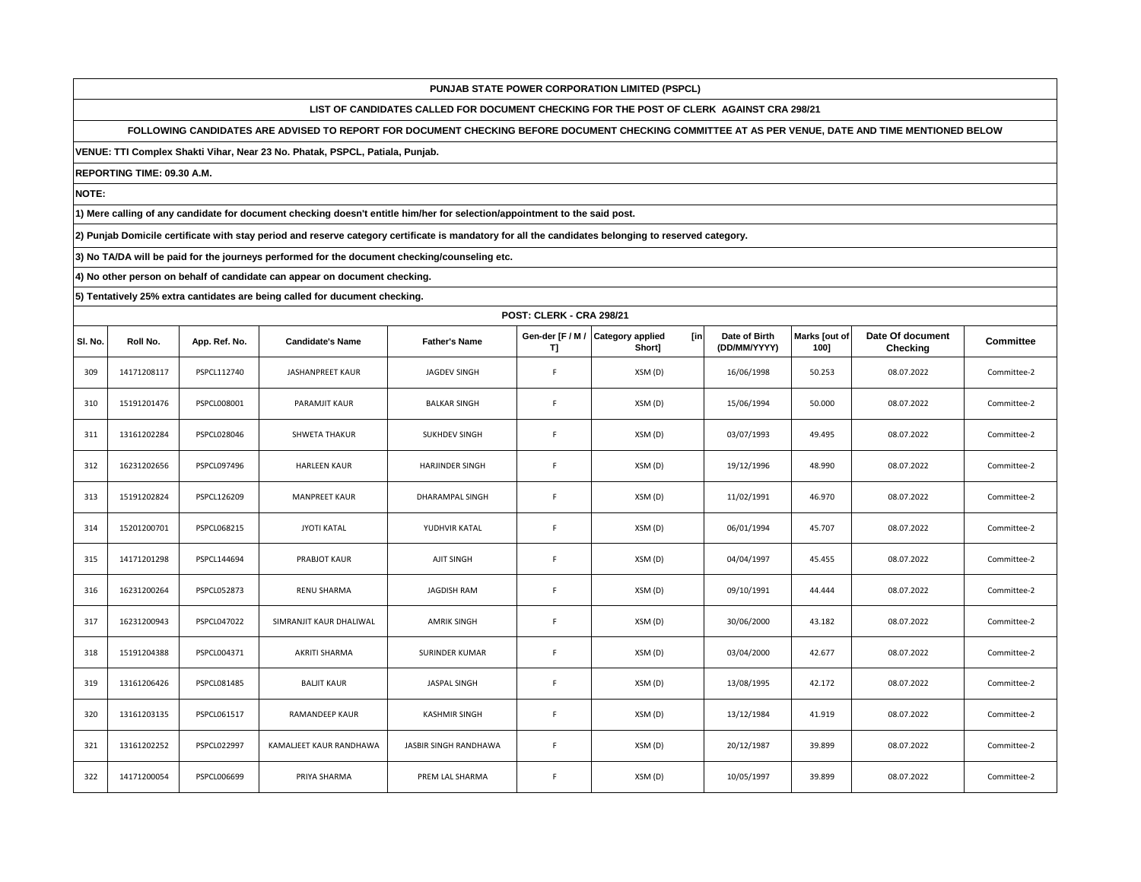**LIST OF CANDIDATES CALLED FOR DOCUMENT CHECKING FOR THE POST OF CLERK AGAINST CRA 298/21**

**FOLLOWING CANDIDATES ARE ADVISED TO REPORT FOR DOCUMENT CHECKING BEFORE DOCUMENT CHECKING COMMITTEE AT AS PER VENUE, DATE AND TIME MENTIONED BELOW** 

**VENUE: TTI Complex Shakti Vihar, Near 23 No. Phatak, PSPCL, Patiala, Punjab.**

**REPORTING TIME: 09.30 A.M.**

**NOTE:**

**1) Mere calling of any candidate for document checking doesn't entitle him/her for selection/appointment to the said post.**

**2) Punjab Domicile certificate with stay period and reserve category certificate is mandatory for all the candidates belonging to reserved category.**

**3) No TA/DA will be paid for the journeys performed for the document checking/counseling etc.**

**4) No other person on behalf of candidate can appear on document checking.**

|         | <b>POST: CLERK - CRA 298/21</b> |                    |                         |                       |             |                                                     |                               |                       |                              |                  |  |  |
|---------|---------------------------------|--------------------|-------------------------|-----------------------|-------------|-----------------------------------------------------|-------------------------------|-----------------------|------------------------------|------------------|--|--|
| SI. No. | Roll No.                        | App. Ref. No.      | <b>Candidate's Name</b> | <b>Father's Name</b>  | T]          | Gen-der [F / M / Category applied<br>[in]<br>Short] | Date of Birth<br>(DD/MM/YYYY) | Marks [out of<br>1001 | Date Of document<br>Checking | <b>Committee</b> |  |  |
| 309     | 14171208117                     | PSPCL112740        | JASHANPREET KAUR        | JAGDEV SINGH          | F.          | XSM (D)                                             | 16/06/1998                    | 50.253                | 08.07.2022                   | Committee-2      |  |  |
| 310     | 15191201476                     | PSPCL008001        | PARAMJIT KAUR           | <b>BALKAR SINGH</b>   | F.          | XSM (D)                                             | 15/06/1994                    | 50.000                | 08.07.2022                   | Committee-2      |  |  |
| 311     | 13161202284                     | PSPCL028046        | SHWETA THAKUR           | <b>SUKHDEV SINGH</b>  | $\mathsf F$ | XSM (D)                                             | 03/07/1993                    | 49.495                | 08.07.2022                   | Committee-2      |  |  |
| 312     | 16231202656                     | PSPCL097496        | <b>HARLEEN KAUR</b>     | HARJINDER SINGH       | F           | XSM (D)                                             | 19/12/1996                    | 48.990                | 08.07.2022                   | Committee-2      |  |  |
| 313     | 15191202824                     | PSPCL126209        | <b>MANPREET KAUR</b>    | DHARAMPAL SINGH       | $\mathsf F$ | XSM (D)                                             | 11/02/1991                    | 46.970                | 08.07.2022                   | Committee-2      |  |  |
| 314     | 15201200701                     | PSPCL068215        | <b>JYOTI KATAL</b>      | YUDHVIR KATAL         | F.          | XSM (D)                                             | 06/01/1994                    | 45.707                | 08.07.2022                   | Committee-2      |  |  |
| 315     | 14171201298                     | PSPCL144694        | <b>PRABJOT KAUR</b>     | AJIT SINGH            | F           | XSM (D)                                             | 04/04/1997                    | 45.455                | 08.07.2022                   | Committee-2      |  |  |
| 316     | 16231200264                     | <b>PSPCL052873</b> | <b>RENU SHARMA</b>      | <b>JAGDISH RAM</b>    | F           | XSM (D)                                             | 09/10/1991                    | 44.444                | 08.07.2022                   | Committee-2      |  |  |
| 317     | 16231200943                     | PSPCL047022        | SIMRANJIT KAUR DHALIWAL | <b>AMRIK SINGH</b>    | F           | XSM (D)                                             | 30/06/2000                    | 43.182                | 08.07.2022                   | Committee-2      |  |  |
| 318     | 15191204388                     | PSPCL004371        | AKRITI SHARMA           | <b>SURINDER KUMAR</b> | F           | XSM (D)                                             | 03/04/2000                    | 42.677                | 08.07.2022                   | Committee-2      |  |  |
| 319     | 13161206426                     | PSPCL081485        | <b>BALJIT KAUR</b>      | JASPAL SINGH          | $\mathsf F$ | XSM (D)                                             | 13/08/1995                    | 42.172                | 08.07.2022                   | Committee-2      |  |  |
| 320     | 13161203135                     | PSPCL061517        | RAMANDEEP KAUR          | <b>KASHMIR SINGH</b>  | F.          | XSM (D)                                             | 13/12/1984                    | 41.919                | 08.07.2022                   | Committee-2      |  |  |
| 321     | 13161202252                     | PSPCL022997        | KAMALJEET KAUR RANDHAWA | JASBIR SINGH RANDHAWA | F           | XSM (D)                                             | 20/12/1987                    | 39.899                | 08.07.2022                   | Committee-2      |  |  |
| 322     | 14171200054                     | PSPCL006699        | PRIYA SHARMA            | PREM LAL SHARMA       | F           | XSM (D)                                             | 10/05/1997                    | 39.899                | 08.07.2022                   | Committee-2      |  |  |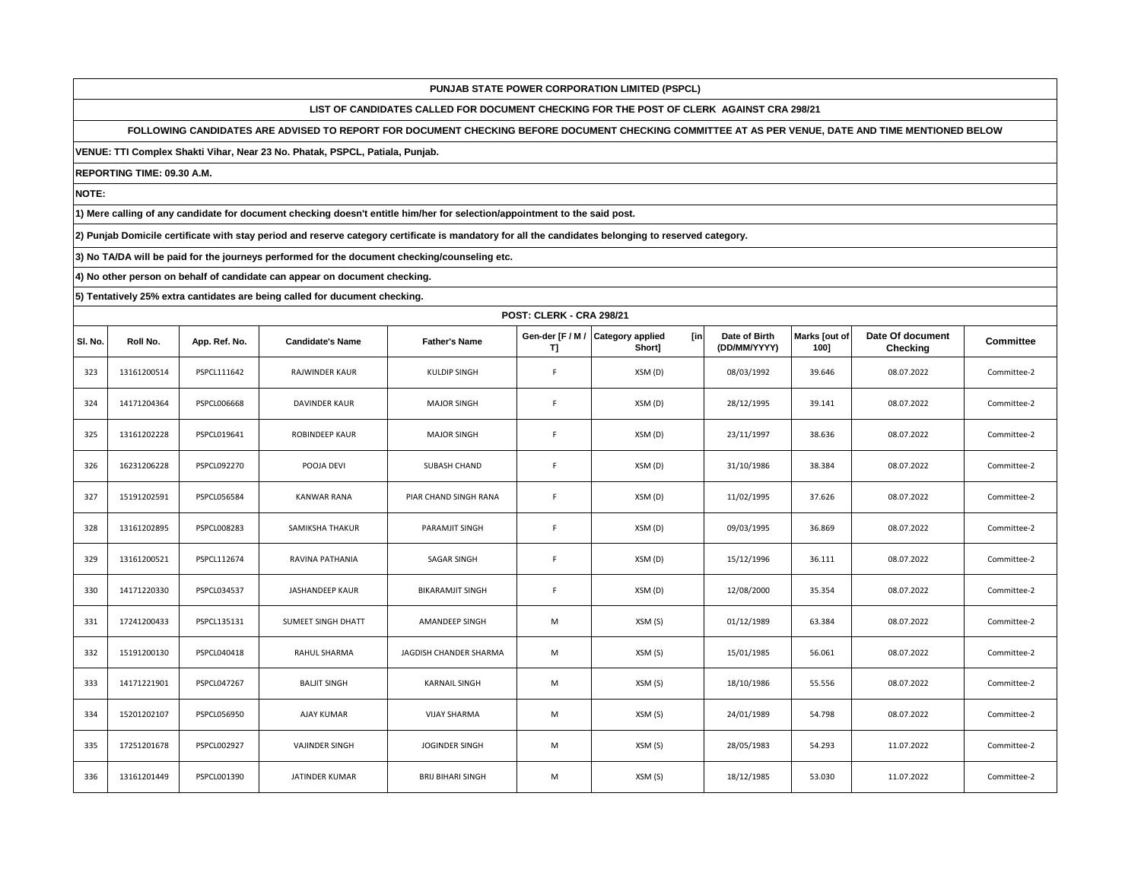**LIST OF CANDIDATES CALLED FOR DOCUMENT CHECKING FOR THE POST OF CLERK AGAINST CRA 298/21**

**FOLLOWING CANDIDATES ARE ADVISED TO REPORT FOR DOCUMENT CHECKING BEFORE DOCUMENT CHECKING COMMITTEE AT AS PER VENUE, DATE AND TIME MENTIONED BELOW** 

**VENUE: TTI Complex Shakti Vihar, Near 23 No. Phatak, PSPCL, Patiala, Punjab.**

**REPORTING TIME: 09.30 A.M.**

**NOTE:**

**1) Mere calling of any candidate for document checking doesn't entitle him/her for selection/appointment to the said post.**

**2) Punjab Domicile certificate with stay period and reserve category certificate is mandatory for all the candidates belonging to reserved category.**

**3) No TA/DA will be paid for the journeys performed for the document checking/counseling etc.**

**4) No other person on behalf of candidate can appear on document checking.**

|         |             | <b>POST: CLERK - CRA 298/21</b> |                         |                          |                        |                                           |                               |                       |                              |                  |  |  |
|---------|-------------|---------------------------------|-------------------------|--------------------------|------------------------|-------------------------------------------|-------------------------------|-----------------------|------------------------------|------------------|--|--|
| SI. No. | Roll No.    | App. Ref. No.                   | <b>Candidate's Name</b> | <b>Father's Name</b>     | Gen-der [F / M /<br>T] | [in]<br><b>Category applied</b><br>Short] | Date of Birth<br>(DD/MM/YYYY) | Marks [out of<br>1001 | Date Of document<br>Checking | <b>Committee</b> |  |  |
| 323     | 13161200514 | PSPCL111642                     | <b>RAJWINDER KAUR</b>   | <b>KULDIP SINGH</b>      | F                      | XSM (D)                                   | 08/03/1992                    | 39.646                | 08.07.2022                   | Committee-2      |  |  |
| 324     | 14171204364 | PSPCL006668                     | DAVINDER KAUR           | <b>MAJOR SINGH</b>       | F                      | XSM (D)                                   | 28/12/1995                    | 39.141                | 08.07.2022                   | Committee-2      |  |  |
| 325     | 13161202228 | PSPCL019641                     | <b>ROBINDEEP KAUR</b>   | <b>MAJOR SINGH</b>       | F                      | XSM (D)                                   | 23/11/1997                    | 38.636                | 08.07.2022                   | Committee-2      |  |  |
| 326     | 16231206228 | PSPCL092270                     | POOJA DEVI              | SUBASH CHAND             | $\mathsf F$            | XSM (D)                                   | 31/10/1986                    | 38.384                | 08.07.2022                   | Committee-2      |  |  |
| 327     | 15191202591 | PSPCL056584                     | <b>KANWAR RANA</b>      | PIAR CHAND SINGH RANA    | F                      | XSM (D)                                   | 11/02/1995                    | 37.626                | 08.07.2022                   | Committee-2      |  |  |
| 328     | 13161202895 | PSPCL008283                     | SAMIKSHA THAKUR         | PARAMJIT SINGH           | $\mathsf F$            | XSM (D)                                   | 09/03/1995                    | 36.869                | 08.07.2022                   | Committee-2      |  |  |
| 329     | 13161200521 | PSPCL112674                     | RAVINA PATHANIA         | <b>SAGAR SINGH</b>       | F.                     | XSM (D)                                   | 15/12/1996                    | 36.111                | 08.07.2022                   | Committee-2      |  |  |
| 330     | 14171220330 | PSPCL034537                     | <b>JASHANDEEP KAUR</b>  | <b>BIKARAMJIT SINGH</b>  | F                      | XSM (D)                                   | 12/08/2000                    | 35.354                | 08.07.2022                   | Committee-2      |  |  |
| 331     | 17241200433 | PSPCL135131                     | SUMEET SINGH DHATT      | AMANDEEP SINGH           | M                      | XSM (S)                                   | 01/12/1989                    | 63.384                | 08.07.2022                   | Committee-2      |  |  |
| 332     | 15191200130 | PSPCL040418                     | RAHUL SHARMA            | JAGDISH CHANDER SHARMA   | M                      | XSM (S)                                   | 15/01/1985                    | 56.061                | 08.07.2022                   | Committee-2      |  |  |
| 333     | 14171221901 | PSPCL047267                     | <b>BALJIT SINGH</b>     | <b>KARNAIL SINGH</b>     | M                      | XSM (S)                                   | 18/10/1986                    | 55.556                | 08.07.2022                   | Committee-2      |  |  |
| 334     | 15201202107 | <b>PSPCL056950</b>              | AJAY KUMAR              | <b>VIJAY SHARMA</b>      | M                      | XSM (S)                                   | 24/01/1989                    | 54.798                | 08.07.2022                   | Committee-2      |  |  |
| 335     | 17251201678 | PSPCL002927                     | <b>VAJINDER SINGH</b>   | <b>JOGINDER SINGH</b>    | M                      | XSM (S)                                   | 28/05/1983                    | 54.293                | 11.07.2022                   | Committee-2      |  |  |
| 336     | 13161201449 | PSPCL001390                     | <b>JATINDER KUMAR</b>   | <b>BRIJ BIHARI SINGH</b> | M                      | XSM (S)                                   | 18/12/1985                    | 53.030                | 11.07.2022                   | Committee-2      |  |  |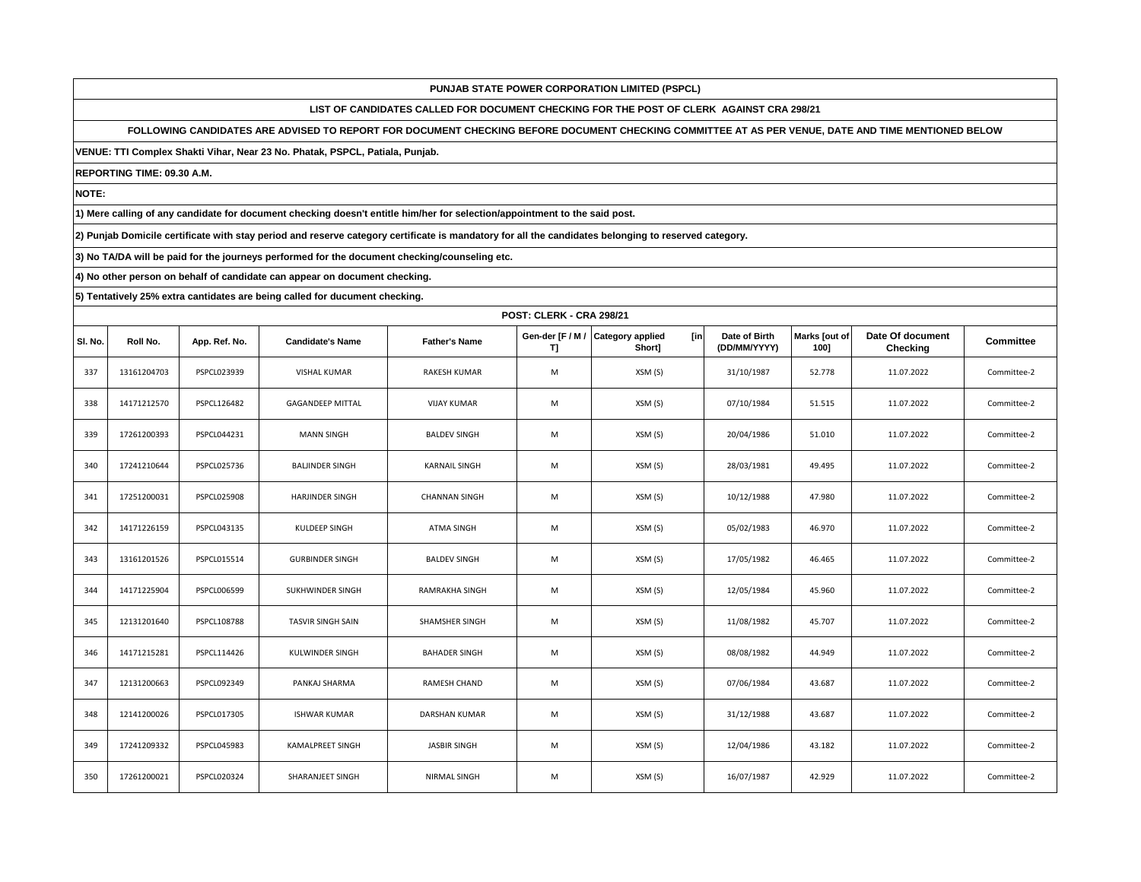**LIST OF CANDIDATES CALLED FOR DOCUMENT CHECKING FOR THE POST OF CLERK AGAINST CRA 298/21**

**FOLLOWING CANDIDATES ARE ADVISED TO REPORT FOR DOCUMENT CHECKING BEFORE DOCUMENT CHECKING COMMITTEE AT AS PER VENUE, DATE AND TIME MENTIONED BELOW** 

**VENUE: TTI Complex Shakti Vihar, Near 23 No. Phatak, PSPCL, Patiala, Punjab.**

**REPORTING TIME: 09.30 A.M.**

**NOTE:**

**1) Mere calling of any candidate for document checking doesn't entitle him/her for selection/appointment to the said post.**

**2) Punjab Domicile certificate with stay period and reserve category certificate is mandatory for all the candidates belonging to reserved category.**

**3) No TA/DA will be paid for the journeys performed for the document checking/counseling etc.**

**4) No other person on behalf of candidate can appear on document checking.**

|         | <b>POST: CLERK - CRA 298/21</b> |                    |                         |                       |    |                                                     |                               |                       |                              |                  |  |
|---------|---------------------------------|--------------------|-------------------------|-----------------------|----|-----------------------------------------------------|-------------------------------|-----------------------|------------------------------|------------------|--|
| SI. No. | Roll No.                        | App. Ref. No.      | <b>Candidate's Name</b> | <b>Father's Name</b>  | T] | [in]<br>Gen-der [F / M / Category applied<br>Short] | Date of Birth<br>(DD/MM/YYYY) | Marks [out of<br>100] | Date Of document<br>Checking | <b>Committee</b> |  |
| 337     | 13161204703                     | PSPCL023939        | VISHAL KUMAR            | <b>RAKESH KUMAR</b>   | M  | XSM (S)                                             | 31/10/1987                    | 52.778                | 11.07.2022                   | Committee-2      |  |
| 338     | 14171212570                     | PSPCL126482        | <b>GAGANDEEP MITTAL</b> | <b>VIJAY KUMAR</b>    | M  | XSM (S)                                             | 07/10/1984                    | 51.515                | 11.07.2022                   | Committee-2      |  |
| 339     | 17261200393                     | PSPCL044231        | <b>MANN SINGH</b>       | <b>BALDEV SINGH</b>   | M  | XSM (S)                                             | 20/04/1986                    | 51.010                | 11.07.2022                   | Committee-2      |  |
| 340     | 17241210644                     | PSPCL025736        | <b>BALJINDER SINGH</b>  | <b>KARNAIL SINGH</b>  | M  | XSM (S)                                             | 28/03/1981                    | 49.495                | 11.07.2022                   | Committee-2      |  |
| 341     | 17251200031                     | <b>PSPCL025908</b> | <b>HARJINDER SINGH</b>  | <b>CHANNAN SINGH</b>  | M  | XSM (S)                                             | 10/12/1988                    | 47.980                | 11.07.2022                   | Committee-2      |  |
| 342     | 14171226159                     | PSPCL043135        | KULDEEP SINGH           | ATMA SINGH            | M  | XSM (S)                                             | 05/02/1983                    | 46.970                | 11.07.2022                   | Committee-2      |  |
| 343     | 13161201526                     | PSPCL015514        | <b>GURBINDER SINGH</b>  | <b>BALDEV SINGH</b>   | M  | XSM (S)                                             | 17/05/1982                    | 46.465                | 11.07.2022                   | Committee-2      |  |
| 344     | 14171225904                     | PSPCL006599        | SUKHWINDER SINGH        | <b>RAMRAKHA SINGH</b> | M  | XSM (S)                                             | 12/05/1984                    | 45.960                | 11.07.2022                   | Committee-2      |  |
| 345     | 12131201640                     | PSPCL108788        | TASVIR SINGH SAIN       | SHAMSHER SINGH        | M  | XSM (S)                                             | 11/08/1982                    | 45.707                | 11.07.2022                   | Committee-2      |  |
| 346     | 14171215281                     | PSPCL114426        | KULWINDER SINGH         | <b>BAHADER SINGH</b>  | M  | XSM (S)                                             | 08/08/1982                    | 44.949                | 11.07.2022                   | Committee-2      |  |
| 347     | 12131200663                     | PSPCL092349        | PANKAJ SHARMA           | RAMESH CHAND          | M  | XSM (S)                                             | 07/06/1984                    | 43.687                | 11.07.2022                   | Committee-2      |  |
| 348     | 12141200026                     | PSPCL017305        | <b>ISHWAR KUMAR</b>     | DARSHAN KUMAR         | M  | XSM (S)                                             | 31/12/1988                    | 43.687                | 11.07.2022                   | Committee-2      |  |
| 349     | 17241209332                     | PSPCL045983        | <b>KAMALPREET SINGH</b> | JASBIR SINGH          | M  | XSM (S)                                             | 12/04/1986                    | 43.182                | 11.07.2022                   | Committee-2      |  |
| 350     | 17261200021                     | PSPCL020324        | SHARANJEET SINGH        | <b>NIRMAL SINGH</b>   | M  | XSM (S)                                             | 16/07/1987                    | 42.929                | 11.07.2022                   | Committee-2      |  |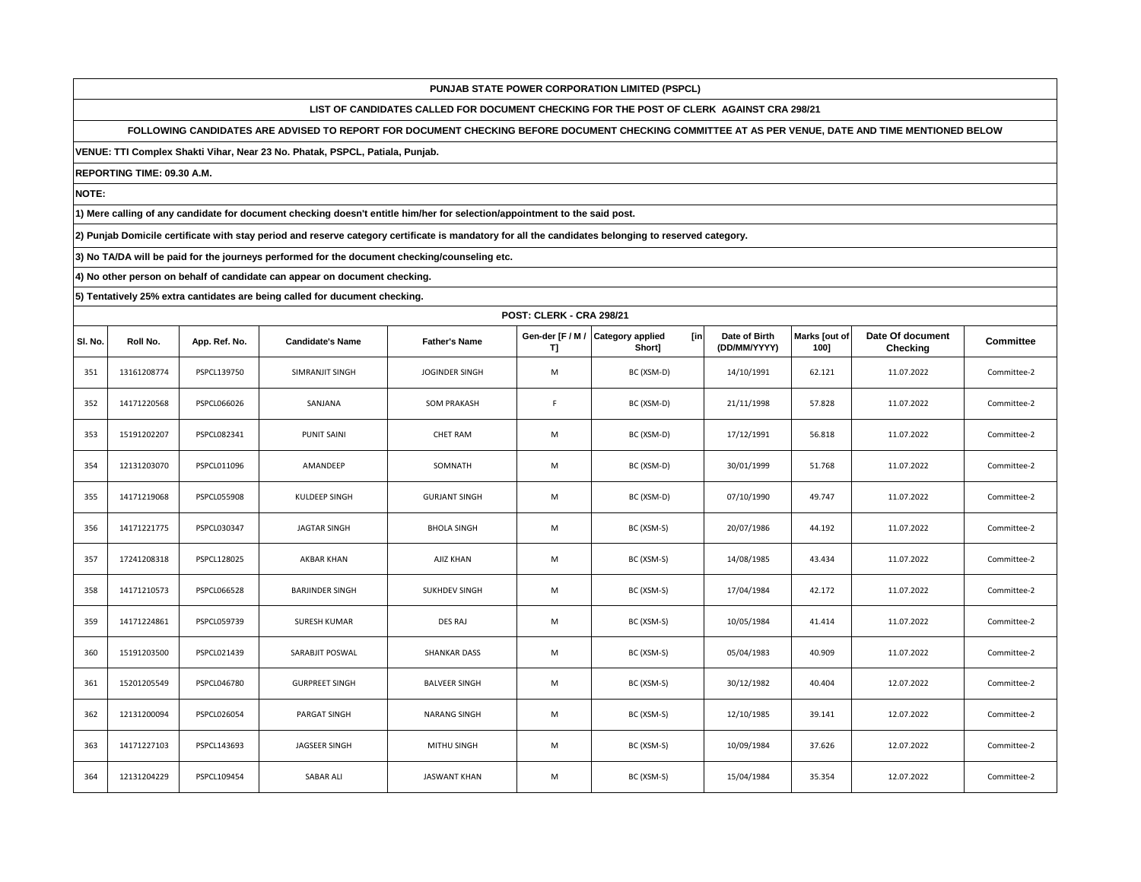**LIST OF CANDIDATES CALLED FOR DOCUMENT CHECKING FOR THE POST OF CLERK AGAINST CRA 298/21**

**FOLLOWING CANDIDATES ARE ADVISED TO REPORT FOR DOCUMENT CHECKING BEFORE DOCUMENT CHECKING COMMITTEE AT AS PER VENUE, DATE AND TIME MENTIONED BELOW** 

**VENUE: TTI Complex Shakti Vihar, Near 23 No. Phatak, PSPCL, Patiala, Punjab.**

**REPORTING TIME: 09.30 A.M.**

**NOTE:**

**1) Mere calling of any candidate for document checking doesn't entitle him/her for selection/appointment to the said post.**

**2) Punjab Domicile certificate with stay period and reserve category certificate is mandatory for all the candidates belonging to reserved category.**

**3) No TA/DA will be paid for the journeys performed for the document checking/counseling etc.**

**4) No other person on behalf of candidate can appear on document checking.**

|         | <b>POST: CLERK - CRA 298/21</b> |                    |                         |                      |                        |                                          |                               |                       |                              |                  |  |
|---------|---------------------------------|--------------------|-------------------------|----------------------|------------------------|------------------------------------------|-------------------------------|-----------------------|------------------------------|------------------|--|
| SI. No. | Roll No.                        | App. Ref. No.      | <b>Candidate's Name</b> | <b>Father's Name</b> | Gen-der [F / M /<br>T] | <b>Category applied</b><br>[in<br>Short] | Date of Birth<br>(DD/MM/YYYY) | Marks [out of<br>1001 | Date Of document<br>Checking | <b>Committee</b> |  |
| 351     | 13161208774                     | PSPCL139750        | SIMRANJIT SINGH         | JOGINDER SINGH       | M                      | BC (XSM-D)                               | 14/10/1991                    | 62.121                | 11.07.2022                   | Committee-2      |  |
| 352     | 14171220568                     | PSPCL066026        | SANJANA                 | <b>SOM PRAKASH</b>   | F                      | BC (XSM-D)                               | 21/11/1998                    | 57.828                | 11.07.2022                   | Committee-2      |  |
| 353     | 15191202207                     | PSPCL082341        | <b>PUNIT SAINI</b>      | <b>CHET RAM</b>      | M                      | BC (XSM-D)                               | 17/12/1991                    | 56.818                | 11.07.2022                   | Committee-2      |  |
| 354     | 12131203070                     | PSPCL011096        | AMANDEEP                | SOMNATH              | M                      | BC (XSM-D)                               | 30/01/1999                    | 51.768                | 11.07.2022                   | Committee-2      |  |
| 355     | 14171219068                     | PSPCL055908        | KULDEEP SINGH           | <b>GURJANT SINGH</b> | M                      | BC (XSM-D)                               | 07/10/1990                    | 49.747                | 11.07.2022                   | Committee-2      |  |
| 356     | 14171221775                     | PSPCL030347        | <b>JAGTAR SINGH</b>     | <b>BHOLA SINGH</b>   | M                      | BC (XSM-S)                               | 20/07/1986                    | 44.192                | 11.07.2022                   | Committee-2      |  |
| 357     | 17241208318                     | PSPCL128025        | AKBAR KHAN              | AJIZ KHAN            | M                      | BC (XSM-S)                               | 14/08/1985                    | 43.434                | 11.07.2022                   | Committee-2      |  |
| 358     | 14171210573                     | <b>PSPCL066528</b> | <b>BARJINDER SINGH</b>  | <b>SUKHDEV SINGH</b> | M                      | BC (XSM-S)                               | 17/04/1984                    | 42.172                | 11.07.2022                   | Committee-2      |  |
| 359     | 14171224861                     | PSPCL059739        | <b>SURESH KUMAR</b>     | <b>DES RAJ</b>       | M                      | BC (XSM-S)                               | 10/05/1984                    | 41.414                | 11.07.2022                   | Committee-2      |  |
| 360     | 15191203500                     | PSPCL021439        | SARABJIT POSWAL         | <b>SHANKAR DASS</b>  | M                      | BC (XSM-S)                               | 05/04/1983                    | 40.909                | 11.07.2022                   | Committee-2      |  |
| 361     | 15201205549                     | PSPCL046780        | <b>GURPREET SINGH</b>   | <b>BALVEER SINGH</b> | M                      | BC (XSM-S)                               | 30/12/1982                    | 40.404                | 12.07.2022                   | Committee-2      |  |
| 362     | 12131200094                     | PSPCL026054        | PARGAT SINGH            | <b>NARANG SINGH</b>  | M                      | BC (XSM-S)                               | 12/10/1985                    | 39.141                | 12.07.2022                   | Committee-2      |  |
| 363     | 14171227103                     | PSPCL143693        | JAGSEER SINGH           | MITHU SINGH          | M                      | BC (XSM-S)                               | 10/09/1984                    | 37.626                | 12.07.2022                   | Committee-2      |  |
| 364     | 12131204229                     | PSPCL109454        | SABAR ALI               | <b>JASWANT KHAN</b>  | M                      | BC (XSM-S)                               | 15/04/1984                    | 35.354                | 12.07.2022                   | Committee-2      |  |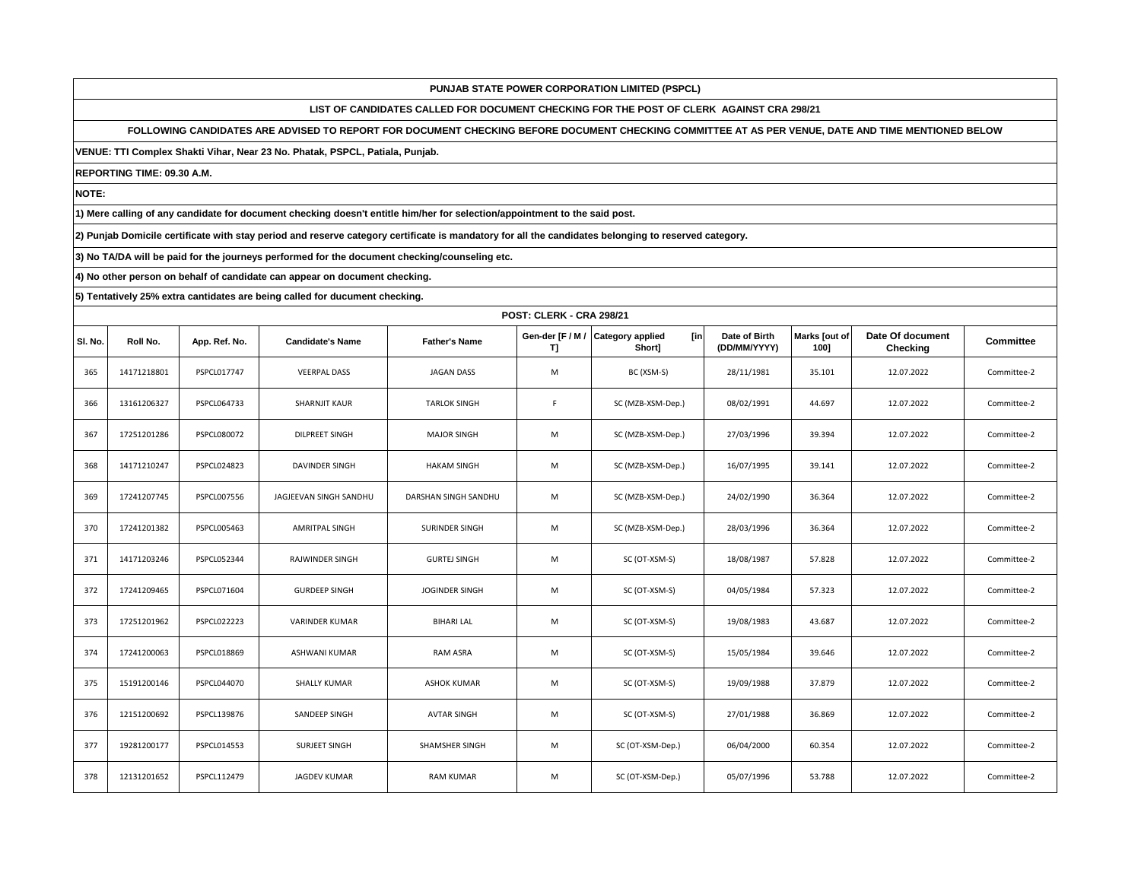**LIST OF CANDIDATES CALLED FOR DOCUMENT CHECKING FOR THE POST OF CLERK AGAINST CRA 298/21**

**FOLLOWING CANDIDATES ARE ADVISED TO REPORT FOR DOCUMENT CHECKING BEFORE DOCUMENT CHECKING COMMITTEE AT AS PER VENUE, DATE AND TIME MENTIONED BELOW** 

**VENUE: TTI Complex Shakti Vihar, Near 23 No. Phatak, PSPCL, Patiala, Punjab.**

**REPORTING TIME: 09.30 A.M.**

**NOTE:**

**1) Mere calling of any candidate for document checking doesn't entitle him/her for selection/appointment to the said post.**

**2) Punjab Domicile certificate with stay period and reserve category certificate is mandatory for all the candidates belonging to reserved category.**

**3) No TA/DA will be paid for the journeys performed for the document checking/counseling etc.**

**4) No other person on behalf of candidate can appear on document checking.**

|         | <b>POST: CLERK - CRA 298/21</b> |               |                         |                      |                        |                                          |                               |                       |                              |                  |  |  |
|---------|---------------------------------|---------------|-------------------------|----------------------|------------------------|------------------------------------------|-------------------------------|-----------------------|------------------------------|------------------|--|--|
| SI. No. | Roll No.                        | App. Ref. No. | <b>Candidate's Name</b> | <b>Father's Name</b> | Gen-der [F / M /<br>T] | <b>Category applied</b><br>[in<br>Short] | Date of Birth<br>(DD/MM/YYYY) | Marks Jout of<br>1001 | Date Of document<br>Checking | <b>Committee</b> |  |  |
| 365     | 14171218801                     | PSPCL017747   | <b>VEERPAL DASS</b>     | <b>JAGAN DASS</b>    | M                      | BC (XSM-S)                               | 28/11/1981                    | 35.101                | 12.07.2022                   | Committee-2      |  |  |
| 366     | 13161206327                     | PSPCL064733   | SHARNJIT KAUR           | <b>TARLOK SINGH</b>  | F                      | SC (MZB-XSM-Dep.)                        | 08/02/1991                    | 44.697                | 12.07.2022                   | Committee-2      |  |  |
| 367     | 17251201286                     | PSPCL080072   | DILPREET SINGH          | <b>MAJOR SINGH</b>   | M                      | SC (MZB-XSM-Dep.)                        | 27/03/1996                    | 39.394                | 12.07.2022                   | Committee-2      |  |  |
| 368     | 14171210247                     | PSPCL024823   | <b>DAVINDER SINGH</b>   | <b>HAKAM SINGH</b>   | M                      | SC (MZB-XSM-Dep.)                        | 16/07/1995                    | 39.141                | 12.07.2022                   | Committee-2      |  |  |
| 369     | 17241207745                     | PSPCL007556   | JAGJEEVAN SINGH SANDHU  | DARSHAN SINGH SANDHU | M                      | SC (MZB-XSM-Dep.)                        | 24/02/1990                    | 36.364                | 12.07.2022                   | Committee-2      |  |  |
| 370     | 17241201382                     | PSPCL005463   | AMRITPAL SINGH          | SURINDER SINGH       | M                      | SC (MZB-XSM-Dep.)                        | 28/03/1996                    | 36.364                | 12.07.2022                   | Committee-2      |  |  |
| 371     | 14171203246                     | PSPCL052344   | <b>RAJWINDER SINGH</b>  | <b>GURTEJ SINGH</b>  | M                      | SC (OT-XSM-S)                            | 18/08/1987                    | 57.828                | 12.07.2022                   | Committee-2      |  |  |
| 372     | 17241209465                     | PSPCL071604   | <b>GURDEEP SINGH</b>    | JOGINDER SINGH       | M                      | SC (OT-XSM-S)                            | 04/05/1984                    | 57.323                | 12.07.2022                   | Committee-2      |  |  |
| 373     | 17251201962                     | PSPCL022223   | VARINDER KUMAR          | <b>BIHARI LAL</b>    | M                      | SC (OT-XSM-S)                            | 19/08/1983                    | 43.687                | 12.07.2022                   | Committee-2      |  |  |
| 374     | 17241200063                     | PSPCL018869   | ASHWANI KUMAR           | RAM ASRA             | M                      | SC (OT-XSM-S)                            | 15/05/1984                    | 39.646                | 12.07.2022                   | Committee-2      |  |  |
| 375     | 15191200146                     | PSPCL044070   | SHALLY KUMAR            | <b>ASHOK KUMAR</b>   | M                      | SC (OT-XSM-S)                            | 19/09/1988                    | 37.879                | 12.07.2022                   | Committee-2      |  |  |
| 376     | 12151200692                     | PSPCL139876   | SANDEEP SINGH           | AVTAR SINGH          | M                      | SC (OT-XSM-S)                            | 27/01/1988                    | 36.869                | 12.07.2022                   | Committee-2      |  |  |
| 377     | 19281200177                     | PSPCL014553   | SURJEET SINGH           | SHAMSHER SINGH       | M                      | SC (OT-XSM-Dep.)                         | 06/04/2000                    | 60.354                | 12.07.2022                   | Committee-2      |  |  |
| 378     | 12131201652                     | PSPCL112479   | <b>JAGDEV KUMAR</b>     | <b>RAM KUMAR</b>     | M                      | SC (OT-XSM-Dep.)                         | 05/07/1996                    | 53.788                | 12.07.2022                   | Committee-2      |  |  |